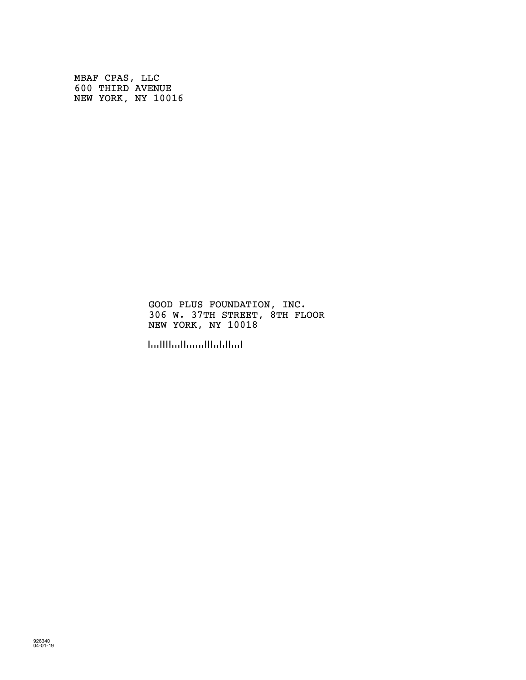MBAF CPAS, LLC 600 THIRD AVENUE NEW YORK, NY 10016

> GOOD PLUS FOUNDATION, INC. 306 W. 37TH STREET, 8TH FLOOR NEW YORK, NY 10018

!100180!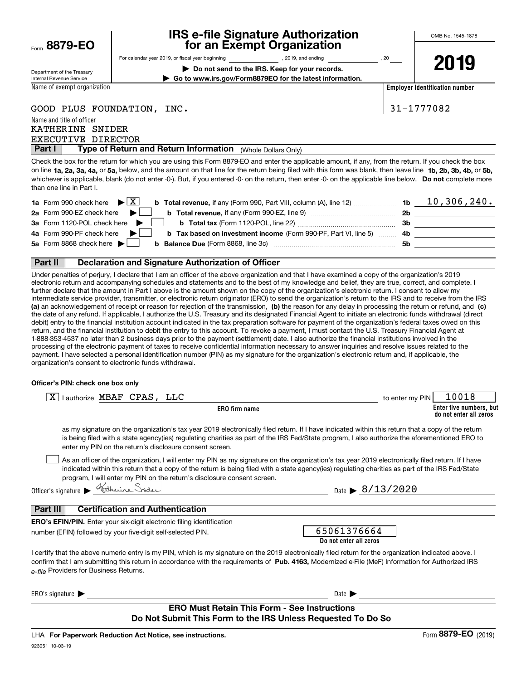|      | 8879-EO |  |  |
|------|---------|--|--|
| Form |         |  |  |

## **IRS e-file Signature Authorization for an Exempt Organization**

**| Do not send to the IRS. Keep for your records. | Go to www.irs.gov/Form8879EO for the latest information.**

For calendar year 2019, or fiscal year beginning and the state of the state of 2019, and ending calendary permu

Department of the Treasury Internal Revenue Service

Name and title of officer

Name of exempt organization

**2019**

**Employer identification number**

GOOD PLUS FOUNDATION, INC. 31-1777082

EXECUTIVE DIRECTOR KATHERINE SNIDER

**Part I Type of Return and Return Information** (Whole Dollars Only)<br>Theck the box for the return for which you are using this Form 8879-FO and enter the an

on line **1a, 2a, 3a, 4a,** or **5a,** below, and the amount on that line for the return being filed with this form was blank, then leave line **1b, 2b, 3b, 4b,** or **5b,** whichever is applicable, blank (do not enter -0-). But, if you entered -0- on the return, then enter -0- on the applicable line below. **Do not** complete more Check the box for the return for which you are using this Form 8879-EO and enter the applicable amount, if any, from the return. If you check the box than one line in Part I.

| <b>1a</b> Form 990 check here $\triangleright \boxed{X}$<br><b>b</b> Total revenue, if any (Form 990, Part VIII, column (A), line 12) <b>1b</b> |     | $10,306,240$ . |
|-------------------------------------------------------------------------------------------------------------------------------------------------|-----|----------------|
| 2a Form 990-EZ check here $\blacktriangleright$                                                                                                 | 2b  |                |
| 3a Form 1120-POL check here $\blacktriangleright$ $\parallel$                                                                                   | 3b. |                |
| 4a Form 990-PF check here $\blacktriangleright$<br><b>b</b> Tax based on investment income (Form 990-PF, Part VI, line 5) 4b                    |     |                |
| 5a Form 8868 check here $\blacktriangleright$<br><b>b</b> Balance Due (Form 8868, line 3c) <b>Constanting Balance Due</b> (Form 8868, line 3c)  | .5b |                |
|                                                                                                                                                 |     |                |

#### **Part II Declaration and Signature Authorization of Officer**

**(a)** an acknowledgement of receipt or reason for rejection of the transmission, (b) the reason for any delay in processing the return or refund, and (c) Under penalties of perjury, I declare that I am an officer of the above organization and that I have examined a copy of the organization's 2019 electronic return and accompanying schedules and statements and to the best of my knowledge and belief, they are true, correct, and complete. I further declare that the amount in Part I above is the amount shown on the copy of the organization's electronic return. I consent to allow my intermediate service provider, transmitter, or electronic return originator (ERO) to send the organization's return to the IRS and to receive from the IRS the date of any refund. If applicable, I authorize the U.S. Treasury and its designated Financial Agent to initiate an electronic funds withdrawal (direct debit) entry to the financial institution account indicated in the tax preparation software for payment of the organization's federal taxes owed on this return, and the financial institution to debit the entry to this account. To revoke a payment, I must contact the U.S. Treasury Financial Agent at 1-888-353-4537 no later than 2 business days prior to the payment (settlement) date. I also authorize the financial institutions involved in the processing of the electronic payment of taxes to receive confidential information necessary to answer inquiries and resolve issues related to the payment. I have selected a personal identification number (PIN) as my signature for the organization's electronic return and, if applicable, the organization's consent to electronic funds withdrawal.

#### **Officer's PIN: check one box only**

| $\boxed{\text{X}}$   authorize MBAF CPAS, LLC                                                                                                                                                                                                                                                                                                                                    | 10018<br>to enter my PIN                          |
|----------------------------------------------------------------------------------------------------------------------------------------------------------------------------------------------------------------------------------------------------------------------------------------------------------------------------------------------------------------------------------|---------------------------------------------------|
| ERO firm name                                                                                                                                                                                                                                                                                                                                                                    | Enter five numbers, but<br>do not enter all zeros |
| as my signature on the organization's tax year 2019 electronically filed return. If I have indicated within this return that a copy of the return<br>is being filed with a state agency(ies) regulating charities as part of the IRS Fed/State program, I also authorize the aforementioned ERO to<br>enter my PIN on the return's disclosure consent screen.                    |                                                   |
| As an officer of the organization, I will enter my PIN as my signature on the organization's tax year 2019 electronically filed return. If I have<br>indicated within this return that a copy of the return is being filed with a state agency(ies) regulating charities as part of the IRS Fed/State<br>program, I will enter my PIN on the return's disclosure consent screen. |                                                   |
| Officer's signature Ratherine Snider                                                                                                                                                                                                                                                                                                                                             | Date $\triangleright$ 8/13/2020                   |
| Part III<br><b>Certification and Authentication</b><br><b>ERO's EFIN/PIN.</b> Enter your six-digit electronic filing identification                                                                                                                                                                                                                                              |                                                   |
| number (EFIN) followed by your five-digit self-selected PIN.                                                                                                                                                                                                                                                                                                                     | 65061376664<br>Do not enter all zeros             |
| I certify that the above numeric entry is my PIN, which is my signature on the 2019 electronically filed return for the organization indicated above. I<br>confirm that I am submitting this return in accordance with the requirements of Pub. 4163, Modernized e-File (MeF) Information for Authorized IRS<br>e-file Providers for Business Returns.                           |                                                   |
| ERO's signature $\blacktriangleright$                                                                                                                                                                                                                                                                                                                                            | Date $\blacktriangleright$                        |
| <b>ERO Must Retain This Form - See Instructions</b><br>Do Not Submit This Form to the IRS Unless Requested To Do So                                                                                                                                                                                                                                                              |                                                   |

923051 10-03-19 LHA For Paperwork Reduction Act Notice, see instructions.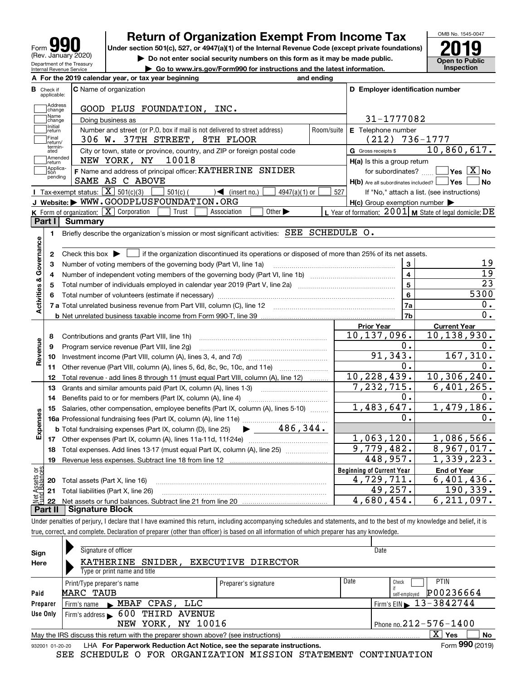| 99<br>Form                                             |
|--------------------------------------------------------|
| (Rev. January 2020)                                    |
| Department of the Treasury<br>Internal Revenue Service |

# **Return of Organization Exempt From Income Tax**

Under section 501(c), 527, or 4947(a)(1) of the Internal Revenue Code (except private foundations) **2019** 



**| Do not enter social security numbers on this form as it may be made public. | Go to www.irs.gov/Form990 for instructions and the latest information. Inspection**

|                         | Internal Revenue Service  | $\blacktriangleright$ Go to www.irs.gov/Form990 for instructions and the latest information.                                                        |            |                                                     | mspection                                                 |
|-------------------------|---------------------------|-----------------------------------------------------------------------------------------------------------------------------------------------------|------------|-----------------------------------------------------|-----------------------------------------------------------|
|                         |                           | A For the 2019 calendar year, or tax year beginning                                                                                                 | and ending |                                                     |                                                           |
| В                       | Check if<br>applicable:   | <b>C</b> Name of organization                                                                                                                       |            | D Employer identification number                    |                                                           |
|                         | Address<br>change         | GOOD PLUS FOUNDATION, INC.                                                                                                                          |            |                                                     |                                                           |
|                         | ,<br> Name<br> change     | Doing business as                                                                                                                                   |            | 31-1777082                                          |                                                           |
|                         | Initial<br> return        | Number and street (or P.O. box if mail is not delivered to street address)                                                                          | Room/suite | E Telephone number                                  |                                                           |
|                         | Final<br>return/          | 306 W. 37TH STREET, 8TH FLOOR                                                                                                                       |            | $(212)$ 736-1777                                    |                                                           |
|                         | termin-<br>ated           | City or town, state or province, country, and ZIP or foreign postal code                                                                            |            | G Gross receipts \$                                 | 10,860,617.                                               |
|                         | <b>IAmended</b><br>return | NEW YORK, NY<br>10018                                                                                                                               |            | $H(a)$ is this a group return                       |                                                           |
|                         | Applica-<br>tion          | F Name and address of principal officer: KATHERINE SNIDER                                                                                           |            | for subordinates?                                   | $ Y$ es $\boxed{X}$ No                                    |
|                         | pending                   | SAME AS C ABOVE                                                                                                                                     |            | $H(b)$ Are all subordinates included? $\Box$ Yes    | <b>No</b>                                                 |
|                         |                           | <b>I</b> Tax-exempt status: $\overline{X}$ 501(c)(3)<br>$\frac{1}{2}$ 501(c) (<br>$\sqrt{ }$ (insert no.)<br>$4947(a)(1)$ or                        | 527        |                                                     | If "No," attach a list. (see instructions)                |
|                         |                           | J Website: WWW.GOODPLUSFOUNDATION.ORG                                                                                                               |            | $H(c)$ Group exemption number $\blacktriangleright$ |                                                           |
|                         |                           | <b>K</b> Form of organization: $\boxed{\mathbf{X}}$ Corporation<br>Other $\blacktriangleright$<br>Trust<br>Association                              |            |                                                     | L Year of formation: $2001$ M State of legal domicile: DE |
|                         | Part I                    | <b>Summary</b>                                                                                                                                      |            |                                                     |                                                           |
|                         | 1.                        | Briefly describe the organization's mission or most significant activities: SEE SCHEDULE O.                                                         |            |                                                     |                                                           |
|                         |                           |                                                                                                                                                     |            |                                                     |                                                           |
|                         | 2                         | Check this box $\blacktriangleright$ $\blacksquare$ if the organization discontinued its operations or disposed of more than 25% of its net assets. |            |                                                     |                                                           |
| Governance              | 3                         | Number of voting members of the governing body (Part VI, line 1a)                                                                                   |            | 3                                                   | 19                                                        |
|                         | 4                         |                                                                                                                                                     |            | $\overline{4}$                                      | $\overline{19}$                                           |
|                         | 5                         |                                                                                                                                                     | 5          | $\overline{23}$                                     |                                                           |
|                         | 6                         |                                                                                                                                                     | 6          | 5300                                                |                                                           |
| <b>Activities &amp;</b> |                           |                                                                                                                                                     |            | 7a                                                  | О.                                                        |
|                         |                           |                                                                                                                                                     |            | 7b                                                  | 0.                                                        |
|                         |                           |                                                                                                                                                     |            | <b>Prior Year</b>                                   | <b>Current Year</b>                                       |
|                         | 8                         | Contributions and grants (Part VIII, line 1h)                                                                                                       |            | 10,137,096.                                         | 10, 138, 930.                                             |
|                         | 9                         | Program service revenue (Part VIII, line 2g)                                                                                                        |            | 0.                                                  | Ο.                                                        |
| Revenue                 | 10                        |                                                                                                                                                     |            | 91,343.                                             | 167,310.                                                  |
|                         | 11                        | Other revenue (Part VIII, column (A), lines 5, 6d, 8c, 9c, 10c, and 11e)                                                                            |            | 0.                                                  | 0.                                                        |
|                         | 12                        | Total revenue - add lines 8 through 11 (must equal Part VIII, column (A), line 12)                                                                  |            | 10,228,439.                                         | 10, 306, 240.<br>6,401,265.                               |
|                         | 13                        | Grants and similar amounts paid (Part IX, column (A), lines 1-3)                                                                                    |            | $\overline{7,232},\overline{715}$ .<br>0.           | о.                                                        |
|                         | 14                        | Benefits paid to or for members (Part IX, column (A), line 4)                                                                                       |            | 1,483,647.                                          | 1,479,186.                                                |
|                         | 15                        | Salaries, other compensation, employee benefits (Part IX, column (A), lines 5-10)                                                                   |            | О.                                                  | О.                                                        |
| Expenses                |                           | $\blacktriangleright$ 486,344.                                                                                                                      |            |                                                     |                                                           |
|                         |                           | <b>b</b> Total fundraising expenses (Part IX, column (D), line 25)                                                                                  |            | 1,063,120.                                          | 1,086,566.                                                |
|                         |                           |                                                                                                                                                     |            | 9,779,482.                                          | 8,967,017.                                                |
|                         | 18                        | Total expenses. Add lines 13-17 (must equal Part IX, column (A), line 25)                                                                           |            | 448,957.                                            | 1,339,223.                                                |
|                         | 19                        |                                                                                                                                                     |            | <b>Beginning of Current Year</b>                    |                                                           |
| ρğ                      |                           |                                                                                                                                                     |            | 4,729,711.                                          | <b>End of Year</b><br>6,401,436.                          |
| sets                    | 20                        | Total assets (Part X, line 16)                                                                                                                      |            | 49,257.                                             | 190, 339.                                                 |
|                         |                           | 21 Total liabilities (Part X, line 26)                                                                                                              |            | 4,680,454.                                          | $\overline{6,211,097}$ .                                  |
|                         | 22                        |                                                                                                                                                     |            |                                                     |                                                           |

**Part II Signature Block**

Under penalties of perjury, I declare that I have examined this return, including accompanying schedules and statements, and to the best of my knowledge and belief, it is true, correct, and complete. Declaration of preparer (other than officer) is based on all information of which preparer has any knowledge.

| Sign     | Signature of officer                                                                                                    |                      |                              | Date                                        |  |  |  |
|----------|-------------------------------------------------------------------------------------------------------------------------|----------------------|------------------------------|---------------------------------------------|--|--|--|
| Here     | KATHERINE<br>SNIDER,                                                                                                    | EXECUTIVE DIRECTOR   |                              |                                             |  |  |  |
|          | Type or print name and title                                                                                            |                      |                              |                                             |  |  |  |
|          | Print/Type preparer's name                                                                                              | Preparer's signature | Date                         | <b>PTIN</b><br>Check                        |  |  |  |
| Paid     | MARC TAUB                                                                                                               |                      |                              | P00236664<br>self-employed                  |  |  |  |
| Preparer | $\blacktriangleright$ MBAF CPAS, LLC<br>Firm's name                                                                     |                      |                              | Firm's EIN $\blacktriangleright$ 13-3842744 |  |  |  |
| Use Only | Firm's address $\blacktriangleright$ 600<br>THIRD AVENUE                                                                |                      |                              |                                             |  |  |  |
|          | YORK, NY 10016<br>NEW                                                                                                   |                      | Phone no. $212 - 576 - 1400$ |                                             |  |  |  |
|          | $\mathbf{x}$<br><b>No</b><br>∣ Yes<br>May the IRS discuss this return with the preparer shown above? (see instructions) |                      |                              |                                             |  |  |  |
|          | Form 990 (2019)<br>LHA For Paperwork Reduction Act Notice, see the separate instructions.<br>932001 01-20-20            |                      |                              |                                             |  |  |  |
|          |                                                                                                                         |                      |                              |                                             |  |  |  |

SEE SCHEDULE O FOR ORGANIZATION MISSION STATEMENT CONTINUATION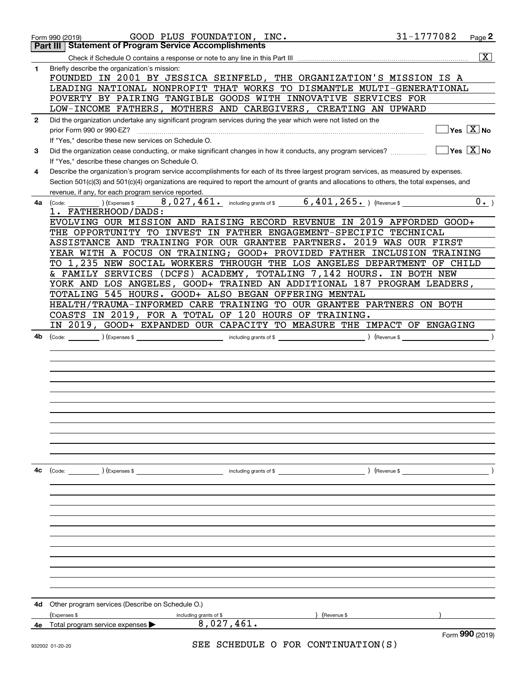|              | 31-1777082<br>GOOD PLUS FOUNDATION, INC.<br>Form 990 (2019)                                                                                                                                         | Page 2                                               |
|--------------|-----------------------------------------------------------------------------------------------------------------------------------------------------------------------------------------------------|------------------------------------------------------|
|              | <b>Statement of Program Service Accomplishments</b><br>Part III                                                                                                                                     |                                                      |
|              |                                                                                                                                                                                                     | $\overline{\mathbf{x}}$                              |
| 1            | Briefly describe the organization's mission:<br>FOUNDED IN 2001 BY JESSICA SEINFELD, THE ORGANIZATION'S MISSION IS A                                                                                |                                                      |
|              | LEADING NATIONAL NONPROFIT THAT WORKS TO DISMANTLE MULTI-GENERATIONAL                                                                                                                               |                                                      |
|              | POVERTY BY PAIRING TANGIBLE GOODS WITH INNOVATIVE SERVICES FOR                                                                                                                                      |                                                      |
|              | LOW-INCOME FATHERS, MOTHERS AND CAREGIVERS, CREATING AN UPWARD                                                                                                                                      |                                                      |
| $\mathbf{2}$ | Did the organization undertake any significant program services during the year which were not listed on the                                                                                        |                                                      |
|              | prior Form 990 or 990-EZ?                                                                                                                                                                           | $Yes \ \boxed{X}$ No                                 |
|              | If "Yes," describe these new services on Schedule O.                                                                                                                                                |                                                      |
| 3            | Did the organization cease conducting, or make significant changes in how it conducts, any program services?                                                                                        | $\overline{\mathsf{Yes}}$ $\overline{\mathsf{X}}$ No |
|              | If "Yes," describe these changes on Schedule O.                                                                                                                                                     |                                                      |
| 4            | Describe the organization's program service accomplishments for each of its three largest program services, as measured by expenses.                                                                |                                                      |
|              | Section 501(c)(3) and 501(c)(4) organizations are required to report the amount of grants and allocations to others, the total expenses, and<br>revenue, if any, for each program service reported. |                                                      |
| 4a           | 8,027,461. including grants of \$ 6,401,265. ) (Revenue \$<br>) (Expenses \$<br>(Code:                                                                                                              | 0.                                                   |
|              | 1. FATHERHOOD/DADS:                                                                                                                                                                                 |                                                      |
|              | EVOLVING OUR MISSION AND RAISING RECORD REVENUE IN 2019 AFFORDED GOOD+                                                                                                                              |                                                      |
|              | THE OPPORTUNITY TO INVEST IN FATHER ENGAGEMENT-SPECIFIC TECHNICAL                                                                                                                                   |                                                      |
|              | ASSISTANCE AND TRAINING FOR OUR GRANTEE PARTNERS. 2019 WAS OUR FIRST                                                                                                                                |                                                      |
|              | YEAR WITH A FOCUS ON TRAINING; GOOD+ PROVIDED FATHER INCLUSION TRAINING                                                                                                                             |                                                      |
|              | TO 1,235 NEW SOCIAL WORKERS THROUGH THE LOS ANGELES DEPARTMENT OF CHILD                                                                                                                             |                                                      |
|              | & FAMILY SERVICES (DCFS) ACADEMY, TOTALING 7,142 HOURS. IN BOTH NEW                                                                                                                                 |                                                      |
|              | YORK AND LOS ANGELES, GOOD+ TRAINED AN ADDITIONAL 187 PROGRAM LEADERS,                                                                                                                              |                                                      |
|              | TOTALING 545 HOURS. GOOD+ ALSO BEGAN OFFERING MENTAL                                                                                                                                                |                                                      |
|              | HEALTH/TRAUMA-INFORMED CARE TRAINING TO OUR GRANTEE PARTNERS ON BOTH                                                                                                                                |                                                      |
|              | COASTS IN 2019, FOR A TOTAL OF 120 HOURS OF TRAINING.<br>IN 2019, GOOD+ EXPANDED OUR CAPACITY TO MEASURE THE IMPACT OF ENGAGING                                                                     |                                                      |
| 4b           | ) (Revenue \$<br>(Code:                                                                                                                                                                             |                                                      |
|              |                                                                                                                                                                                                     |                                                      |
|              |                                                                                                                                                                                                     |                                                      |
|              |                                                                                                                                                                                                     |                                                      |
|              |                                                                                                                                                                                                     |                                                      |
|              |                                                                                                                                                                                                     |                                                      |
|              |                                                                                                                                                                                                     |                                                      |
|              |                                                                                                                                                                                                     |                                                      |
|              |                                                                                                                                                                                                     |                                                      |
|              |                                                                                                                                                                                                     |                                                      |
|              |                                                                                                                                                                                                     |                                                      |
|              |                                                                                                                                                                                                     |                                                      |
| 4с           | (Code: ) (Expenses \$<br>including grants of $$$<br>) (Revenue \$                                                                                                                                   |                                                      |
|              |                                                                                                                                                                                                     |                                                      |
|              |                                                                                                                                                                                                     |                                                      |
|              |                                                                                                                                                                                                     |                                                      |
|              |                                                                                                                                                                                                     |                                                      |
|              |                                                                                                                                                                                                     |                                                      |
|              |                                                                                                                                                                                                     |                                                      |
|              |                                                                                                                                                                                                     |                                                      |
|              |                                                                                                                                                                                                     |                                                      |
|              |                                                                                                                                                                                                     |                                                      |
|              |                                                                                                                                                                                                     |                                                      |
|              |                                                                                                                                                                                                     |                                                      |
|              |                                                                                                                                                                                                     |                                                      |
| 4d           | Other program services (Describe on Schedule O.)<br>(Expenses \$<br>(Revenue \$                                                                                                                     |                                                      |
| 4е           | including grants of \$<br>8,027,461.<br>Total program service expenses                                                                                                                              |                                                      |
|              |                                                                                                                                                                                                     | Form 990 (2019)                                      |
|              | SEE SCHEDIILE O FOR CONTINUIATION(S)                                                                                                                                                                |                                                      |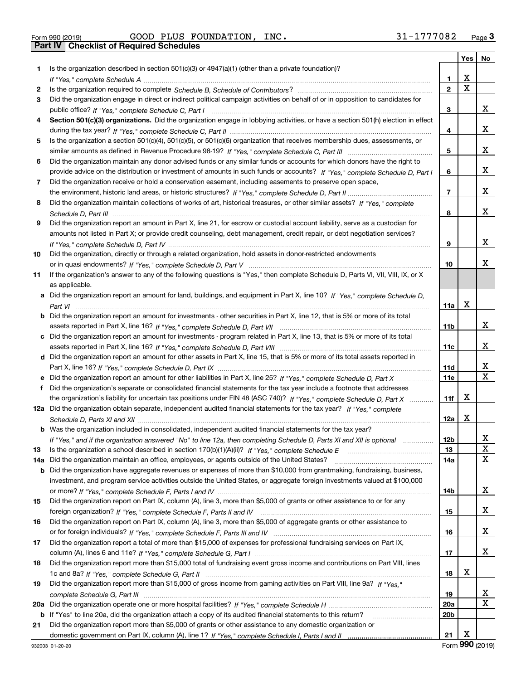| Form 990 (2019) |  |  |
|-----------------|--|--|

Form 990 (2019) GOOD PLUS FOUNDATION, INC **.** 31-1777082 <sub>Page</sub> 3<br>**Part IV | Checklist of Required Schedules** 

|     |                                                                                                                                       |                 | Yes                     | No                |
|-----|---------------------------------------------------------------------------------------------------------------------------------------|-----------------|-------------------------|-------------------|
| 1.  | Is the organization described in section $501(c)(3)$ or $4947(a)(1)$ (other than a private foundation)?                               |                 |                         |                   |
|     |                                                                                                                                       | 1               | х                       |                   |
| 2   |                                                                                                                                       | $\mathbf{2}$    | $\overline{\mathbf{x}}$ |                   |
| 3   | Did the organization engage in direct or indirect political campaign activities on behalf of or in opposition to candidates for       |                 |                         |                   |
|     |                                                                                                                                       | з               |                         | x                 |
| 4   | Section 501(c)(3) organizations. Did the organization engage in lobbying activities, or have a section 501(h) election in effect      |                 |                         |                   |
|     |                                                                                                                                       | 4               |                         | x                 |
| 5   | Is the organization a section 501(c)(4), 501(c)(5), or 501(c)(6) organization that receives membership dues, assessments, or          |                 |                         |                   |
|     |                                                                                                                                       | 5               |                         | x                 |
| 6   | Did the organization maintain any donor advised funds or any similar funds or accounts for which donors have the right to             |                 |                         |                   |
|     | provide advice on the distribution or investment of amounts in such funds or accounts? If "Yes," complete Schedule D. Part I          | 6               |                         | x                 |
| 7   | Did the organization receive or hold a conservation easement, including easements to preserve open space,                             |                 |                         |                   |
|     |                                                                                                                                       | $\overline{7}$  |                         | x                 |
| 8   | Did the organization maintain collections of works of art, historical treasures, or other similar assets? If "Yes," complete          |                 |                         |                   |
|     |                                                                                                                                       | 8               |                         | x                 |
| 9   | Did the organization report an amount in Part X, line 21, for escrow or custodial account liability, serve as a custodian for         |                 |                         |                   |
|     | amounts not listed in Part X; or provide credit counseling, debt management, credit repair, or debt negotiation services?             |                 |                         |                   |
|     |                                                                                                                                       | 9               |                         | x                 |
| 10  | Did the organization, directly or through a related organization, hold assets in donor-restricted endowments                          |                 |                         |                   |
|     |                                                                                                                                       | 10              |                         | x                 |
| 11  | If the organization's answer to any of the following questions is "Yes," then complete Schedule D, Parts VI, VII, VIII, IX, or X      |                 |                         |                   |
|     | as applicable.                                                                                                                        |                 |                         |                   |
|     | a Did the organization report an amount for land, buildings, and equipment in Part X, line 10? If "Yes," complete Schedule D,         |                 |                         |                   |
|     |                                                                                                                                       | 11a             | X                       |                   |
|     | <b>b</b> Did the organization report an amount for investments - other securities in Part X, line 12, that is 5% or more of its total |                 |                         |                   |
|     |                                                                                                                                       | 11b             |                         | х                 |
|     | c Did the organization report an amount for investments - program related in Part X, line 13, that is 5% or more of its total         |                 |                         |                   |
|     |                                                                                                                                       | 11c             |                         | x                 |
|     | d Did the organization report an amount for other assets in Part X, line 15, that is 5% or more of its total assets reported in       |                 |                         |                   |
|     |                                                                                                                                       | 11d             |                         | х<br>$\mathbf{x}$ |
|     | e Did the organization report an amount for other liabilities in Part X, line 25? If "Yes," complete Schedule D, Part X               | 11e             |                         |                   |
| f   | Did the organization's separate or consolidated financial statements for the tax year include a footnote that addresses               |                 | х                       |                   |
|     | the organization's liability for uncertain tax positions under FIN 48 (ASC 740)? If "Yes," complete Schedule D, Part X                | 11f             |                         |                   |
|     | 12a Did the organization obtain separate, independent audited financial statements for the tax year? If "Yes," complete               |                 | х                       |                   |
|     |                                                                                                                                       | 12a             |                         |                   |
|     | <b>b</b> Was the organization included in consolidated, independent audited financial statements for the tax year?                    |                 |                         |                   |
|     | If "Yes," and if the organization answered "No" to line 12a, then completing Schedule D, Parts XI and XII is optional                 | 12b<br>13       |                         | ▵<br>X            |
| 13  | Did the organization maintain an office, employees, or agents outside of the United States?                                           |                 |                         | $\mathbf X$       |
| 14a | <b>b</b> Did the organization have aggregate revenues or expenses of more than \$10,000 from grantmaking, fundraising, business,      | 14a             |                         |                   |
|     | investment, and program service activities outside the United States, or aggregate foreign investments valued at \$100,000            |                 |                         |                   |
|     |                                                                                                                                       | 14b             |                         | х                 |
| 15  | Did the organization report on Part IX, column (A), line 3, more than \$5,000 of grants or other assistance to or for any             |                 |                         |                   |
|     |                                                                                                                                       | 15              |                         | x                 |
| 16  | Did the organization report on Part IX, column (A), line 3, more than \$5,000 of aggregate grants or other assistance to              |                 |                         |                   |
|     |                                                                                                                                       | 16              |                         | x                 |
| 17  | Did the organization report a total of more than \$15,000 of expenses for professional fundraising services on Part IX,               |                 |                         |                   |
|     |                                                                                                                                       | 17              |                         | x                 |
| 18  | Did the organization report more than \$15,000 total of fundraising event gross income and contributions on Part VIII, lines          |                 |                         |                   |
|     |                                                                                                                                       | 18              | х                       |                   |
| 19  | Did the organization report more than \$15,000 of gross income from gaming activities on Part VIII, line 9a? If "Yes."                |                 |                         |                   |
|     |                                                                                                                                       | 19              |                         | х                 |
| 20a |                                                                                                                                       | 20a             |                         | $\mathbf X$       |
|     | <b>b</b> If "Yes" to line 20a, did the organization attach a copy of its audited financial statements to this return?                 | 20 <sub>b</sub> |                         |                   |
| 21  | Did the organization report more than \$5,000 of grants or other assistance to any domestic organization or                           |                 |                         |                   |
|     |                                                                                                                                       | 21              | X                       |                   |

Form (2019) **990**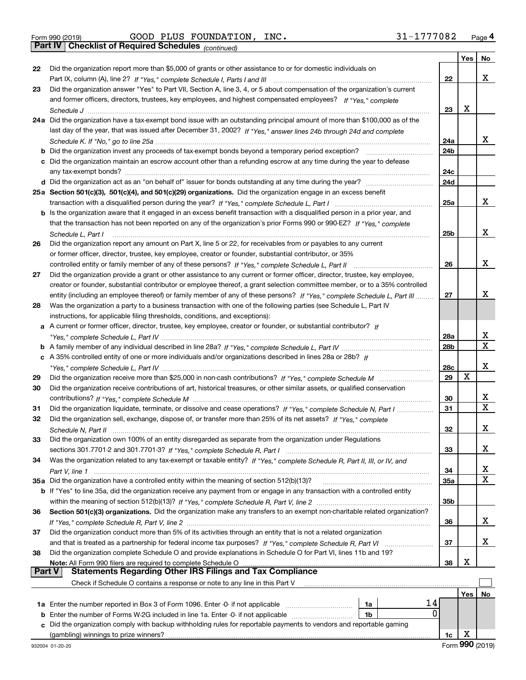Form 990 (2019) Page **4Part IV Checklist of Required Schedules** GOOD PLUS FOUNDATION, INC. 31-1777082

*(continued)*

|               |                                                                                                                              |                 | Yes         | No |
|---------------|------------------------------------------------------------------------------------------------------------------------------|-----------------|-------------|----|
| 22            | Did the organization report more than \$5,000 of grants or other assistance to or for domestic individuals on                |                 |             |    |
|               |                                                                                                                              | 22              |             | x  |
| 23            | Did the organization answer "Yes" to Part VII, Section A, line 3, 4, or 5 about compensation of the organization's current   |                 |             |    |
|               | and former officers, directors, trustees, key employees, and highest compensated employees? If "Yes," complete               |                 |             |    |
|               |                                                                                                                              | 23              | X           |    |
|               | 24a Did the organization have a tax-exempt bond issue with an outstanding principal amount of more than \$100,000 as of the  |                 |             |    |
|               | last day of the year, that was issued after December 31, 2002? If "Yes," answer lines 24b through 24d and complete           |                 |             |    |
|               |                                                                                                                              | 24a             |             | x  |
|               |                                                                                                                              | 24 <sub>b</sub> |             |    |
|               | c Did the organization maintain an escrow account other than a refunding escrow at any time during the year to defease       |                 |             |    |
|               |                                                                                                                              | 24c             |             |    |
|               |                                                                                                                              | 24d             |             |    |
|               | 25a Section 501(c)(3), 501(c)(4), and 501(c)(29) organizations. Did the organization engage in an excess benefit             |                 |             |    |
|               |                                                                                                                              | 25a             |             | x  |
|               | b Is the organization aware that it engaged in an excess benefit transaction with a disqualified person in a prior year, and |                 |             |    |
|               | that the transaction has not been reported on any of the organization's prior Forms 990 or 990-EZ? If "Yes," complete        |                 |             |    |
|               | Schedule L, Part I                                                                                                           | 25b             |             | X  |
| 26            | Did the organization report any amount on Part X, line 5 or 22, for receivables from or payables to any current              |                 |             |    |
|               | or former officer, director, trustee, key employee, creator or founder, substantial contributor, or 35%                      |                 |             |    |
|               | controlled entity or family member of any of these persons? If "Yes," complete Schedule L, Part II                           | 26              |             | X  |
| 27            | Did the organization provide a grant or other assistance to any current or former officer, director, trustee, key employee,  |                 |             |    |
|               | creator or founder, substantial contributor or employee thereof, a grant selection committee member, or to a 35% controlled  |                 |             |    |
|               | entity (including an employee thereof) or family member of any of these persons? If "Yes," complete Schedule L, Part III     | 27              |             | х  |
| 28            | Was the organization a party to a business transaction with one of the following parties (see Schedule L, Part IV            |                 |             |    |
|               | instructions, for applicable filing thresholds, conditions, and exceptions):                                                 |                 |             |    |
| а             | A current or former officer, director, trustee, key employee, creator or founder, or substantial contributor? If             |                 |             |    |
|               |                                                                                                                              | 28a             |             | х  |
|               |                                                                                                                              | 28 <sub>b</sub> |             | X  |
|               | c A 35% controlled entity of one or more individuals and/or organizations described in lines 28a or 28b? If                  |                 |             |    |
|               |                                                                                                                              | 28c             |             | x  |
| 29            |                                                                                                                              | 29              | $\mathbf X$ |    |
| 30            | Did the organization receive contributions of art, historical treasures, or other similar assets, or qualified conservation  |                 |             |    |
|               |                                                                                                                              | 30              |             | х  |
| 31            | Did the organization liquidate, terminate, or dissolve and cease operations? If "Yes," complete Schedule N, Part I           | 31              |             | X  |
| 32            | Did the organization sell, exchange, dispose of, or transfer more than 25% of its net assets? If "Yes," complete             |                 |             |    |
|               |                                                                                                                              | 32              |             | х  |
| 33            | Did the organization own 100% of an entity disregarded as separate from the organization under Regulations                   |                 |             |    |
|               |                                                                                                                              | 33              |             | x  |
| 34            | Was the organization related to any tax-exempt or taxable entity? If "Yes," complete Schedule R, Part II, III, or IV, and    |                 |             | х  |
|               | 35a Did the organization have a controlled entity within the meaning of section 512(b)(13)?                                  | 34              |             | x  |
|               | b If "Yes" to line 35a, did the organization receive any payment from or engage in any transaction with a controlled entity  | 35a             |             |    |
|               |                                                                                                                              | 35 <sub>b</sub> |             |    |
| 36            | Section 501(c)(3) organizations. Did the organization make any transfers to an exempt non-charitable related organization?   |                 |             |    |
|               |                                                                                                                              | 36              |             | x  |
| 37            | Did the organization conduct more than 5% of its activities through an entity that is not a related organization             |                 |             |    |
|               |                                                                                                                              | 37              |             | x  |
| 38            | Did the organization complete Schedule O and provide explanations in Schedule O for Part VI, lines 11b and 19?               |                 |             |    |
|               | Note: All Form 990 filers are required to complete Schedule O                                                                | 38              | х           |    |
| <b>Part V</b> | <b>Statements Regarding Other IRS Filings and Tax Compliance</b>                                                             |                 |             |    |
|               | Check if Schedule O contains a response or note to any line in this Part V                                                   |                 |             |    |
|               |                                                                                                                              |                 | Yes         | No |
|               | 14<br>1a Enter the number reported in Box 3 of Form 1096. Enter -0- if not applicable<br>1a                                  |                 |             |    |
| b             | 0<br>Enter the number of Forms W-2G included in line 1a. Enter -0- if not applicable<br>1b                                   |                 |             |    |
| c             | Did the organization comply with backup withholding rules for reportable payments to vendors and reportable gaming           |                 |             |    |
|               |                                                                                                                              | 1c              | X           |    |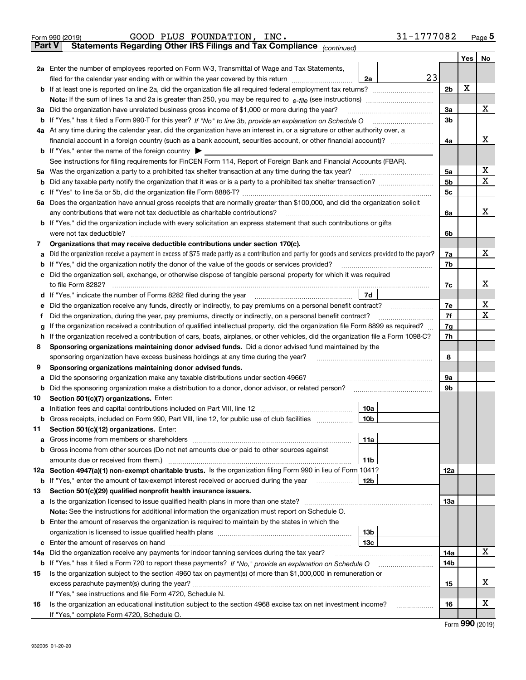|         | Form 990 (2019)                                                                               | GOOD PLUS FOUNDATION, INC.                                                                                                                                                                                                                       |  |                 | 31-1777082 |                |     | $_{\text{Page}}$ 5 |
|---------|-----------------------------------------------------------------------------------------------|--------------------------------------------------------------------------------------------------------------------------------------------------------------------------------------------------------------------------------------------------|--|-----------------|------------|----------------|-----|--------------------|
|         | <b>Part V</b>                                                                                 | Statements Regarding Other IRS Filings and Tax Compliance (continued)                                                                                                                                                                            |  |                 |            |                |     |                    |
|         |                                                                                               |                                                                                                                                                                                                                                                  |  |                 |            |                | Yes | No                 |
|         |                                                                                               | 2a Enter the number of employees reported on Form W-3, Transmittal of Wage and Tax Statements,                                                                                                                                                   |  |                 |            |                |     |                    |
|         |                                                                                               | filed for the calendar year ending with or within the year covered by this return <i>manumumumum</i>                                                                                                                                             |  | 2a              | 23         |                |     |                    |
|         |                                                                                               |                                                                                                                                                                                                                                                  |  |                 |            | 2 <sub>b</sub> | х   |                    |
|         |                                                                                               |                                                                                                                                                                                                                                                  |  |                 |            |                |     |                    |
| За      | Did the organization have unrelated business gross income of \$1,000 or more during the year? |                                                                                                                                                                                                                                                  |  |                 |            |                |     | х                  |
|         |                                                                                               |                                                                                                                                                                                                                                                  |  |                 |            | 3b             |     |                    |
|         |                                                                                               | 4a At any time during the calendar year, did the organization have an interest in, or a signature or other authority over, a                                                                                                                     |  |                 |            |                |     |                    |
|         |                                                                                               |                                                                                                                                                                                                                                                  |  |                 |            | 4a             |     | x                  |
|         | <b>b</b> If "Yes," enter the name of the foreign country $\blacktriangleright$                |                                                                                                                                                                                                                                                  |  |                 |            |                |     |                    |
|         |                                                                                               | See instructions for filing requirements for FinCEN Form 114, Report of Foreign Bank and Financial Accounts (FBAR).                                                                                                                              |  |                 |            |                |     |                    |
| 5a      |                                                                                               | Was the organization a party to a prohibited tax shelter transaction at any time during the tax year?                                                                                                                                            |  |                 |            | 5a             |     | х                  |
| b       |                                                                                               |                                                                                                                                                                                                                                                  |  |                 |            | 5 <sub>b</sub> |     | X                  |
| c       |                                                                                               |                                                                                                                                                                                                                                                  |  |                 |            | 5c             |     |                    |
|         |                                                                                               | 6a Does the organization have annual gross receipts that are normally greater than \$100,000, and did the organization solicit                                                                                                                   |  |                 |            |                |     |                    |
|         |                                                                                               | any contributions that were not tax deductible as charitable contributions?                                                                                                                                                                      |  |                 |            | 6a             |     | x                  |
|         |                                                                                               | <b>b</b> If "Yes," did the organization include with every solicitation an express statement that such contributions or gifts                                                                                                                    |  |                 |            |                |     |                    |
|         | were not tax deductible?                                                                      |                                                                                                                                                                                                                                                  |  |                 |            | 6b             |     |                    |
| 7       |                                                                                               | Organizations that may receive deductible contributions under section 170(c).                                                                                                                                                                    |  |                 |            |                |     |                    |
| a       |                                                                                               | Did the organization receive a payment in excess of \$75 made partly as a contribution and partly for goods and services provided to the payor?                                                                                                  |  |                 |            | 7a             |     | x                  |
| b       |                                                                                               | If "Yes," did the organization notify the donor of the value of the goods or services provided?                                                                                                                                                  |  |                 |            | 7b             |     |                    |
|         |                                                                                               | Did the organization sell, exchange, or otherwise dispose of tangible personal property for which it was required                                                                                                                                |  |                 |            |                |     | x                  |
|         |                                                                                               |                                                                                                                                                                                                                                                  |  |                 |            | 7c             |     |                    |
| d       |                                                                                               |                                                                                                                                                                                                                                                  |  | 7d              |            |                |     | х                  |
| е       |                                                                                               | Did the organization receive any funds, directly or indirectly, to pay premiums on a personal benefit contract?                                                                                                                                  |  |                 |            | 7e<br>7f       |     | X                  |
| f       |                                                                                               | Did the organization, during the year, pay premiums, directly or indirectly, on a personal benefit contract?<br>If the organization received a contribution of qualified intellectual property, did the organization file Form 8899 as required? |  |                 |            |                |     |                    |
| g<br>h. |                                                                                               | If the organization received a contribution of cars, boats, airplanes, or other vehicles, did the organization file a Form 1098-C?                                                                                                               |  |                 |            | 7g<br>7h       |     |                    |
| 8       |                                                                                               | Sponsoring organizations maintaining donor advised funds. Did a donor advised fund maintained by the                                                                                                                                             |  |                 |            |                |     |                    |
|         |                                                                                               | sponsoring organization have excess business holdings at any time during the year?                                                                                                                                                               |  |                 |            | 8              |     |                    |
| 9       |                                                                                               | Sponsoring organizations maintaining donor advised funds.                                                                                                                                                                                        |  |                 |            |                |     |                    |
| a       |                                                                                               | Did the sponsoring organization make any taxable distributions under section 4966?                                                                                                                                                               |  |                 |            | 9а             |     |                    |
| b       |                                                                                               | Did the sponsoring organization make a distribution to a donor, donor advisor, or related person?                                                                                                                                                |  |                 |            | 9b             |     |                    |
| 10      | Section 501(c)(7) organizations. Enter:                                                       |                                                                                                                                                                                                                                                  |  |                 |            |                |     |                    |
|         |                                                                                               | a Initiation fees and capital contributions included on Part VIII, line 12 [11] [12] [11] [12] [11] [12] [11] [12] [11] [12] [11] [12] [11] [12] [11] [12] [11] [12] [11] [12] [11] [12] [11] [12] [11] [12] [11] [12] [11] [1                   |  | 10a             |            |                |     |                    |
|         |                                                                                               | Gross receipts, included on Form 990, Part VIII, line 12, for public use of club facilities                                                                                                                                                      |  | 10b             |            |                |     |                    |
| 11      | Section 501(c)(12) organizations. Enter:                                                      |                                                                                                                                                                                                                                                  |  |                 |            |                |     |                    |
| a       | Gross income from members or shareholders                                                     |                                                                                                                                                                                                                                                  |  | 11a             |            |                |     |                    |
|         |                                                                                               | b Gross income from other sources (Do not net amounts due or paid to other sources against                                                                                                                                                       |  |                 |            |                |     |                    |
|         |                                                                                               |                                                                                                                                                                                                                                                  |  | 11 <sub>b</sub> |            |                |     |                    |
|         |                                                                                               | 12a Section 4947(a)(1) non-exempt charitable trusts. Is the organization filing Form 990 in lieu of Form 1041?                                                                                                                                   |  |                 |            | <b>12a</b>     |     |                    |
|         |                                                                                               | <b>b</b> If "Yes," enter the amount of tax-exempt interest received or accrued during the year <b>contained</b>                                                                                                                                  |  | 12b             |            |                |     |                    |
| 13      |                                                                                               | Section 501(c)(29) qualified nonprofit health insurance issuers.                                                                                                                                                                                 |  |                 |            |                |     |                    |
|         |                                                                                               | <b>a</b> Is the organization licensed to issue qualified health plans in more than one state?                                                                                                                                                    |  |                 |            | <b>13a</b>     |     |                    |
|         |                                                                                               | Note: See the instructions for additional information the organization must report on Schedule O.                                                                                                                                                |  |                 |            |                |     |                    |
|         |                                                                                               | <b>b</b> Enter the amount of reserves the organization is required to maintain by the states in which the                                                                                                                                        |  |                 |            |                |     |                    |
|         |                                                                                               |                                                                                                                                                                                                                                                  |  | 13 <sub>b</sub> |            |                |     |                    |
|         |                                                                                               |                                                                                                                                                                                                                                                  |  | 13 <sub>c</sub> |            |                |     |                    |
| 14a     |                                                                                               | Did the organization receive any payments for indoor tanning services during the tax year?                                                                                                                                                       |  |                 |            | 14a            |     | x                  |
|         |                                                                                               |                                                                                                                                                                                                                                                  |  |                 |            | 14b            |     |                    |
| 15      |                                                                                               | Is the organization subject to the section 4960 tax on payment(s) of more than \$1,000,000 in remuneration or                                                                                                                                    |  |                 |            |                |     |                    |
|         |                                                                                               |                                                                                                                                                                                                                                                  |  |                 |            | 15             |     | х                  |
|         | If "Yes," see instructions and file Form 4720, Schedule N.                                    |                                                                                                                                                                                                                                                  |  |                 |            |                |     |                    |
| 16      |                                                                                               | Is the organization an educational institution subject to the section 4968 excise tax on net investment income?                                                                                                                                  |  |                 |            | 16             |     | х                  |
|         | If "Yes," complete Form 4720, Schedule O.                                                     |                                                                                                                                                                                                                                                  |  |                 |            |                |     |                    |

Form (2019) **990**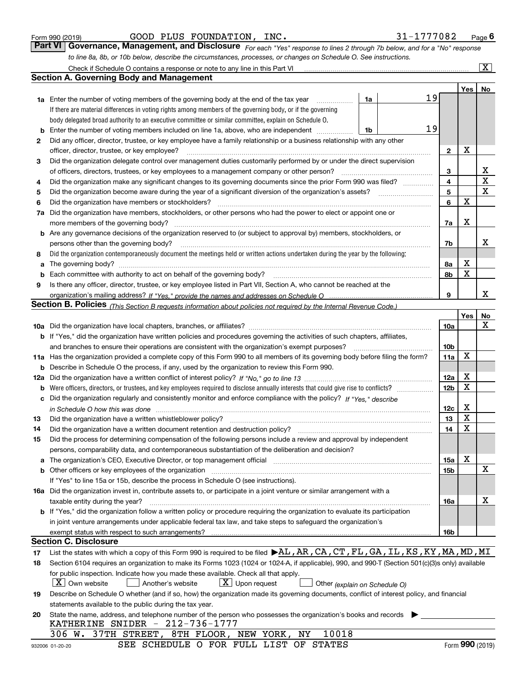| Form 990 (2019) |  |  |
|-----------------|--|--|
|                 |  |  |

GOOD PLUS FOUNDATION, INC. 31-1777082

*For each "Yes" response to lines 2 through 7b below, and for a "No" response to line 8a, 8b, or 10b below, describe the circumstances, processes, or changes on Schedule O. See instructions.* Form 990 (2019) **COOD PLUS FOUNDATION, INC.**<br>**Part VI Governance, Management, and Disclosure** For each "Yes" response to lines 2 through 7b below, and for a "No" response

|          | Check if Schedule O contains a response or note to any line in this Part VI                                                                                                                                                    |    |    |                 |     | x               |
|----------|--------------------------------------------------------------------------------------------------------------------------------------------------------------------------------------------------------------------------------|----|----|-----------------|-----|-----------------|
|          | <b>Section A. Governing Body and Management</b>                                                                                                                                                                                |    |    |                 |     |                 |
|          |                                                                                                                                                                                                                                |    |    |                 | Yes | No              |
|          | 1a Enter the number of voting members of the governing body at the end of the tax year                                                                                                                                         | 1a | 19 |                 |     |                 |
|          | If there are material differences in voting rights among members of the governing body, or if the governing                                                                                                                    |    |    |                 |     |                 |
|          | body delegated broad authority to an executive committee or similar committee, explain on Schedule O.                                                                                                                          |    |    |                 |     |                 |
| b        | Enter the number of voting members included on line 1a, above, who are independent                                                                                                                                             | 1b | 19 |                 |     |                 |
| 2        | Did any officer, director, trustee, or key employee have a family relationship or a business relationship with any other                                                                                                       |    |    |                 |     |                 |
|          | officer, director, trustee, or key employee?                                                                                                                                                                                   |    |    | $\mathbf{2}$    | х   |                 |
| 3        | Did the organization delegate control over management duties customarily performed by or under the direct supervision                                                                                                          |    |    |                 |     |                 |
|          | of officers, directors, trustees, or key employees to a management company or other person?                                                                                                                                    |    |    | 3               |     | х               |
| 4        | Did the organization make any significant changes to its governing documents since the prior Form 990 was filed?                                                                                                               |    |    | $\overline{4}$  |     | $\mathbf X$     |
| 5        |                                                                                                                                                                                                                                |    |    | 5               |     | $\mathbf X$     |
| 6        | Did the organization have members or stockholders?                                                                                                                                                                             |    |    | 6               | X   |                 |
| 7a       | Did the organization have members, stockholders, or other persons who had the power to elect or appoint one or                                                                                                                 |    |    |                 |     |                 |
|          | more members of the governing body?                                                                                                                                                                                            |    |    | 7a              | х   |                 |
|          | <b>b</b> Are any governance decisions of the organization reserved to (or subject to approval by) members, stockholders, or                                                                                                    |    |    |                 |     |                 |
|          | persons other than the governing body?                                                                                                                                                                                         |    |    | 7b              |     | x               |
| 8        | Did the organization contemporaneously document the meetings held or written actions undertaken during the year by the following:                                                                                              |    |    |                 |     |                 |
| a        | The governing body?                                                                                                                                                                                                            |    |    | 8a              | х   |                 |
| b        |                                                                                                                                                                                                                                |    |    | 8b              | X   |                 |
| 9        | Is there any officer, director, trustee, or key employee listed in Part VII, Section A, who cannot be reached at the                                                                                                           |    |    |                 |     |                 |
|          |                                                                                                                                                                                                                                |    |    | 9               |     | x               |
|          | <b>Section B. Policies</b> (This Section B requests information about policies not required by the Internal Revenue Code.)                                                                                                     |    |    |                 |     |                 |
|          |                                                                                                                                                                                                                                |    |    |                 | Yes | No              |
|          |                                                                                                                                                                                                                                |    |    | 10a             |     | х               |
|          | <b>b</b> If "Yes," did the organization have written policies and procedures governing the activities of such chapters, affiliates,                                                                                            |    |    |                 |     |                 |
|          | and branches to ensure their operations are consistent with the organization's exempt purposes?                                                                                                                                |    |    | 10 <sub>b</sub> | X   |                 |
|          | 11a Has the organization provided a complete copy of this Form 990 to all members of its governing body before filing the form?                                                                                                |    |    | 11a             |     |                 |
| b        | Describe in Schedule O the process, if any, used by the organization to review this Form 990.                                                                                                                                  |    |    |                 | X   |                 |
| 12a      |                                                                                                                                                                                                                                |    |    | 12a             | X   |                 |
| b        |                                                                                                                                                                                                                                |    |    | 12 <sub>b</sub> |     |                 |
| с        | Did the organization regularly and consistently monitor and enforce compliance with the policy? If "Yes." describe                                                                                                             |    |    |                 | х   |                 |
|          | in Schedule O how this was done measured and the control of the control of the state of the control of the control of the control of the control of the control of the control of the control of the control of the control of |    |    | 12c<br>13       | X   |                 |
| 13<br>14 | Did the organization have a written whistleblower policy?<br>Did the organization have a written document retention and destruction policy?                                                                                    |    |    | 14              | X   |                 |
| 15       | Did the process for determining compensation of the following persons include a review and approval by independent                                                                                                             |    |    |                 |     |                 |
|          | persons, comparability data, and contemporaneous substantiation of the deliberation and decision?                                                                                                                              |    |    |                 |     |                 |
| a        | The organization's CEO, Executive Director, or top management official manufactured content of the organization's CEO, Executive Director, or top management official                                                          |    |    | 15a             | X   |                 |
|          | b Other officers or key employees of the organization manufactured content to the organization manufactured by Other officers or key employees of the organization manufactured by the state of the organization manufactured  |    |    | 15b             |     | х               |
|          | If "Yes" to line 15a or 15b, describe the process in Schedule O (see instructions).                                                                                                                                            |    |    |                 |     |                 |
|          | 16a Did the organization invest in, contribute assets to, or participate in a joint venture or similar arrangement with a                                                                                                      |    |    |                 |     |                 |
|          | taxable entity during the year?                                                                                                                                                                                                |    |    | 16a             |     | х               |
|          | b If "Yes," did the organization follow a written policy or procedure requiring the organization to evaluate its participation                                                                                                 |    |    |                 |     |                 |
|          | in joint venture arrangements under applicable federal tax law, and take steps to safequard the organization's                                                                                                                 |    |    |                 |     |                 |
|          | exempt status with respect to such arrangements?                                                                                                                                                                               |    |    | 16b             |     |                 |
|          | <b>Section C. Disclosure</b>                                                                                                                                                                                                   |    |    |                 |     |                 |
| 17       | List the states with which a copy of this Form 990 is required to be filed $\blacktriangleright$ AL, AR, CA, CT, FL, GA, IL, KS, KY, MA, MD, MI                                                                                |    |    |                 |     |                 |
| 18       | Section 6104 requires an organization to make its Forms 1023 (1024 or 1024-A, if applicable), 990, and 990-T (Section 501(c)(3)s only) available                                                                               |    |    |                 |     |                 |
|          | for public inspection. Indicate how you made these available. Check all that apply.                                                                                                                                            |    |    |                 |     |                 |
|          | $X$ Own website<br>$X$ Upon request<br>Another's website<br>Other (explain on Schedule O)                                                                                                                                      |    |    |                 |     |                 |
| 19       | Describe on Schedule O whether (and if so, how) the organization made its governing documents, conflict of interest policy, and financial                                                                                      |    |    |                 |     |                 |
|          | statements available to the public during the tax year.                                                                                                                                                                        |    |    |                 |     |                 |
| 20       | State the name, address, and telephone number of the person who possesses the organization's books and records                                                                                                                 |    |    |                 |     |                 |
|          | KATHERINE SNIDER - 212-736-1777                                                                                                                                                                                                |    |    |                 |     |                 |
|          | 10018<br>306 W. 37TH STREET, 8TH FLOOR, NEW YORK,<br>ΝY                                                                                                                                                                        |    |    |                 |     |                 |
|          | SEE SCHEDULE O FOR FULL LIST OF STATES<br>932006 01-20-20                                                                                                                                                                      |    |    |                 |     | Form 990 (2019) |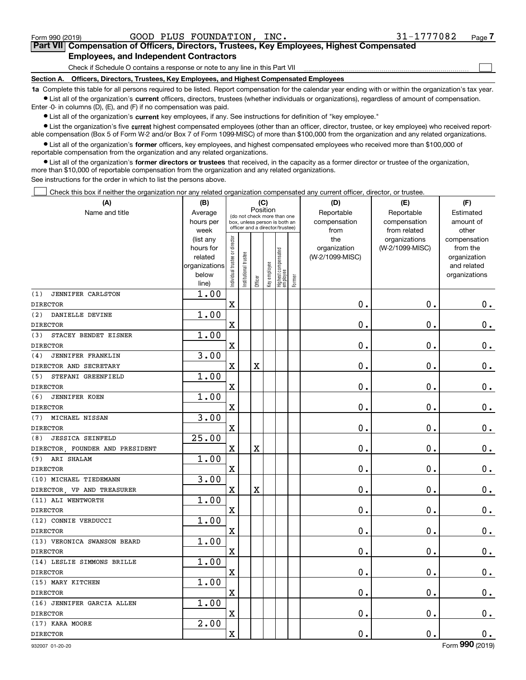$\mathcal{L}^{\text{max}}$ 

# **7Part VII Compensation of Officers, Directors, Trustees, Key Employees, Highest Compensated Employees, and Independent Contractors**

Check if Schedule O contains a response or note to any line in this Part VII

**Section A. Officers, Directors, Trustees, Key Employees, and Highest Compensated Employees**

**1a**  Complete this table for all persons required to be listed. Report compensation for the calendar year ending with or within the organization's tax year. **•** List all of the organization's current officers, directors, trustees (whether individuals or organizations), regardless of amount of compensation.

Enter -0- in columns (D), (E), and (F) if no compensation was paid.

 $\bullet$  List all of the organization's  $\,$ current key employees, if any. See instructions for definition of "key employee."

**•** List the organization's five current highest compensated employees (other than an officer, director, trustee, or key employee) who received reportable compensation (Box 5 of Form W-2 and/or Box 7 of Form 1099-MISC) of more than \$100,000 from the organization and any related organizations.

**•** List all of the organization's former officers, key employees, and highest compensated employees who received more than \$100,000 of reportable compensation from the organization and any related organizations.

**former directors or trustees**  ¥ List all of the organization's that received, in the capacity as a former director or trustee of the organization, more than \$10,000 of reportable compensation from the organization and any related organizations.

See instructions for the order in which to list the persons above.

Check this box if neither the organization nor any related organization compensated any current officer, director, or trustee.  $\mathcal{L}^{\text{max}}$ 

| (A)                            | (B)                  |                                |                                                                  |                       | (C)          |                                   |        | (D)                             | (E)             | (F)                      |
|--------------------------------|----------------------|--------------------------------|------------------------------------------------------------------|-----------------------|--------------|-----------------------------------|--------|---------------------------------|-----------------|--------------------------|
| Name and title                 | Average              |                                | (do not check more than one                                      | Position              |              |                                   |        | Reportable                      | Reportable      | Estimated                |
|                                | hours per            |                                | box, unless person is both an<br>officer and a director/trustee) |                       |              |                                   |        | compensation                    | compensation    | amount of                |
|                                | week                 |                                |                                                                  |                       |              |                                   |        | from                            | from related    | other                    |
|                                | (list any            |                                |                                                                  |                       |              |                                   |        | the                             | organizations   | compensation             |
|                                | hours for<br>related |                                |                                                                  |                       |              |                                   |        | organization<br>(W-2/1099-MISC) | (W-2/1099-MISC) | from the<br>organization |
|                                | organizations        |                                |                                                                  |                       |              |                                   |        |                                 |                 | and related              |
|                                | below                |                                | nstitutional trustee                                             |                       |              |                                   |        |                                 |                 | organizations            |
|                                | line)                | Individual trustee or director |                                                                  | Officer               | Key employee | Highest compensated<br>  employee | Former |                                 |                 |                          |
| JENNIFER CARLSTON<br>(1)       | 1.00                 |                                |                                                                  |                       |              |                                   |        |                                 |                 |                          |
| <b>DIRECTOR</b>                |                      | $\mathbf X$                    |                                                                  |                       |              |                                   |        | $\mathbf 0$ .                   | $\mathbf 0$ .   | 0.                       |
| DANIELLE DEVINE<br>(2)         | 1.00                 |                                |                                                                  |                       |              |                                   |        |                                 |                 |                          |
| <b>DIRECTOR</b>                |                      | $\overline{\mathbf{X}}$        |                                                                  |                       |              |                                   |        | $\mathbf 0$ .                   | $\mathbf 0$ .   | $0$ .                    |
| (3)<br>STACEY BENDET EISNER    | 1.00                 |                                |                                                                  |                       |              |                                   |        |                                 |                 |                          |
| <b>DIRECTOR</b>                |                      | $\mathbf X$                    |                                                                  |                       |              |                                   |        | $\mathbf 0$ .                   | $\mathbf 0$ .   | $0$ .                    |
| JENNIFER FRANKLIN<br>(4)       | 3.00                 |                                |                                                                  |                       |              |                                   |        |                                 |                 |                          |
| DIRECTOR AND SECRETARY         |                      | $\mathbf X$                    |                                                                  | X                     |              |                                   |        | $0$ .                           | 0.              | $\mathbf 0$ .            |
| STEFANI GREENFIELD<br>(5)      | 1.00                 |                                |                                                                  |                       |              |                                   |        |                                 |                 |                          |
| <b>DIRECTOR</b>                |                      | $\mathbf X$                    |                                                                  |                       |              |                                   |        | $\mathbf 0$ .                   | $\mathbf 0$ .   | $\mathbf 0$ .            |
| (6)<br><b>JENNIFER KOEN</b>    | 1.00                 |                                |                                                                  |                       |              |                                   |        |                                 |                 |                          |
| <b>DIRECTOR</b>                |                      | $\mathbf X$                    |                                                                  |                       |              |                                   |        | 0.                              | $\mathbf 0$ .   | $\mathbf 0$ .            |
| MICHAEL NISSAN<br>(7)          | 3.00                 |                                |                                                                  |                       |              |                                   |        |                                 |                 |                          |
| <b>DIRECTOR</b>                |                      | $\mathbf X$                    |                                                                  |                       |              |                                   |        | $\mathbf 0$ .                   | $\mathbf 0$ .   | $\mathbf 0$ .            |
| <b>JESSICA SEINFELD</b><br>(8) | 25.00                |                                |                                                                  |                       |              |                                   |        |                                 |                 |                          |
| DIRECTOR FOUNDER AND PRESIDENT |                      | $\mathbf X$                    |                                                                  | X                     |              |                                   |        | $\mathbf 0$ .                   | $\mathbf 0$ .   | $\mathbf 0$ .            |
| (9) ARI SHALAM                 | 1.00                 |                                |                                                                  |                       |              |                                   |        |                                 |                 |                          |
| <b>DIRECTOR</b>                |                      | $\mathbf x$                    |                                                                  |                       |              |                                   |        | $\mathbf 0$ .                   | $\mathbf 0$ .   | $\mathbf 0$ .            |
| (10) MICHAEL TIEDEMANN         | 3.00                 |                                |                                                                  |                       |              |                                   |        |                                 |                 |                          |
| DIRECTOR, VP AND TREASURER     |                      | $\mathbf X$                    |                                                                  | $\overline{\text{X}}$ |              |                                   |        | $\mathbf 0$ .                   | $\mathbf 0$ .   | $\mathbf 0$ .            |
| (11) ALI WENTWORTH             | 1.00                 |                                |                                                                  |                       |              |                                   |        |                                 |                 |                          |
| <b>DIRECTOR</b>                |                      | $\mathbf X$                    |                                                                  |                       |              |                                   |        | 0.                              | $\mathbf 0$ .   | $\mathbf 0$ .            |
| (12) CONNIE VERDUCCI           | 1.00                 |                                |                                                                  |                       |              |                                   |        |                                 |                 |                          |
| <b>DIRECTOR</b>                |                      | $\mathbf X$                    |                                                                  |                       |              |                                   |        | $\mathbf 0$ .                   | $\mathbf 0$ .   | $\mathbf 0$ .            |
| (13) VERONICA SWANSON BEARD    | 1.00                 |                                |                                                                  |                       |              |                                   |        |                                 |                 |                          |
| <b>DIRECTOR</b>                |                      | $\mathbf X$                    |                                                                  |                       |              |                                   |        | $\mathbf 0$ .                   | $\mathbf 0$ .   | $\mathbf 0$ .            |
| (14) LESLIE SIMMONS BRILLE     | 1.00                 |                                |                                                                  |                       |              |                                   |        |                                 |                 |                          |
| <b>DIRECTOR</b>                |                      | $\mathbf X$                    |                                                                  |                       |              |                                   |        | 0.                              | $\mathbf 0$ .   | $\mathbf 0$ .            |
| (15) MARY KITCHEN              | 1.00                 |                                |                                                                  |                       |              |                                   |        |                                 |                 |                          |
| <b>DIRECTOR</b>                |                      | $\mathbf x$                    |                                                                  |                       |              |                                   |        | $\mathbf 0$ .                   | $\mathbf 0$ .   | $0_{.}$                  |
| (16) JENNIFER GARCIA ALLEN     | 1.00                 |                                |                                                                  |                       |              |                                   |        |                                 |                 |                          |
| <b>DIRECTOR</b>                |                      | $\overline{\textbf{X}}$        |                                                                  |                       |              |                                   |        | $0$ .                           | $\mathbf 0$ .   | $\mathbf 0$ .            |
| (17) KARA MOORE                | 2.00                 |                                |                                                                  |                       |              |                                   |        |                                 |                 |                          |
| <b>DIRECTOR</b>                |                      | $\mathbf X$                    |                                                                  |                       |              |                                   |        | $\mathbf 0$ .                   | 0.              | $\mathbf 0$ .            |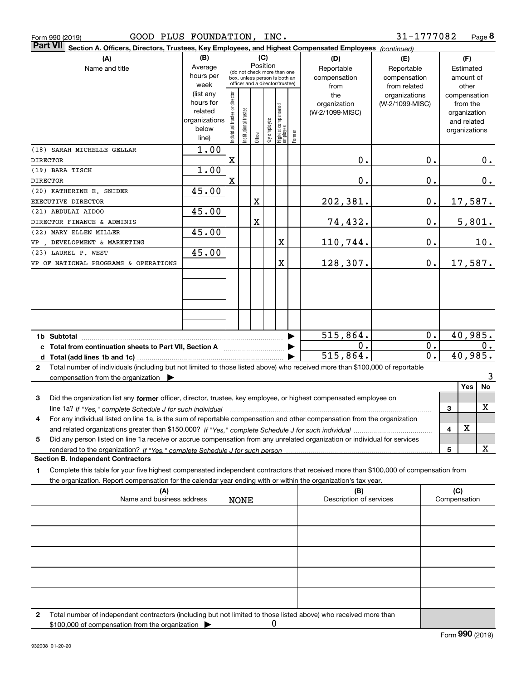| (A)                                                                                                                                             | (B)               | (C)<br>(D)<br>(E)                       |                       |         |              |                                                                  | (F)    |                          |                                  |                  |                |                |     |
|-------------------------------------------------------------------------------------------------------------------------------------------------|-------------------|-----------------------------------------|-----------------------|---------|--------------|------------------------------------------------------------------|--------|--------------------------|----------------------------------|------------------|----------------|----------------|-----|
| Name and title                                                                                                                                  | Average           | Position<br>(do not check more than one |                       |         |              |                                                                  |        | Reportable<br>Reportable |                                  |                  |                | Estimated      |     |
|                                                                                                                                                 | hours per         |                                         |                       |         |              | box, unless person is both an<br>officer and a director/trustee) |        | compensation             | compensation                     |                  |                | amount of      |     |
|                                                                                                                                                 | week<br>(list any |                                         |                       |         |              |                                                                  |        | from                     | from related                     |                  |                | other          |     |
|                                                                                                                                                 | hours for         |                                         |                       |         |              |                                                                  |        | the<br>organization      | organizations<br>(W-2/1099-MISC) |                  | compensation   | from the       |     |
|                                                                                                                                                 | related           |                                         |                       |         |              |                                                                  |        | (W-2/1099-MISC)          |                                  |                  |                | organization   |     |
|                                                                                                                                                 | organizations     |                                         |                       |         |              |                                                                  |        |                          |                                  |                  |                | and related    |     |
|                                                                                                                                                 | below             | Individual trustee or director          | Institutional trustee |         | key employee |                                                                  |        |                          |                                  |                  | organizations  |                |     |
|                                                                                                                                                 | line)             |                                         |                       | Officer |              | <br>  Highest compensated<br>  employee                          | Former |                          |                                  |                  |                |                |     |
| (18) SARAH MICHELLE GELLAR                                                                                                                      | 1.00              |                                         |                       |         |              |                                                                  |        |                          |                                  |                  |                |                |     |
| <b>DIRECTOR</b>                                                                                                                                 |                   | $\mathbf X$                             |                       |         |              |                                                                  |        | 0.                       |                                  | 0.               |                |                | 0.  |
| (19) BARA TISCH                                                                                                                                 | 1.00              |                                         |                       |         |              |                                                                  |        |                          |                                  |                  |                |                |     |
| <b>DIRECTOR</b>                                                                                                                                 |                   | $\mathbf X$                             |                       |         |              |                                                                  |        | 0.                       |                                  | 0.               |                |                | 0.  |
| (20) KATHERINE E. SNIDER                                                                                                                        | 45.00             |                                         |                       |         |              |                                                                  |        |                          |                                  |                  |                |                |     |
| EXECUTIVE DIRECTOR                                                                                                                              |                   |                                         |                       | Χ       |              |                                                                  |        | 202,381.                 |                                  | $\mathbf 0$ .    |                | <u>17,587.</u> |     |
| (21) ABDULAI AIDOO                                                                                                                              | 45.00             |                                         |                       |         |              |                                                                  |        |                          |                                  |                  |                |                |     |
| DIRECTOR FINANCE & ADMINIS                                                                                                                      |                   |                                         |                       | X       |              |                                                                  |        | 74,432.                  |                                  | 0.               |                | 5,801.         |     |
| (22) MARY ELLEN MILLER                                                                                                                          | 45.00             |                                         |                       |         |              |                                                                  |        |                          |                                  |                  |                |                |     |
| DEVELOPMENT & MARKETING<br>VP                                                                                                                   |                   |                                         |                       |         |              | X                                                                |        | 110,744.                 |                                  | 0.               |                |                | 10. |
| (23) LAUREL P. WEST                                                                                                                             | 45.00             |                                         |                       |         |              |                                                                  |        |                          |                                  |                  |                |                |     |
| VP OF NATIONAL PROGRAMS & OPERATIONS                                                                                                            |                   |                                         |                       |         |              | X                                                                |        | 128,307.                 |                                  | 0.               |                | 17,587.        |     |
|                                                                                                                                                 |                   |                                         |                       |         |              |                                                                  |        |                          |                                  |                  |                |                |     |
|                                                                                                                                                 |                   |                                         |                       |         |              |                                                                  |        |                          |                                  |                  |                |                |     |
|                                                                                                                                                 |                   |                                         |                       |         |              |                                                                  |        |                          |                                  |                  |                |                |     |
|                                                                                                                                                 |                   |                                         |                       |         |              |                                                                  |        |                          |                                  |                  |                |                |     |
|                                                                                                                                                 |                   |                                         |                       |         |              |                                                                  |        |                          |                                  |                  |                |                |     |
|                                                                                                                                                 |                   |                                         |                       |         |              |                                                                  |        |                          |                                  |                  |                |                |     |
|                                                                                                                                                 |                   |                                         |                       |         |              |                                                                  |        | 515,864.                 |                                  | 0.               |                | 40,985.        |     |
|                                                                                                                                                 |                   |                                         |                       |         |              |                                                                  |        | 0.                       |                                  | $0$ .            |                |                | 0.  |
|                                                                                                                                                 |                   |                                         |                       |         |              |                                                                  |        | 515,864.                 |                                  | $\overline{0}$ . |                | 40,985.        |     |
| Total number of individuals (including but not limited to those listed above) who received more than \$100,000 of reportable<br>$\mathbf{2}$    |                   |                                         |                       |         |              |                                                                  |        |                          |                                  |                  |                |                |     |
| compensation from the organization $\blacktriangleright$                                                                                        |                   |                                         |                       |         |              |                                                                  |        |                          |                                  |                  |                |                | 3   |
|                                                                                                                                                 |                   |                                         |                       |         |              |                                                                  |        |                          |                                  |                  |                | Yes            | No  |
| 3<br>Did the organization list any former officer, director, trustee, key employee, or highest compensated employee on                          |                   |                                         |                       |         |              |                                                                  |        |                          |                                  |                  |                |                |     |
| line 1a? If "Yes," complete Schedule J for such individual manufactured contained and the 1a? If "Yes," complete Schedule J for such individual |                   |                                         |                       |         |              |                                                                  |        |                          |                                  |                  | 3              |                | х   |
| For any individual listed on line 1a, is the sum of reportable compensation and other compensation from the organization<br>4                   |                   |                                         |                       |         |              |                                                                  |        |                          |                                  |                  |                |                |     |
|                                                                                                                                                 |                   |                                         |                       |         |              |                                                                  |        |                          |                                  |                  | $\overline{4}$ | X              |     |
| Did any person listed on line 1a receive or accrue compensation from any unrelated organization or individual for services<br>5                 |                   |                                         |                       |         |              |                                                                  |        |                          |                                  |                  |                |                |     |
|                                                                                                                                                 |                   |                                         |                       |         |              |                                                                  |        |                          |                                  |                  | 5              |                | x   |
| <b>Section B. Independent Contractors</b>                                                                                                       |                   |                                         |                       |         |              |                                                                  |        |                          |                                  |                  |                |                |     |
| Complete this table for your five highest compensated independent contractors that received more than \$100,000 of compensation from<br>1       |                   |                                         |                       |         |              |                                                                  |        |                          |                                  |                  |                |                |     |
| the organization. Report compensation for the calendar year ending with or within the organization's tax year.                                  |                   |                                         |                       |         |              |                                                                  |        |                          |                                  |                  |                |                |     |
| (A)                                                                                                                                             |                   |                                         |                       |         |              |                                                                  |        | (B)                      |                                  |                  | (C)            |                |     |
| Name and business address                                                                                                                       |                   |                                         | <b>NONE</b>           |         |              |                                                                  |        | Description of services  |                                  |                  | Compensation   |                |     |
|                                                                                                                                                 |                   |                                         |                       |         |              |                                                                  |        |                          |                                  |                  |                |                |     |
|                                                                                                                                                 |                   |                                         |                       |         |              |                                                                  |        |                          |                                  |                  |                |                |     |
|                                                                                                                                                 |                   |                                         |                       |         |              |                                                                  |        |                          |                                  |                  |                |                |     |
|                                                                                                                                                 |                   |                                         |                       |         |              |                                                                  |        |                          |                                  |                  |                |                |     |
|                                                                                                                                                 |                   |                                         |                       |         |              |                                                                  |        |                          |                                  |                  |                |                |     |
|                                                                                                                                                 |                   |                                         |                       |         |              |                                                                  |        |                          |                                  |                  |                |                |     |
|                                                                                                                                                 |                   |                                         |                       |         |              |                                                                  |        |                          |                                  |                  |                |                |     |
|                                                                                                                                                 |                   |                                         |                       |         |              |                                                                  |        |                          |                                  |                  |                |                |     |
|                                                                                                                                                 |                   |                                         |                       |         |              |                                                                  |        |                          |                                  |                  |                |                |     |

**Section A. Officers, Directors, Trustees, Key Employees, and Highest Compensated Employees** 

Part VII Section A. Officers, Directors, Trustees, Key Employees, and Highest Compensated Employees *(continued)* 

Form 990 (2019) GOOD PLUS FOUNDATION, INC. 3 $1\hbox{--}1777082 Page$ 

**2**Total number of independent contractors (including but not limited to those listed above) who received more than \$100,000 of compensation from the organization  $\blacktriangleright$ 0

**8**

31-1777082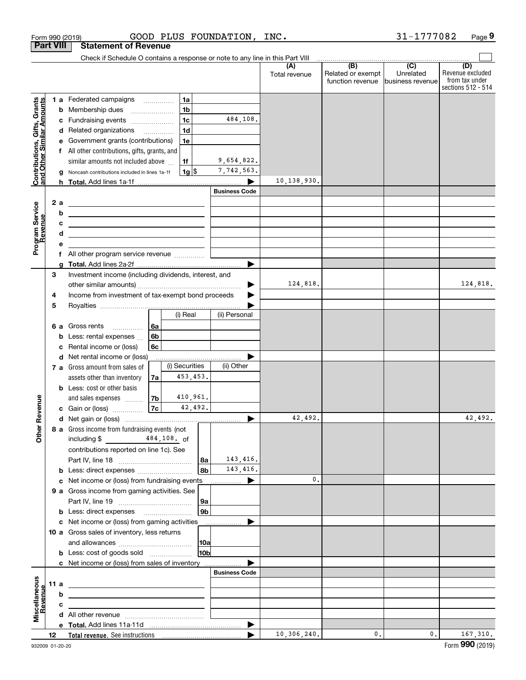|                                                           |                  |   | Form 990 (2019)                                                                                  |                |                |                 | GOOD PLUS FOUNDATION, | INC.                 |                                                                                              | 31-1777082                    | Page 9                                                          |
|-----------------------------------------------------------|------------------|---|--------------------------------------------------------------------------------------------------|----------------|----------------|-----------------|-----------------------|----------------------|----------------------------------------------------------------------------------------------|-------------------------------|-----------------------------------------------------------------|
|                                                           | <b>Part VIII</b> |   | <b>Statement of Revenue</b>                                                                      |                |                |                 |                       |                      |                                                                                              |                               |                                                                 |
|                                                           |                  |   | Check if Schedule O contains a response or note to any line in this Part VIII                    |                |                |                 |                       |                      |                                                                                              |                               |                                                                 |
|                                                           |                  |   |                                                                                                  |                |                |                 |                       | (A)<br>Total revenue | $\overline{(\mathsf{B})}$ $\overline{(\mathsf{C})}$<br>Related or exempt<br>function revenue | Unrelated<br>business revenue | (D)<br>Revenue excluded<br>from tax under<br>sections 512 - 514 |
|                                                           |                  |   | 1 a Federated campaigns                                                                          |                | 1a             |                 |                       |                      |                                                                                              |                               |                                                                 |
| Contributions, Gifts, Grants<br>and Other Similar Amounts |                  | b | Membership dues<br>$\overline{\phantom{a}}$                                                      |                | 1 <sub>b</sub> |                 |                       |                      |                                                                                              |                               |                                                                 |
|                                                           |                  | c | Fundraising events                                                                               |                | 1 <sub>c</sub> |                 | 484,108.              |                      |                                                                                              |                               |                                                                 |
|                                                           |                  |   | d Related organizations                                                                          |                | 1 <sub>d</sub> |                 |                       |                      |                                                                                              |                               |                                                                 |
|                                                           |                  |   | e Government grants (contributions)                                                              |                | 1e             |                 |                       |                      |                                                                                              |                               |                                                                 |
|                                                           |                  |   | All other contributions, gifts, grants, and                                                      |                |                |                 |                       |                      |                                                                                              |                               |                                                                 |
|                                                           |                  |   | similar amounts not included above                                                               |                | 1f             |                 | 9,654,822.            |                      |                                                                                              |                               |                                                                 |
|                                                           |                  |   | Noncash contributions included in lines 1a-1f                                                    |                | $1g$  \$       |                 | 7,742,563.            |                      |                                                                                              |                               |                                                                 |
|                                                           |                  | a |                                                                                                  |                |                |                 |                       | 10,138,930.          |                                                                                              |                               |                                                                 |
|                                                           |                  |   |                                                                                                  |                |                |                 | <b>Business Code</b>  |                      |                                                                                              |                               |                                                                 |
|                                                           |                  |   |                                                                                                  |                |                |                 |                       |                      |                                                                                              |                               |                                                                 |
| Program Service<br>Revenue                                | 2 a              |   | <u>experience</u> and the control of the control of the control of the control of the control of |                |                |                 |                       |                      |                                                                                              |                               |                                                                 |
|                                                           |                  | b | <u> 1989 - Johann John Stein, fransk politik (f. 1989)</u>                                       |                |                |                 |                       |                      |                                                                                              |                               |                                                                 |
|                                                           |                  | с | <u> 1980 - John Stein, Amerikaansk politiker (</u>                                               |                |                |                 |                       |                      |                                                                                              |                               |                                                                 |
|                                                           |                  | d | the contract of the contract of the contract of the contract of the contract of                  |                |                |                 |                       |                      |                                                                                              |                               |                                                                 |
|                                                           |                  | е |                                                                                                  |                |                |                 |                       |                      |                                                                                              |                               |                                                                 |
|                                                           |                  |   | f All other program service revenue                                                              |                |                |                 |                       |                      |                                                                                              |                               |                                                                 |
|                                                           |                  | a |                                                                                                  |                |                |                 |                       |                      |                                                                                              |                               |                                                                 |
|                                                           | 3                |   | Investment income (including dividends, interest, and                                            |                |                |                 |                       |                      |                                                                                              |                               |                                                                 |
|                                                           |                  |   |                                                                                                  |                |                |                 |                       | 124,818.             |                                                                                              |                               | 124,818.                                                        |
|                                                           | 4                |   | Income from investment of tax-exempt bond proceeds                                               |                |                |                 |                       |                      |                                                                                              |                               |                                                                 |
|                                                           | 5                |   |                                                                                                  |                |                |                 |                       |                      |                                                                                              |                               |                                                                 |
|                                                           |                  |   |                                                                                                  |                | (i) Real       |                 | (ii) Personal         |                      |                                                                                              |                               |                                                                 |
|                                                           | 6а               |   | Gross rents                                                                                      | 6a             |                |                 |                       |                      |                                                                                              |                               |                                                                 |
|                                                           |                  | b | Less: rental expenses                                                                            | 6b             |                |                 |                       |                      |                                                                                              |                               |                                                                 |
|                                                           |                  | c | Rental income or (loss)                                                                          | 6c             |                |                 |                       |                      |                                                                                              |                               |                                                                 |
|                                                           |                  |   | d Net rental income or (loss)                                                                    |                |                |                 |                       |                      |                                                                                              |                               |                                                                 |
|                                                           |                  |   | 7 a Gross amount from sales of                                                                   |                | (i) Securities |                 | (ii) Other            |                      |                                                                                              |                               |                                                                 |
|                                                           |                  |   | assets other than inventory                                                                      | 7a             | 453, 453.      |                 |                       |                      |                                                                                              |                               |                                                                 |
|                                                           |                  |   | <b>b</b> Less: cost or other basis                                                               |                |                |                 |                       |                      |                                                                                              |                               |                                                                 |
|                                                           |                  |   |                                                                                                  | 7 <sub>b</sub> | 410,961.       |                 |                       |                      |                                                                                              |                               |                                                                 |
| evenue                                                    |                  |   | and sales expenses                                                                               | 7c             | 42,492.        |                 |                       |                      |                                                                                              |                               |                                                                 |
|                                                           |                  |   | c Gain or (loss)                                                                                 |                |                |                 |                       | 42,492.              |                                                                                              |                               | 42,492.                                                         |
| œ                                                         |                  |   |                                                                                                  |                |                |                 |                       |                      |                                                                                              |                               |                                                                 |
| Other                                                     |                  |   | 8 a Gross income from fundraising events (not                                                    |                |                |                 |                       |                      |                                                                                              |                               |                                                                 |
|                                                           |                  |   | including \$ 484, 108. of                                                                        |                |                |                 |                       |                      |                                                                                              |                               |                                                                 |
|                                                           |                  |   | contributions reported on line 1c). See                                                          |                |                |                 |                       |                      |                                                                                              |                               |                                                                 |
|                                                           |                  |   |                                                                                                  |                |                | 8а              | 143,416.              |                      |                                                                                              |                               |                                                                 |
|                                                           |                  |   |                                                                                                  |                |                | 8b              | 143,416.              |                      |                                                                                              |                               |                                                                 |
|                                                           |                  |   |                                                                                                  |                |                |                 |                       | $\mathbf{0}$ .       |                                                                                              |                               |                                                                 |
|                                                           |                  |   | 9 a Gross income from gaming activities. See                                                     |                |                |                 |                       |                      |                                                                                              |                               |                                                                 |
|                                                           |                  |   |                                                                                                  |                |                | 9a              |                       |                      |                                                                                              |                               |                                                                 |
|                                                           |                  |   | <b>b</b> Less: direct expenses <b>manually</b>                                                   |                |                | 9 <sub>b</sub>  |                       |                      |                                                                                              |                               |                                                                 |
|                                                           |                  |   | c Net income or (loss) from gaming activities                                                    |                |                |                 |                       |                      |                                                                                              |                               |                                                                 |
|                                                           |                  |   | 10 a Gross sales of inventory, less returns                                                      |                |                |                 |                       |                      |                                                                                              |                               |                                                                 |
|                                                           |                  |   |                                                                                                  |                |                | 10a             |                       |                      |                                                                                              |                               |                                                                 |
|                                                           |                  |   | <b>b</b> Less: cost of goods sold                                                                |                |                | 10 <sub>b</sub> |                       |                      |                                                                                              |                               |                                                                 |
|                                                           |                  |   | c Net income or (loss) from sales of inventory                                                   |                |                |                 |                       |                      |                                                                                              |                               |                                                                 |
|                                                           |                  |   |                                                                                                  |                |                |                 | <b>Business Code</b>  |                      |                                                                                              |                               |                                                                 |
|                                                           | 11 a             |   | the contract of the contract of the contract of the contract of the contract of                  |                |                |                 |                       |                      |                                                                                              |                               |                                                                 |
| Revenue                                                   |                  | b |                                                                                                  |                |                |                 |                       |                      |                                                                                              |                               |                                                                 |
|                                                           |                  | c | the control of the control of the control of the control of the control of the control of        |                |                |                 |                       |                      |                                                                                              |                               |                                                                 |
| Miscellaneous                                             |                  |   | the contract of the contract of the contract of the contract of the contract of                  |                |                |                 |                       |                      |                                                                                              |                               |                                                                 |
|                                                           |                  |   |                                                                                                  |                |                |                 | $\blacktriangleright$ |                      |                                                                                              |                               |                                                                 |
|                                                           | 12               |   |                                                                                                  |                |                |                 | ▶                     | 10,306,240.          | 0.                                                                                           | 0.                            | 167,310.                                                        |
|                                                           |                  |   |                                                                                                  |                |                |                 |                       |                      |                                                                                              |                               |                                                                 |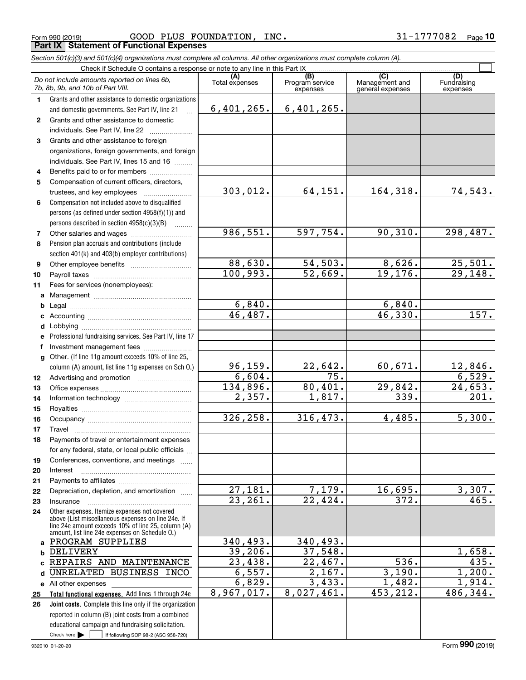Form 990 (2019) Page **Part IX Statement of Functional Expenses** GOOD PLUS FOUNDATION, INC. 31-1777082

*Section 501(c)(3) and 501(c)(4) organizations must complete all columns. All other organizations must complete column (A).*

|              | Do not include amounts reported on lines 6b,<br>7b, 8b, 9b, and 10b of Part VIII.                                                                                                                          | (A)<br>Total expenses | (B)<br>Program service<br>expenses | (C)<br>Management and<br>general expenses | (D)<br>Fundraising<br>expenses |
|--------------|------------------------------------------------------------------------------------------------------------------------------------------------------------------------------------------------------------|-----------------------|------------------------------------|-------------------------------------------|--------------------------------|
| 1.           | Grants and other assistance to domestic organizations                                                                                                                                                      |                       |                                    |                                           |                                |
|              | and domestic governments. See Part IV, line 21                                                                                                                                                             | 6,401,265.            | 6,401,265.                         |                                           |                                |
| $\mathbf{2}$ | Grants and other assistance to domestic                                                                                                                                                                    |                       |                                    |                                           |                                |
|              | individuals. See Part IV, line 22                                                                                                                                                                          |                       |                                    |                                           |                                |
| 3            | Grants and other assistance to foreign                                                                                                                                                                     |                       |                                    |                                           |                                |
|              | organizations, foreign governments, and foreign                                                                                                                                                            |                       |                                    |                                           |                                |
|              | individuals. See Part IV, lines 15 and 16                                                                                                                                                                  |                       |                                    |                                           |                                |
| 4            | Benefits paid to or for members                                                                                                                                                                            |                       |                                    |                                           |                                |
| 5            | Compensation of current officers, directors,                                                                                                                                                               |                       |                                    |                                           |                                |
|              | trustees, and key employees                                                                                                                                                                                | 303,012.              | 64,151.                            | 164, 318.                                 | 74,543.                        |
| 6            | Compensation not included above to disqualified                                                                                                                                                            |                       |                                    |                                           |                                |
|              | persons (as defined under section 4958(f)(1)) and                                                                                                                                                          |                       |                                    |                                           |                                |
|              | persons described in section 4958(c)(3)(B)                                                                                                                                                                 |                       |                                    |                                           |                                |
| 7            | Other salaries and wages                                                                                                                                                                                   | 986, 551.             | 597,754.                           | 90, 310.                                  | 298,487.                       |
| 8            | Pension plan accruals and contributions (include                                                                                                                                                           |                       |                                    |                                           |                                |
|              | section 401(k) and 403(b) employer contributions)                                                                                                                                                          |                       |                                    |                                           |                                |
| 9            |                                                                                                                                                                                                            | 88,630.               | 54, 503.                           | 8,626.                                    | 25,501.                        |
| 10           |                                                                                                                                                                                                            | 100,993.              | 52,669.                            | 19, 176.                                  | 29,148.                        |
| 11           | Fees for services (nonemployees):                                                                                                                                                                          |                       |                                    |                                           |                                |
| a            |                                                                                                                                                                                                            |                       |                                    |                                           |                                |
| b            |                                                                                                                                                                                                            | 6,840.<br>46, 487.    |                                    | 6,840.<br>46,330.                         | 157.                           |
| c            |                                                                                                                                                                                                            |                       |                                    |                                           |                                |
| d            |                                                                                                                                                                                                            |                       |                                    |                                           |                                |
| e            | Professional fundraising services. See Part IV, line 17                                                                                                                                                    |                       |                                    |                                           |                                |
| f            | Investment management fees                                                                                                                                                                                 |                       |                                    |                                           |                                |
| $\mathbf{q}$ | Other. (If line 11g amount exceeds 10% of line 25,                                                                                                                                                         | 96, 159.              | 22,642.                            | 60,671.                                   | 12,846.                        |
|              | column (A) amount, list line 11g expenses on Sch O.)                                                                                                                                                       | 6,604.                | 75.                                |                                           | 6,529.                         |
| 12<br>13     |                                                                                                                                                                                                            | 134,896.              | 80,401.                            | 29,842.                                   | 24,653.                        |
| 14           |                                                                                                                                                                                                            | 2,357.                | $\overline{1}$ , 817.              | 339.                                      | 201.                           |
| 15           |                                                                                                                                                                                                            |                       |                                    |                                           |                                |
| 16           |                                                                                                                                                                                                            | 326,258.              | 316,473.                           | 4,485.                                    | 5,300.                         |
| 17           | Travel                                                                                                                                                                                                     |                       |                                    |                                           |                                |
| 18           | Payments of travel or entertainment expenses                                                                                                                                                               |                       |                                    |                                           |                                |
|              | for any federal, state, or local public officials                                                                                                                                                          |                       |                                    |                                           |                                |
| 19           | Conferences, conventions, and meetings                                                                                                                                                                     |                       |                                    |                                           |                                |
| 20           | Interest                                                                                                                                                                                                   |                       |                                    |                                           |                                |
| 21           |                                                                                                                                                                                                            |                       |                                    |                                           |                                |
| 22           | Depreciation, depletion, and amortization                                                                                                                                                                  | $\overline{27,181}$ . | 7,179.                             | 16,695.                                   | 3,307.                         |
| 23           | Insurance                                                                                                                                                                                                  | 23, 261.              | $\overline{22}$ , 424.             | $\overline{372}$ .                        | 465.                           |
| 24           | Other expenses. Itemize expenses not covered<br>above (List miscellaneous expenses on line 24e. If<br>line 24e amount exceeds 10% of line 25, column (A)<br>amount, list line 24e expenses on Schedule 0.) |                       |                                    |                                           |                                |
| a            | PROGRAM SUPPLIES                                                                                                                                                                                           | 340, 493.             | 340,493.                           |                                           |                                |
| b            | DELIVERY                                                                                                                                                                                                   | 39,206.               | 37,548.                            |                                           | 1,658.                         |
| c.           | REPAIRS AND MAINTENANCE                                                                                                                                                                                    | 23,438.               | 22,467.                            | $\overline{536}$ .                        | 435.                           |
| d            | UNRELATED BUSINESS INCO                                                                                                                                                                                    | 6,557.                | $\overline{2,167}$ .               | 3,190.                                    | 1,200.                         |
|              | e All other expenses                                                                                                                                                                                       | 6,829.                | 3,433.                             | 1,482.                                    | 1,914.                         |
| 25           | Total functional expenses. Add lines 1 through 24e                                                                                                                                                         | 8,967,017.            | 8,027,461.                         | 453,212.                                  | 486,344.                       |
| 26           | Joint costs. Complete this line only if the organization                                                                                                                                                   |                       |                                    |                                           |                                |
|              | reported in column (B) joint costs from a combined                                                                                                                                                         |                       |                                    |                                           |                                |
|              | educational campaign and fundraising solicitation.                                                                                                                                                         |                       |                                    |                                           |                                |
|              | Check here $\blacktriangleright$<br>if following SOP 98-2 (ASC 958-720)                                                                                                                                    |                       |                                    |                                           |                                |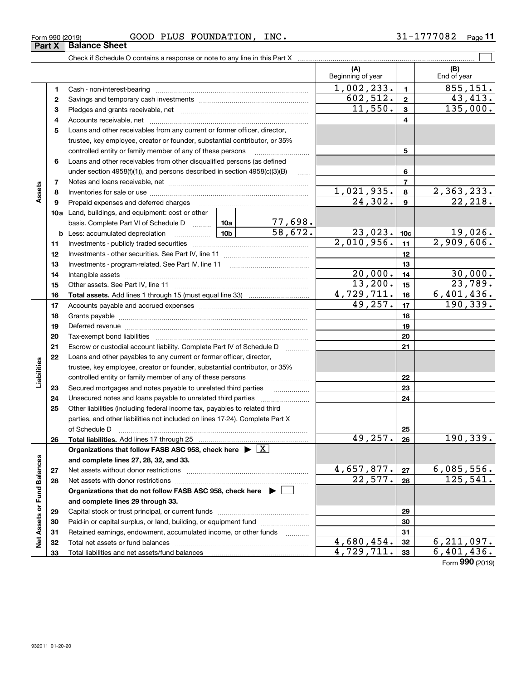| Form 990 (2019) | <b>GOOD</b> | PLUS<br><b>FOUNDATION,</b> | INC. | 777082 | Page |
|-----------------|-------------|----------------------------|------|--------|------|
|                 |             |                            |      |        |      |

|                             |          |                                                                                                                                                    |          |                          | (A)<br>Beginning of year |                  | (B)<br>End of year         |
|-----------------------------|----------|----------------------------------------------------------------------------------------------------------------------------------------------------|----------|--------------------------|--------------------------|------------------|----------------------------|
|                             | 1        |                                                                                                                                                    |          |                          | 1,002,233.               | $\mathbf{1}$     | 855, 151.                  |
|                             | 2        |                                                                                                                                                    | 602,512. | $\mathbf{2}$             | 43,413.                  |                  |                            |
|                             | 3        |                                                                                                                                                    | 11,550.  | $\mathbf{3}$             | 135,000.                 |                  |                            |
|                             | 4        |                                                                                                                                                    |          | 4                        |                          |                  |                            |
|                             | 5        | Loans and other receivables from any current or former officer, director,                                                                          |          |                          |                          |                  |                            |
|                             |          | trustee, key employee, creator or founder, substantial contributor, or 35%                                                                         |          |                          |                          |                  |                            |
|                             |          |                                                                                                                                                    |          | 5                        |                          |                  |                            |
|                             | 6        | Loans and other receivables from other disqualified persons (as defined                                                                            |          |                          |                          |                  |                            |
|                             |          | under section 4958(f)(1)), and persons described in section 4958(c)(3)(B)                                                                          |          | 6                        |                          |                  |                            |
|                             | 7        |                                                                                                                                                    |          |                          |                          | $\overline{7}$   |                            |
| Assets                      | 8        |                                                                                                                                                    |          |                          | 1,021,935.               | 8                | 2,363,233.                 |
|                             | 9        |                                                                                                                                                    |          |                          | 24,302.                  | $\boldsymbol{9}$ | 22,218.                    |
|                             |          | 10a Land, buildings, and equipment: cost or other                                                                                                  |          |                          |                          |                  |                            |
|                             |          | basis. Complete Part VI of Schedule D  10a                                                                                                         |          | 77,698.                  |                          |                  |                            |
|                             |          |                                                                                                                                                    |          | 58,672.                  | 23,023.                  | 10 <sub>c</sub>  | 19,026.                    |
|                             | 11       |                                                                                                                                                    |          | $\overline{2,010,956}$ . | 11                       | 2,909,606.       |                            |
|                             | 12       |                                                                                                                                                    |          | 12                       |                          |                  |                            |
|                             | 13       |                                                                                                                                                    |          |                          | 13                       |                  |                            |
|                             | 14       |                                                                                                                                                    | 20,000.  | 14                       | 30,000.                  |                  |                            |
|                             | 15       |                                                                                                                                                    | 13,200.  | 15                       | 23,789.                  |                  |                            |
|                             | 16       |                                                                                                                                                    |          |                          | 4,729,711.               | 16               | $\overline{6, 401, 436}$ . |
|                             | 17       |                                                                                                                                                    | 49,257.  | 17                       | 190, 339.                |                  |                            |
|                             | 18       |                                                                                                                                                    |          | 18                       |                          |                  |                            |
|                             | 19       |                                                                                                                                                    |          |                          |                          | 19               |                            |
|                             | 20       |                                                                                                                                                    |          |                          |                          | 20               |                            |
|                             | 21<br>22 | Escrow or custodial account liability. Complete Part IV of Schedule D                                                                              |          |                          |                          | 21               |                            |
| Liabilities                 |          | Loans and other payables to any current or former officer, director,<br>trustee, key employee, creator or founder, substantial contributor, or 35% |          |                          |                          |                  |                            |
|                             |          | controlled entity or family member of any of these persons                                                                                         |          |                          |                          | 22               |                            |
|                             | 23       | Secured mortgages and notes payable to unrelated third parties                                                                                     |          |                          |                          | 23               |                            |
|                             | 24       |                                                                                                                                                    |          |                          |                          | 24               |                            |
|                             | 25       | Other liabilities (including federal income tax, payables to related third                                                                         |          |                          |                          |                  |                            |
|                             |          | parties, and other liabilities not included on lines 17-24). Complete Part X                                                                       |          |                          |                          |                  |                            |
|                             |          |                                                                                                                                                    |          |                          |                          | 25               |                            |
|                             | 26       | Total liabilities. Add lines 17 through 25                                                                                                         |          |                          | 49,257.                  | 26               | 190,339.                   |
|                             |          | Organizations that follow FASB ASC 958, check here $\triangleright \lfloor X \rfloor$                                                              |          |                          |                          |                  |                            |
|                             |          | and complete lines 27, 28, 32, and 33.                                                                                                             |          |                          |                          |                  |                            |
|                             | 27       |                                                                                                                                                    |          |                          | 4,657,877.               | 27               | 6,085,556.                 |
|                             | 28       |                                                                                                                                                    |          |                          | 22,577.                  | 28               | 125,541.                   |
|                             |          | Organizations that do not follow FASB ASC 958, check here $\blacktriangleright$                                                                    |          |                          |                          |                  |                            |
| Net Assets or Fund Balances |          | and complete lines 29 through 33.                                                                                                                  |          |                          |                          |                  |                            |
|                             | 29       |                                                                                                                                                    |          |                          |                          | 29               |                            |
|                             | 30       | Paid-in or capital surplus, or land, building, or equipment fund                                                                                   |          |                          |                          | 30               |                            |
|                             | 31       | Retained earnings, endowment, accumulated income, or other funds                                                                                   |          |                          |                          | 31               |                            |
|                             | 32       |                                                                                                                                                    |          |                          | 4,680,454.               | 32               | 6, 211, 097.               |
|                             | 33       |                                                                                                                                                    |          |                          | 4,729,711.               | 33               | 6,401,436.                 |

Form (2019) **990**

## **Part X Balance Sheet**

| Form 990 (2019) |  |  |
|-----------------|--|--|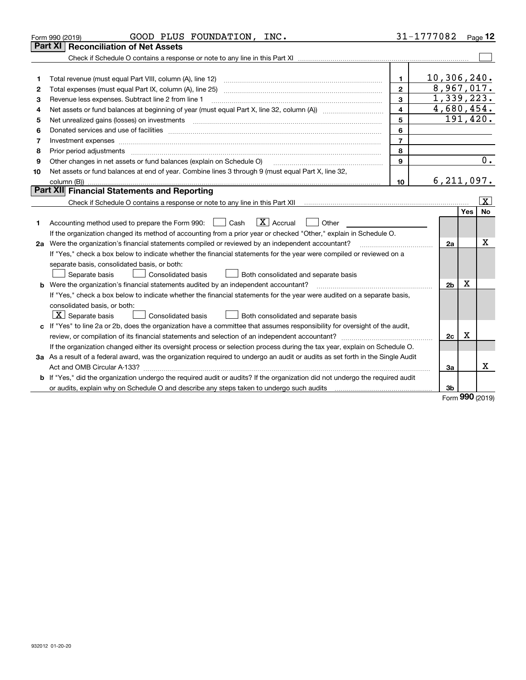|    | GOOD PLUS FOUNDATION, INC.<br>Form 990 (2019)                                                                                                                                                                                  |                         | 31-1777082     |         | $Page$ 12               |
|----|--------------------------------------------------------------------------------------------------------------------------------------------------------------------------------------------------------------------------------|-------------------------|----------------|---------|-------------------------|
|    | <b>Reconciliation of Net Assets</b><br>Part XI                                                                                                                                                                                 |                         |                |         |                         |
|    |                                                                                                                                                                                                                                |                         |                |         |                         |
|    |                                                                                                                                                                                                                                |                         |                |         |                         |
| 1  | Total revenue (must equal Part VIII, column (A), line 12)                                                                                                                                                                      | $\mathbf{1}$            | 10, 306, 240.  |         |                         |
| 2  | Total expenses (must equal Part IX, column (A), line 25)                                                                                                                                                                       | $\overline{2}$          | 8,967,017.     |         |                         |
| 3  | Revenue less expenses. Subtract line 2 from line 1                                                                                                                                                                             | $\mathbf{3}$            | 1,339,223.     |         |                         |
| 4  |                                                                                                                                                                                                                                | $\overline{\mathbf{4}}$ | 4,680,454.     |         |                         |
| 5  | Net unrealized gains (losses) on investments with an annumerous contract and a set of the set of the set of the                                                                                                                | 5                       | 191,420.       |         |                         |
| 6  | Donated services and use of facilities [111] Donated and the service of facilities [11] Donated services and use of facilities [11] Donated and the service of the service of the service of the service of the service of the | 6                       |                |         |                         |
| 7  | Investment expenses www.communication.com/www.communication.com/www.communication.com/www.com                                                                                                                                  | $\overline{7}$          |                |         |                         |
| 8  | Prior period adjustments                                                                                                                                                                                                       | 8                       |                |         |                         |
| 9  | Other changes in net assets or fund balances (explain on Schedule O)                                                                                                                                                           | 9                       |                |         | $\overline{0}$ .        |
| 10 | Net assets or fund balances at end of year. Combine lines 3 through 9 (must equal Part X, line 32,                                                                                                                             |                         |                |         |                         |
|    |                                                                                                                                                                                                                                | 10                      | 6, 211, 097.   |         |                         |
|    | <b>Part XII Financial Statements and Reporting</b>                                                                                                                                                                             |                         |                |         |                         |
|    |                                                                                                                                                                                                                                |                         |                |         | $\overline{\mathbf{x}}$ |
|    |                                                                                                                                                                                                                                |                         |                | Yes     | No                      |
| 1  | $ X $ Accrual<br>Accounting method used to prepare the Form 990: <u>June</u> Cash<br>Other                                                                                                                                     |                         |                |         |                         |
|    | If the organization changed its method of accounting from a prior year or checked "Other," explain in Schedule O.                                                                                                              |                         |                |         |                         |
|    | 2a Were the organization's financial statements compiled or reviewed by an independent accountant?                                                                                                                             |                         | 2a             |         | х                       |
|    | If "Yes," check a box below to indicate whether the financial statements for the year were compiled or reviewed on a                                                                                                           |                         |                |         |                         |
|    | separate basis, consolidated basis, or both:                                                                                                                                                                                   |                         |                |         |                         |
|    | Separate basis<br><b>Consolidated basis</b><br>Both consolidated and separate basis                                                                                                                                            |                         |                |         |                         |
| b  | Were the organization's financial statements audited by an independent accountant?                                                                                                                                             |                         | 2 <sub>b</sub> | X       |                         |
|    | If "Yes," check a box below to indicate whether the financial statements for the year were audited on a separate basis,                                                                                                        |                         |                |         |                         |
|    | consolidated basis, or both:                                                                                                                                                                                                   |                         |                |         |                         |
|    | $ \mathbf{X} $ Separate basis<br><b>Consolidated basis</b><br>Both consolidated and separate basis                                                                                                                             |                         |                |         |                         |
|    | c If "Yes" to line 2a or 2b, does the organization have a committee that assumes responsibility for oversight of the audit,                                                                                                    |                         |                |         |                         |
|    |                                                                                                                                                                                                                                |                         | 2c             | х       |                         |
|    | If the organization changed either its oversight process or selection process during the tax year, explain on Schedule O.                                                                                                      |                         |                |         |                         |
|    | 3a As a result of a federal award, was the organization required to undergo an audit or audits as set forth in the Single Audit                                                                                                |                         |                |         |                         |
|    |                                                                                                                                                                                                                                |                         | 3a             |         | x                       |
|    | b If "Yes," did the organization undergo the required audit or audits? If the organization did not undergo the required audit                                                                                                  |                         |                |         |                         |
|    |                                                                                                                                                                                                                                |                         | 3b             | <b></b> |                         |

Form (2019) **990**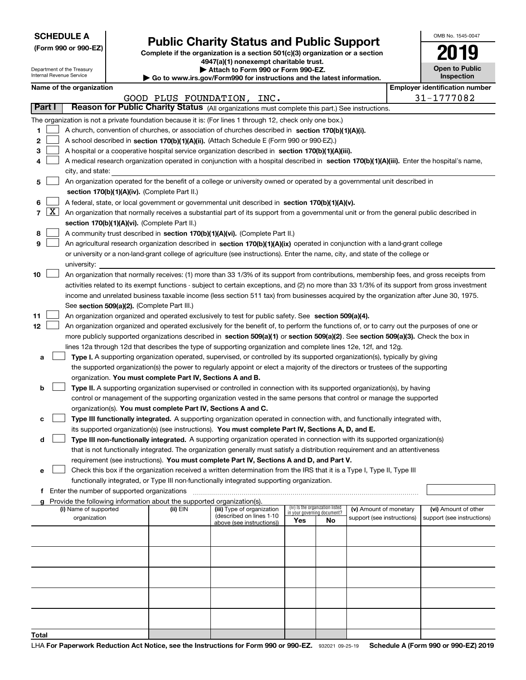Department of the Treasury Internal Revenue Service

| (Form 990 or 990-EZ) |  |  |  |  |
|----------------------|--|--|--|--|
|----------------------|--|--|--|--|

## **Public Charity Status and Public Support**

**Complete if the organization is a section 501(c)(3) organization or a section 4947(a)(1) nonexempt charitable trust.**

**| Attach to Form 990 or Form 990-EZ.** 

**| Go to www.irs.gov/Form990 for instructions and the latest information.**

| OMB No 1545-0047                    |
|-------------------------------------|
| 2019                                |
| <b>Open to Public</b><br>Inspection |

|        | Name of the organization<br><b>Employer identification number</b> |                                                                                                                                                                                      |                            |                            |     |                                                                      |                            |                            |  |  |
|--------|-------------------------------------------------------------------|--------------------------------------------------------------------------------------------------------------------------------------------------------------------------------------|----------------------------|----------------------------|-----|----------------------------------------------------------------------|----------------------------|----------------------------|--|--|
|        |                                                                   |                                                                                                                                                                                      | GOOD PLUS FOUNDATION, INC. |                            |     |                                                                      |                            | 31-1777082                 |  |  |
| Part I |                                                                   | Reason for Public Charity Status (All organizations must complete this part.) See instructions.                                                                                      |                            |                            |     |                                                                      |                            |                            |  |  |
|        |                                                                   | The organization is not a private foundation because it is: (For lines 1 through 12, check only one box.)                                                                            |                            |                            |     |                                                                      |                            |                            |  |  |
| 1      |                                                                   | A church, convention of churches, or association of churches described in section 170(b)(1)(A)(i).                                                                                   |                            |                            |     |                                                                      |                            |                            |  |  |
| 2      |                                                                   | A school described in section 170(b)(1)(A)(ii). (Attach Schedule E (Form 990 or 990-EZ).)                                                                                            |                            |                            |     |                                                                      |                            |                            |  |  |
| з      |                                                                   | A hospital or a cooperative hospital service organization described in section 170(b)(1)(A)(iii).                                                                                    |                            |                            |     |                                                                      |                            |                            |  |  |
| 4      |                                                                   | A medical research organization operated in conjunction with a hospital described in section 170(b)(1)(A)(iii). Enter the hospital's name,                                           |                            |                            |     |                                                                      |                            |                            |  |  |
|        |                                                                   | city, and state:                                                                                                                                                                     |                            |                            |     |                                                                      |                            |                            |  |  |
| 5      |                                                                   | An organization operated for the benefit of a college or university owned or operated by a governmental unit described in                                                            |                            |                            |     |                                                                      |                            |                            |  |  |
|        |                                                                   | section 170(b)(1)(A)(iv). (Complete Part II.)                                                                                                                                        |                            |                            |     |                                                                      |                            |                            |  |  |
| 6      |                                                                   | A federal, state, or local government or governmental unit described in section 170(b)(1)(A)(v).                                                                                     |                            |                            |     |                                                                      |                            |                            |  |  |
| 7      | $\boxed{\text{X}}$                                                | An organization that normally receives a substantial part of its support from a governmental unit or from the general public described in                                            |                            |                            |     |                                                                      |                            |                            |  |  |
|        |                                                                   | section 170(b)(1)(A)(vi). (Complete Part II.)                                                                                                                                        |                            |                            |     |                                                                      |                            |                            |  |  |
| 8      |                                                                   | A community trust described in section 170(b)(1)(A)(vi). (Complete Part II.)                                                                                                         |                            |                            |     |                                                                      |                            |                            |  |  |
| 9      |                                                                   | An agricultural research organization described in section 170(b)(1)(A)(ix) operated in conjunction with a land-grant college                                                        |                            |                            |     |                                                                      |                            |                            |  |  |
|        |                                                                   | or university or a non-land-grant college of agriculture (see instructions). Enter the name, city, and state of the college or                                                       |                            |                            |     |                                                                      |                            |                            |  |  |
|        |                                                                   | university:                                                                                                                                                                          |                            |                            |     |                                                                      |                            |                            |  |  |
| 10     |                                                                   | An organization that normally receives: (1) more than 33 1/3% of its support from contributions, membership fees, and gross receipts from                                            |                            |                            |     |                                                                      |                            |                            |  |  |
|        |                                                                   | activities related to its exempt functions - subject to certain exceptions, and (2) no more than 33 1/3% of its support from gross investment                                        |                            |                            |     |                                                                      |                            |                            |  |  |
|        |                                                                   | income and unrelated business taxable income (less section 511 tax) from businesses acquired by the organization after June 30, 1975.<br>See section 509(a)(2). (Complete Part III.) |                            |                            |     |                                                                      |                            |                            |  |  |
| 11     |                                                                   | An organization organized and operated exclusively to test for public safety. See section 509(a)(4).                                                                                 |                            |                            |     |                                                                      |                            |                            |  |  |
| 12     |                                                                   | An organization organized and operated exclusively for the benefit of, to perform the functions of, or to carry out the purposes of one or                                           |                            |                            |     |                                                                      |                            |                            |  |  |
|        |                                                                   | more publicly supported organizations described in section 509(a)(1) or section 509(a)(2). See section 509(a)(3). Check the box in                                                   |                            |                            |     |                                                                      |                            |                            |  |  |
|        |                                                                   | lines 12a through 12d that describes the type of supporting organization and complete lines 12e, 12f, and 12g.                                                                       |                            |                            |     |                                                                      |                            |                            |  |  |
| а      |                                                                   | Type I. A supporting organization operated, supervised, or controlled by its supported organization(s), typically by giving                                                          |                            |                            |     |                                                                      |                            |                            |  |  |
|        |                                                                   | the supported organization(s) the power to regularly appoint or elect a majority of the directors or trustees of the supporting                                                      |                            |                            |     |                                                                      |                            |                            |  |  |
|        |                                                                   | organization. You must complete Part IV, Sections A and B.                                                                                                                           |                            |                            |     |                                                                      |                            |                            |  |  |
| b      |                                                                   | Type II. A supporting organization supervised or controlled in connection with its supported organization(s), by having                                                              |                            |                            |     |                                                                      |                            |                            |  |  |
|        |                                                                   | control or management of the supporting organization vested in the same persons that control or manage the supported                                                                 |                            |                            |     |                                                                      |                            |                            |  |  |
|        |                                                                   | organization(s). You must complete Part IV, Sections A and C.                                                                                                                        |                            |                            |     |                                                                      |                            |                            |  |  |
|        |                                                                   | Type III functionally integrated. A supporting organization operated in connection with, and functionally integrated with,                                                           |                            |                            |     |                                                                      |                            |                            |  |  |
|        |                                                                   | its supported organization(s) (see instructions). You must complete Part IV, Sections A, D, and E.                                                                                   |                            |                            |     |                                                                      |                            |                            |  |  |
| d      |                                                                   | Type III non-functionally integrated. A supporting organization operated in connection with its supported organization(s)                                                            |                            |                            |     |                                                                      |                            |                            |  |  |
|        |                                                                   | that is not functionally integrated. The organization generally must satisfy a distribution requirement and an attentiveness                                                         |                            |                            |     |                                                                      |                            |                            |  |  |
|        |                                                                   | requirement (see instructions). You must complete Part IV, Sections A and D, and Part V.                                                                                             |                            |                            |     |                                                                      |                            |                            |  |  |
| е      |                                                                   | Check this box if the organization received a written determination from the IRS that it is a Type I, Type II, Type III                                                              |                            |                            |     |                                                                      |                            |                            |  |  |
|        |                                                                   | functionally integrated, or Type III non-functionally integrated supporting organization.                                                                                            |                            |                            |     |                                                                      |                            |                            |  |  |
| f      |                                                                   | Enter the number of supported organizations                                                                                                                                          |                            |                            |     |                                                                      |                            |                            |  |  |
|        |                                                                   | Provide the following information about the supported organization(s).<br>(i) Name of supported                                                                                      | (ii) EIN                   | (iii) Type of organization |     |                                                                      | (v) Amount of monetary     | (vi) Amount of other       |  |  |
|        |                                                                   | organization                                                                                                                                                                         |                            | (described on lines 1-10   | Yes | (iv) Is the organization listed<br>in your governing document?<br>No | support (see instructions) | support (see instructions) |  |  |
|        |                                                                   |                                                                                                                                                                                      |                            | above (see instructions))  |     |                                                                      |                            |                            |  |  |
|        |                                                                   |                                                                                                                                                                                      |                            |                            |     |                                                                      |                            |                            |  |  |
|        |                                                                   |                                                                                                                                                                                      |                            |                            |     |                                                                      |                            |                            |  |  |
|        |                                                                   |                                                                                                                                                                                      |                            |                            |     |                                                                      |                            |                            |  |  |
|        |                                                                   |                                                                                                                                                                                      |                            |                            |     |                                                                      |                            |                            |  |  |
|        |                                                                   |                                                                                                                                                                                      |                            |                            |     |                                                                      |                            |                            |  |  |
|        |                                                                   |                                                                                                                                                                                      |                            |                            |     |                                                                      |                            |                            |  |  |
|        |                                                                   |                                                                                                                                                                                      |                            |                            |     |                                                                      |                            |                            |  |  |
|        |                                                                   |                                                                                                                                                                                      |                            |                            |     |                                                                      |                            |                            |  |  |
|        |                                                                   |                                                                                                                                                                                      |                            |                            |     |                                                                      |                            |                            |  |  |
| Total  |                                                                   |                                                                                                                                                                                      |                            |                            |     |                                                                      |                            |                            |  |  |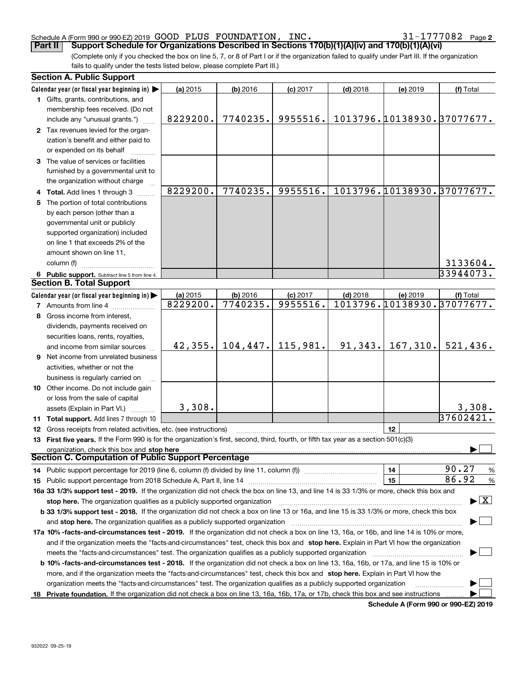#### Schedule A (Form 990 or 990-EZ) 2019 Page GOOD PLUS FOUNDATION, INC. 31-1777082

**2**

(Complete only if you checked the box on line 5, 7, or 8 of Part I or if the organization failed to qualify under Part III. If the organization fails to qualify under the tests listed below, please complete Part III.) **Part II Support Schedule for Organizations Described in Sections 170(b)(1)(A)(iv) and 170(b)(1)(A)(vi)** 

| <b>Section A. Public Support</b>                                                                                                               |          |            |            |            |           |                                         |  |  |
|------------------------------------------------------------------------------------------------------------------------------------------------|----------|------------|------------|------------|-----------|-----------------------------------------|--|--|
| Calendar year (or fiscal year beginning in)                                                                                                    | (a) 2015 | $(b)$ 2016 | $(c)$ 2017 | $(d)$ 2018 | (e) 2019  | (f) Total                               |  |  |
| 1 Gifts, grants, contributions, and                                                                                                            |          |            |            |            |           |                                         |  |  |
| membership fees received. (Do not                                                                                                              |          |            |            |            |           |                                         |  |  |
| include any "unusual grants.")                                                                                                                 | 8229200. | 7740235.   | 9955516.   |            |           | 1013796.10138930.37077677.              |  |  |
| 2 Tax revenues levied for the organ-                                                                                                           |          |            |            |            |           |                                         |  |  |
| ization's benefit and either paid to                                                                                                           |          |            |            |            |           |                                         |  |  |
| or expended on its behalf                                                                                                                      |          |            |            |            |           |                                         |  |  |
| 3 The value of services or facilities                                                                                                          |          |            |            |            |           |                                         |  |  |
| furnished by a governmental unit to                                                                                                            |          |            |            |            |           |                                         |  |  |
| the organization without charge                                                                                                                |          |            |            |            |           |                                         |  |  |
| 4 Total. Add lines 1 through 3                                                                                                                 | 8229200. | 7740235.   | 9955516.   |            |           | 1013796.10138930.37077677.              |  |  |
| 5 The portion of total contributions                                                                                                           |          |            |            |            |           |                                         |  |  |
| by each person (other than a                                                                                                                   |          |            |            |            |           |                                         |  |  |
| governmental unit or publicly                                                                                                                  |          |            |            |            |           |                                         |  |  |
| supported organization) included                                                                                                               |          |            |            |            |           |                                         |  |  |
| on line 1 that exceeds 2% of the                                                                                                               |          |            |            |            |           |                                         |  |  |
| amount shown on line 11,                                                                                                                       |          |            |            |            |           |                                         |  |  |
| column (f)                                                                                                                                     |          |            |            |            |           | 3133604.                                |  |  |
| 6 Public support. Subtract line 5 from line 4.                                                                                                 |          |            |            |            |           | 33944073.                               |  |  |
| <b>Section B. Total Support</b>                                                                                                                |          |            |            |            |           |                                         |  |  |
| Calendar year (or fiscal year beginning in)                                                                                                    | (a) 2015 | (b) 2016   | $(c)$ 2017 | $(d)$ 2018 | (e) 2019  | (f) Total                               |  |  |
| <b>7</b> Amounts from line 4                                                                                                                   | 8229200. | 7740235.   | 9955516.   |            |           | 1013796.10138930.37077677.              |  |  |
| 8 Gross income from interest,                                                                                                                  |          |            |            |            |           |                                         |  |  |
| dividends, payments received on                                                                                                                |          |            |            |            |           |                                         |  |  |
|                                                                                                                                                |          |            |            |            |           |                                         |  |  |
| securities loans, rents, royalties,<br>and income from similar sources                                                                         | 42, 355. | 104, 447.  | 115,981.   | 91,343.    | 167, 310. | 521,436.                                |  |  |
|                                                                                                                                                |          |            |            |            |           |                                         |  |  |
| <b>9</b> Net income from unrelated business                                                                                                    |          |            |            |            |           |                                         |  |  |
| activities, whether or not the                                                                                                                 |          |            |            |            |           |                                         |  |  |
| business is regularly carried on                                                                                                               |          |            |            |            |           |                                         |  |  |
| <b>10</b> Other income. Do not include gain                                                                                                    |          |            |            |            |           |                                         |  |  |
| or loss from the sale of capital                                                                                                               |          |            |            |            |           |                                         |  |  |
| assets (Explain in Part VI.) <b>Constant</b>                                                                                                   | 3,308.   |            |            |            |           | 3,308.<br>37602421.                     |  |  |
| 11 Total support. Add lines 7 through 10                                                                                                       |          |            |            |            |           |                                         |  |  |
| 12 Gross receipts from related activities, etc. (see instructions)                                                                             |          |            |            |            | 12        |                                         |  |  |
| 13 First five years. If the Form 990 is for the organization's first, second, third, fourth, or fifth tax year as a section 501(c)(3)          |          |            |            |            |           |                                         |  |  |
| organization, check this box and stop here<br><b>Section C. Computation of Public Support Percentage</b>                                       |          |            |            |            |           |                                         |  |  |
|                                                                                                                                                |          |            |            |            |           | 90.27                                   |  |  |
| 14 Public support percentage for 2019 (line 6, column (f) divided by line 11, column (f) <i>manumeronominimi</i> ng.                           |          |            |            |            | 14        | $\frac{9}{6}$                           |  |  |
|                                                                                                                                                |          |            |            |            | 15        | 86.92<br>%                              |  |  |
| 16a 33 1/3% support test - 2019. If the organization did not check the box on line 13, and line 14 is 33 1/3% or more, check this box and      |          |            |            |            |           |                                         |  |  |
| stop here. The organization qualifies as a publicly supported organization                                                                     |          |            |            |            |           | $\blacktriangleright$ $\vert$ X $\vert$ |  |  |
| b 33 1/3% support test - 2018. If the organization did not check a box on line 13 or 16a, and line 15 is 33 1/3% or more, check this box       |          |            |            |            |           |                                         |  |  |
| and stop here. The organization qualifies as a publicly supported organization                                                                 |          |            |            |            |           |                                         |  |  |
| 17a 10% -facts-and-circumstances test - 2019. If the organization did not check a box on line 13, 16a, or 16b, and line 14 is 10% or more,     |          |            |            |            |           |                                         |  |  |
| and if the organization meets the "facts-and-circumstances" test, check this box and stop here. Explain in Part VI how the organization        |          |            |            |            |           |                                         |  |  |
| meets the "facts-and-circumstances" test. The organization qualifies as a publicly supported organization <i>marroummumumum</i>                |          |            |            |            |           |                                         |  |  |
| <b>b 10% -facts-and-circumstances test - 2018.</b> If the organization did not check a box on line 13, 16a, 16b, or 17a, and line 15 is 10% or |          |            |            |            |           |                                         |  |  |
| more, and if the organization meets the "facts-and-circumstances" test, check this box and stop here. Explain in Part VI how the               |          |            |            |            |           |                                         |  |  |
| organization meets the "facts-and-circumstances" test. The organization qualifies as a publicly supported organization                         |          |            |            |            |           |                                         |  |  |
| 18 Private foundation. If the organization did not check a box on line 13, 16a, 16b, 17a, or 17b, check this box and see instructions          |          |            |            |            |           |                                         |  |  |

**Schedule A (Form 990 or 990-EZ) 2019**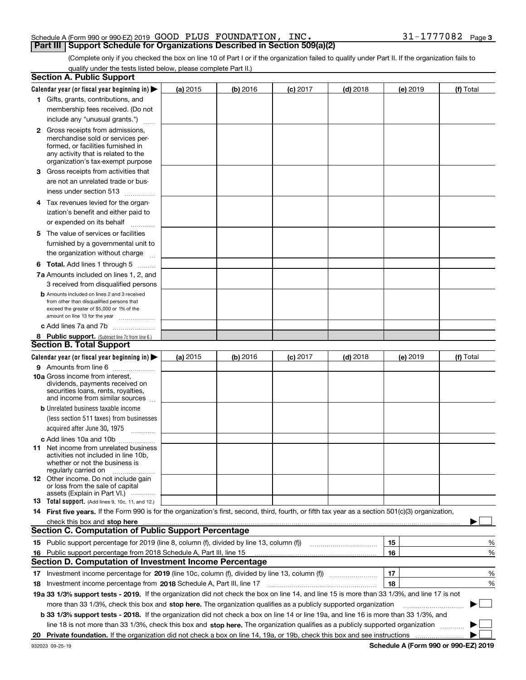#### Schedule A (Form 990 or 990-EZ) 2019 Page GOOD PLUS FOUNDATION, INC. 31-1777082**Part III Support Schedule for Organizations Described in Section 509(a)(2)**

(Complete only if you checked the box on line 10 of Part I or if the organization failed to qualify under Part II. If the organization fails to qualify under the tests listed below, please complete Part II.)

|    | <b>Section A. Public Support</b>                                                                                                                    |            |          |            |            |          |             |
|----|-----------------------------------------------------------------------------------------------------------------------------------------------------|------------|----------|------------|------------|----------|-------------|
|    | Calendar year (or fiscal year beginning in) $\blacktriangleright$                                                                                   | (a) 2015   | (b) 2016 | $(c)$ 2017 | $(d)$ 2018 | (e) 2019 | (f) Total   |
|    | 1 Gifts, grants, contributions, and                                                                                                                 |            |          |            |            |          |             |
|    | membership fees received. (Do not                                                                                                                   |            |          |            |            |          |             |
|    | include any "unusual grants.")                                                                                                                      |            |          |            |            |          |             |
|    | <b>2</b> Gross receipts from admissions,                                                                                                            |            |          |            |            |          |             |
|    | merchandise sold or services per-                                                                                                                   |            |          |            |            |          |             |
|    | formed, or facilities furnished in                                                                                                                  |            |          |            |            |          |             |
|    | any activity that is related to the<br>organization's tax-exempt purpose                                                                            |            |          |            |            |          |             |
|    | 3 Gross receipts from activities that                                                                                                               |            |          |            |            |          |             |
|    | are not an unrelated trade or bus-                                                                                                                  |            |          |            |            |          |             |
|    | iness under section 513                                                                                                                             |            |          |            |            |          |             |
|    |                                                                                                                                                     |            |          |            |            |          |             |
|    | 4 Tax revenues levied for the organ-                                                                                                                |            |          |            |            |          |             |
|    | ization's benefit and either paid to                                                                                                                |            |          |            |            |          |             |
|    | or expended on its behalf<br>.                                                                                                                      |            |          |            |            |          |             |
|    | 5 The value of services or facilities                                                                                                               |            |          |            |            |          |             |
|    | furnished by a governmental unit to                                                                                                                 |            |          |            |            |          |             |
|    | the organization without charge                                                                                                                     |            |          |            |            |          |             |
|    | <b>6 Total.</b> Add lines 1 through 5                                                                                                               |            |          |            |            |          |             |
|    | 7a Amounts included on lines 1, 2, and                                                                                                              |            |          |            |            |          |             |
|    | 3 received from disqualified persons                                                                                                                |            |          |            |            |          |             |
|    | <b>b</b> Amounts included on lines 2 and 3 received                                                                                                 |            |          |            |            |          |             |
|    | from other than disqualified persons that<br>exceed the greater of \$5,000 or 1% of the                                                             |            |          |            |            |          |             |
|    | amount on line 13 for the year                                                                                                                      |            |          |            |            |          |             |
|    | c Add lines 7a and 7b                                                                                                                               |            |          |            |            |          |             |
|    | 8 Public support. (Subtract line 7c from line 6.)                                                                                                   |            |          |            |            |          |             |
|    | <b>Section B. Total Support</b>                                                                                                                     |            |          |            |            |          |             |
|    | Calendar year (or fiscal year beginning in) $\blacktriangleright$                                                                                   | (a) $2015$ | (b) 2016 | $(c)$ 2017 | $(d)$ 2018 | (e) 2019 | (f) Total   |
|    | 9 Amounts from line 6                                                                                                                               |            |          |            |            |          |             |
|    | <b>10a</b> Gross income from interest,                                                                                                              |            |          |            |            |          |             |
|    | dividends, payments received on                                                                                                                     |            |          |            |            |          |             |
|    | securities loans, rents, royalties,<br>and income from similar sources                                                                              |            |          |            |            |          |             |
|    | <b>b</b> Unrelated business taxable income                                                                                                          |            |          |            |            |          |             |
|    | (less section 511 taxes) from businesses                                                                                                            |            |          |            |            |          |             |
|    | acquired after June 30, 1975                                                                                                                        |            |          |            |            |          |             |
|    |                                                                                                                                                     |            |          |            |            |          |             |
|    | c Add lines 10a and 10b                                                                                                                             |            |          |            |            |          |             |
|    | 11 Net income from unrelated business<br>activities not included in line 10b,                                                                       |            |          |            |            |          |             |
|    | whether or not the business is                                                                                                                      |            |          |            |            |          |             |
|    | regularly carried on                                                                                                                                |            |          |            |            |          |             |
|    | <b>12</b> Other income. Do not include gain<br>or loss from the sale of capital                                                                     |            |          |            |            |          |             |
|    | assets (Explain in Part VI.)                                                                                                                        |            |          |            |            |          |             |
|    | 13 Total support. (Add lines 9, 10c, 11, and 12.)                                                                                                   |            |          |            |            |          |             |
|    | 14 First five years. If the Form 990 is for the organization's first, second, third, fourth, or fifth tax year as a section 501(c)(3) organization, |            |          |            |            |          |             |
|    | check this box and stop here <i>macuum macuum macuum macuum macuum macuum macuum macuum macuum</i>                                                  |            |          |            |            |          |             |
|    | <b>Section C. Computation of Public Support Percentage</b>                                                                                          |            |          |            |            |          |             |
|    | 15 Public support percentage for 2019 (line 8, column (f), divided by line 13, column (f))                                                          |            |          |            |            | 15       | %           |
| 16 | Public support percentage from 2018 Schedule A, Part III, line 15                                                                                   |            |          |            |            | 16       | %           |
|    | Section D. Computation of Investment Income Percentage                                                                                              |            |          |            |            |          |             |
|    | 17 Investment income percentage for 2019 (line 10c, column (f), divided by line 13, column (f))                                                     |            |          |            |            | 17       | %           |
|    | 18 Investment income percentage from 2018 Schedule A, Part III, line 17                                                                             |            |          |            |            | 18       | %           |
|    | 19a 33 1/3% support tests - 2019. If the organization did not check the box on line 14, and line 15 is more than 33 1/3%, and line 17 is not        |            |          |            |            |          |             |
|    | more than 33 1/3%, check this box and stop here. The organization qualifies as a publicly supported organization                                    |            |          |            |            |          | $\sim$<br>▶ |
|    | b 33 1/3% support tests - 2018. If the organization did not check a box on line 14 or line 19a, and line 16 is more than 33 1/3%, and               |            |          |            |            |          |             |
|    | line 18 is not more than 33 1/3%, check this box and stop here. The organization qualifies as a publicly supported organization                     |            |          |            |            |          |             |
|    |                                                                                                                                                     |            |          |            |            |          |             |
|    |                                                                                                                                                     |            |          |            |            |          |             |

**Schedule A (Form 990 or 990-EZ) 2019**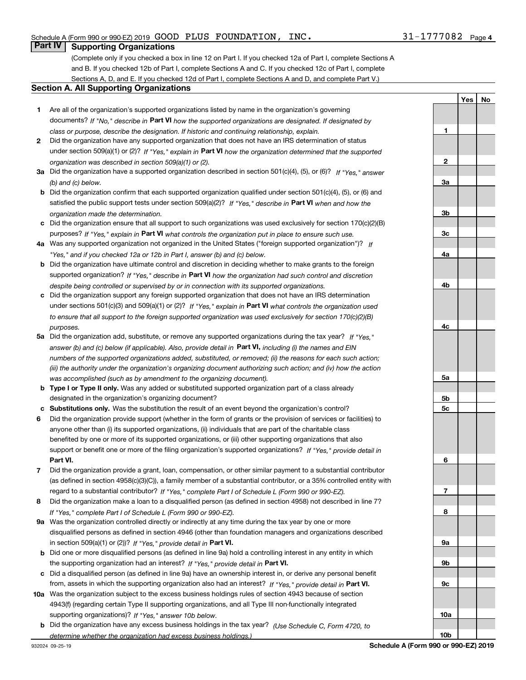**1**

**2**

**3a**

**3b**

**YesNo**

### **Part IV Supporting Organizations**

(Complete only if you checked a box in line 12 on Part I. If you checked 12a of Part I, complete Sections A and B. If you checked 12b of Part I, complete Sections A and C. If you checked 12c of Part I, complete Sections A, D, and E. If you checked 12d of Part I, complete Sections A and D, and complete Part V.)

#### **Section A. All Supporting Organizations**

- **1** Are all of the organization's supported organizations listed by name in the organization's governing documents? If "No," describe in **Part VI** how the supported organizations are designated. If designated by *class or purpose, describe the designation. If historic and continuing relationship, explain.*
- **2** Did the organization have any supported organization that does not have an IRS determination of status under section 509(a)(1) or (2)? If "Yes," explain in Part VI how the organization determined that the supported *organization was described in section 509(a)(1) or (2).*
- **3a** Did the organization have a supported organization described in section 501(c)(4), (5), or (6)? If "Yes," answer *(b) and (c) below.*
- **b** Did the organization confirm that each supported organization qualified under section 501(c)(4), (5), or (6) and satisfied the public support tests under section 509(a)(2)? If "Yes," describe in **Part VI** when and how the *organization made the determination.*
- **c**Did the organization ensure that all support to such organizations was used exclusively for section 170(c)(2)(B) purposes? If "Yes," explain in **Part VI** what controls the organization put in place to ensure such use.
- **4a***If* Was any supported organization not organized in the United States ("foreign supported organization")? *"Yes," and if you checked 12a or 12b in Part I, answer (b) and (c) below.*
- **b** Did the organization have ultimate control and discretion in deciding whether to make grants to the foreign supported organization? If "Yes," describe in **Part VI** how the organization had such control and discretion *despite being controlled or supervised by or in connection with its supported organizations.*
- **c** Did the organization support any foreign supported organization that does not have an IRS determination under sections 501(c)(3) and 509(a)(1) or (2)? If "Yes," explain in **Part VI** what controls the organization used *to ensure that all support to the foreign supported organization was used exclusively for section 170(c)(2)(B) purposes.*
- **5a***If "Yes,"* Did the organization add, substitute, or remove any supported organizations during the tax year? answer (b) and (c) below (if applicable). Also, provide detail in **Part VI,** including (i) the names and EIN *numbers of the supported organizations added, substituted, or removed; (ii) the reasons for each such action; (iii) the authority under the organization's organizing document authorizing such action; and (iv) how the action was accomplished (such as by amendment to the organizing document).*
- **b** Type I or Type II only. Was any added or substituted supported organization part of a class already designated in the organization's organizing document?
- **cSubstitutions only.**  Was the substitution the result of an event beyond the organization's control?
- **6** Did the organization provide support (whether in the form of grants or the provision of services or facilities) to **Part VI.** *If "Yes," provide detail in* support or benefit one or more of the filing organization's supported organizations? anyone other than (i) its supported organizations, (ii) individuals that are part of the charitable class benefited by one or more of its supported organizations, or (iii) other supporting organizations that also
- **7**Did the organization provide a grant, loan, compensation, or other similar payment to a substantial contributor *If "Yes," complete Part I of Schedule L (Form 990 or 990-EZ).* regard to a substantial contributor? (as defined in section 4958(c)(3)(C)), a family member of a substantial contributor, or a 35% controlled entity with
- **8** Did the organization make a loan to a disqualified person (as defined in section 4958) not described in line 7? *If "Yes," complete Part I of Schedule L (Form 990 or 990-EZ).*
- **9a** Was the organization controlled directly or indirectly at any time during the tax year by one or more in section 509(a)(1) or (2))? If "Yes," *provide detail in* <code>Part VI.</code> disqualified persons as defined in section 4946 (other than foundation managers and organizations described
- **b** Did one or more disqualified persons (as defined in line 9a) hold a controlling interest in any entity in which the supporting organization had an interest? If "Yes," provide detail in P**art VI**.
- **c**Did a disqualified person (as defined in line 9a) have an ownership interest in, or derive any personal benefit from, assets in which the supporting organization also had an interest? If "Yes," provide detail in P**art VI.**
- **10a** Was the organization subject to the excess business holdings rules of section 4943 because of section supporting organizations)? If "Yes," answer 10b below. 4943(f) (regarding certain Type II supporting organizations, and all Type III non-functionally integrated
- **b** Did the organization have any excess business holdings in the tax year? (Use Schedule C, Form 4720, to *determine whether the organization had excess business holdings.)*

**10b**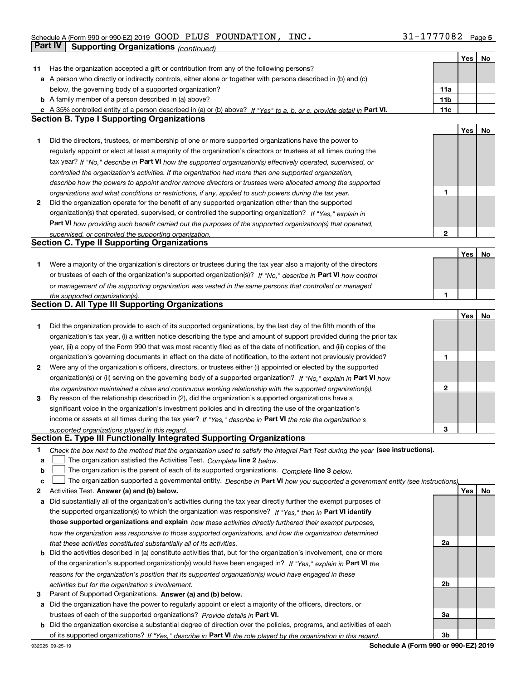|    |                                                                                                                                                                                                               |                 | Yes | No |
|----|---------------------------------------------------------------------------------------------------------------------------------------------------------------------------------------------------------------|-----------------|-----|----|
| 11 | Has the organization accepted a gift or contribution from any of the following persons?                                                                                                                       |                 |     |    |
|    | a A person who directly or indirectly controls, either alone or together with persons described in (b) and (c)                                                                                                |                 |     |    |
|    | below, the governing body of a supported organization?                                                                                                                                                        | 11a             |     |    |
|    | <b>b</b> A family member of a person described in (a) above?                                                                                                                                                  | 11 <sub>b</sub> |     |    |
|    | c A 35% controlled entity of a person described in (a) or (b) above? If "Yes" to a, b, or c, provide detail in Part VI.                                                                                       | 11c             |     |    |
|    | <b>Section B. Type I Supporting Organizations</b>                                                                                                                                                             |                 |     |    |
|    |                                                                                                                                                                                                               |                 | Yes | No |
| 1  | Did the directors, trustees, or membership of one or more supported organizations have the power to                                                                                                           |                 |     |    |
|    | regularly appoint or elect at least a majority of the organization's directors or trustees at all times during the                                                                                            |                 |     |    |
|    | tax year? If "No," describe in Part VI how the supported organization(s) effectively operated, supervised, or                                                                                                 |                 |     |    |
|    | controlled the organization's activities. If the organization had more than one supported organization,                                                                                                       |                 |     |    |
|    |                                                                                                                                                                                                               |                 |     |    |
|    | describe how the powers to appoint and/or remove directors or trustees were allocated among the supported                                                                                                     | 1               |     |    |
| 2  | organizations and what conditions or restrictions, if any, applied to such powers during the tax year.<br>Did the organization operate for the benefit of any supported organization other than the supported |                 |     |    |
|    |                                                                                                                                                                                                               |                 |     |    |
|    | organization(s) that operated, supervised, or controlled the supporting organization? If "Yes," explain in                                                                                                    |                 |     |    |
|    | Part VI how providing such benefit carried out the purposes of the supported organization(s) that operated,                                                                                                   |                 |     |    |
|    | supervised, or controlled the supporting organization.                                                                                                                                                        | $\mathbf{2}$    |     |    |
|    | <b>Section C. Type II Supporting Organizations</b>                                                                                                                                                            |                 |     |    |
|    |                                                                                                                                                                                                               |                 | Yes | No |
| 1  | Were a majority of the organization's directors or trustees during the tax year also a majority of the directors                                                                                              |                 |     |    |
|    | or trustees of each of the organization's supported organization(s)? If "No." describe in Part VI how control                                                                                                 |                 |     |    |
|    | or management of the supporting organization was vested in the same persons that controlled or managed                                                                                                        |                 |     |    |
|    | the supported organization(s).                                                                                                                                                                                | 1               |     |    |
|    | <b>Section D. All Type III Supporting Organizations</b>                                                                                                                                                       |                 |     |    |
|    |                                                                                                                                                                                                               |                 | Yes | No |
| 1  | Did the organization provide to each of its supported organizations, by the last day of the fifth month of the                                                                                                |                 |     |    |
|    | organization's tax year, (i) a written notice describing the type and amount of support provided during the prior tax                                                                                         |                 |     |    |
|    | year, (ii) a copy of the Form 990 that was most recently filed as of the date of notification, and (iii) copies of the                                                                                        |                 |     |    |
|    | organization's governing documents in effect on the date of notification, to the extent not previously provided?                                                                                              | 1               |     |    |
| 2  | Were any of the organization's officers, directors, or trustees either (i) appointed or elected by the supported                                                                                              |                 |     |    |
|    | organization(s) or (ii) serving on the governing body of a supported organization? If "No," explain in Part VI how                                                                                            |                 |     |    |
|    | the organization maintained a close and continuous working relationship with the supported organization(s).                                                                                                   | 2               |     |    |
| 3  | By reason of the relationship described in (2), did the organization's supported organizations have a                                                                                                         |                 |     |    |
|    | significant voice in the organization's investment policies and in directing the use of the organization's                                                                                                    |                 |     |    |
|    | income or assets at all times during the tax year? If "Yes," describe in Part VI the role the organization's                                                                                                  |                 |     |    |
|    | supported organizations played in this regard.                                                                                                                                                                | 3               |     |    |
|    | Section E. Type III Functionally Integrated Supporting Organizations                                                                                                                                          |                 |     |    |
| 1  | Check the box next to the method that the organization used to satisfy the Integral Part Test during the year (see instructions).                                                                             |                 |     |    |
| a  | The organization satisfied the Activities Test. Complete line 2 below.                                                                                                                                        |                 |     |    |
| b  | The organization is the parent of each of its supported organizations. Complete line 3 below.                                                                                                                 |                 |     |    |
| c  | The organization supported a governmental entity. Describe in Part VI how you supported a government entity (see instructions),                                                                               |                 |     |    |
| 2  | Activities Test. Answer (a) and (b) below.                                                                                                                                                                    |                 | Yes | No |
| а  | Did substantially all of the organization's activities during the tax year directly further the exempt purposes of                                                                                            |                 |     |    |
|    | the supported organization(s) to which the organization was responsive? If "Yes," then in Part VI identify                                                                                                    |                 |     |    |
|    | those supported organizations and explain how these activities directly furthered their exempt purposes,                                                                                                      |                 |     |    |
|    | how the organization was responsive to those supported organizations, and how the organization determined                                                                                                     |                 |     |    |
|    |                                                                                                                                                                                                               | 2a              |     |    |
|    | that these activities constituted substantially all of its activities.<br><b>b</b> Did the activities described in (a) constitute activities that, but for the organization's involvement, one or more        |                 |     |    |
|    | of the organization's supported organization(s) would have been engaged in? If "Yes," explain in Part VI the                                                                                                  |                 |     |    |
|    |                                                                                                                                                                                                               |                 |     |    |
|    | reasons for the organization's position that its supported organization(s) would have engaged in these                                                                                                        |                 |     |    |
|    | activities but for the organization's involvement.                                                                                                                                                            | 2 <sub>b</sub>  |     |    |
| з  | Parent of Supported Organizations. Answer (a) and (b) below.                                                                                                                                                  |                 |     |    |
|    | a Did the organization have the power to regularly appoint or elect a majority of the officers, directors, or                                                                                                 |                 |     |    |
|    | trustees of each of the supported organizations? Provide details in Part VI.                                                                                                                                  | За              |     |    |
|    | <b>b</b> Did the organization exercise a substantial degree of direction over the policies, programs, and activities of each                                                                                  |                 |     |    |
|    | of its supported organizations? If "Yes," describe in Part VI the role played by the organization in this regard.                                                                                             | 3b              |     |    |

**Schedule A (Form 990 or 990-EZ) 2019**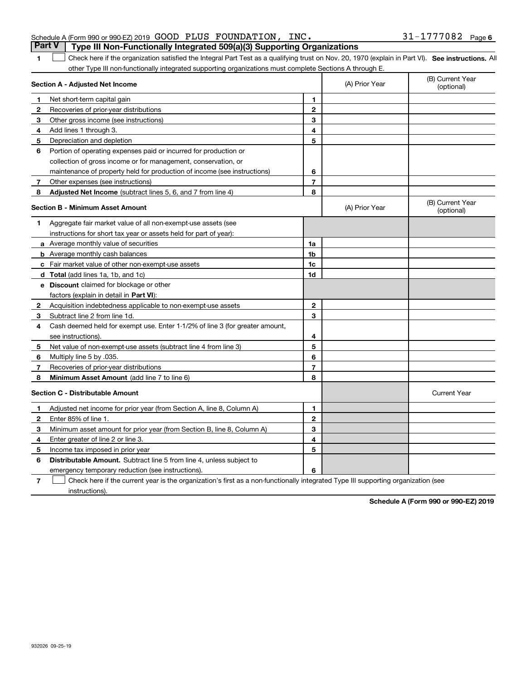### Schedule A (Form 990 or 990-EZ) 2019 Page GOOD PLUS FOUNDATION, INC. 31-1777082**Part V Type III Non-Functionally Integrated 509(a)(3) Supporting Organizations**

1 Check here if the organization satisfied the Integral Part Test as a qualifying trust on Nov. 20, 1970 (explain in Part VI). See instructions. All other Type III non-functionally integrated supporting organizations must complete Sections A through E.

|              | Section A - Adjusted Net Income                                              | (A) Prior Year | (B) Current Year<br>(optional) |                                |
|--------------|------------------------------------------------------------------------------|----------------|--------------------------------|--------------------------------|
| 1            | Net short-term capital gain                                                  | 1              |                                |                                |
| $\mathbf{2}$ | Recoveries of prior-year distributions                                       | $\overline{2}$ |                                |                                |
| 3            | Other gross income (see instructions)                                        | 3              |                                |                                |
| 4            | Add lines 1 through 3.                                                       | 4              |                                |                                |
| 5            | Depreciation and depletion                                                   | 5              |                                |                                |
| 6            | Portion of operating expenses paid or incurred for production or             |                |                                |                                |
|              | collection of gross income or for management, conservation, or               |                |                                |                                |
|              | maintenance of property held for production of income (see instructions)     | 6              |                                |                                |
| 7            | Other expenses (see instructions)                                            | $\overline{7}$ |                                |                                |
| 8            | Adjusted Net Income (subtract lines 5, 6, and 7 from line 4)                 | 8              |                                |                                |
|              | Section B - Minimum Asset Amount                                             |                | (A) Prior Year                 | (B) Current Year<br>(optional) |
| 1            | Aggregate fair market value of all non-exempt-use assets (see                |                |                                |                                |
|              | instructions for short tax year or assets held for part of year):            |                |                                |                                |
|              | a Average monthly value of securities                                        | 1a             |                                |                                |
|              | <b>b</b> Average monthly cash balances                                       | 1b             |                                |                                |
|              | c Fair market value of other non-exempt-use assets                           | 1c             |                                |                                |
|              | <b>d</b> Total (add lines 1a, 1b, and 1c)                                    | 1d             |                                |                                |
|              | e Discount claimed for blockage or other                                     |                |                                |                                |
|              | factors (explain in detail in Part VI):                                      |                |                                |                                |
| $\mathbf{2}$ | Acquisition indebtedness applicable to non-exempt-use assets                 | $\mathbf{2}$   |                                |                                |
| 3            | Subtract line 2 from line 1d.                                                | 3              |                                |                                |
| 4            | Cash deemed held for exempt use. Enter 1-1/2% of line 3 (for greater amount, |                |                                |                                |
|              | see instructions)                                                            | 4              |                                |                                |
| 5            | Net value of non-exempt-use assets (subtract line 4 from line 3)             | 5              |                                |                                |
| 6            | Multiply line 5 by .035.                                                     | 6              |                                |                                |
| 7            | Recoveries of prior-year distributions                                       | $\overline{7}$ |                                |                                |
| 8            | Minimum Asset Amount (add line 7 to line 6)                                  | 8              |                                |                                |
|              | Section C - Distributable Amount                                             |                |                                | <b>Current Year</b>            |
| 1            | Adjusted net income for prior year (from Section A, line 8, Column A)        | 1              |                                |                                |
| $\mathbf{2}$ | Enter 85% of line 1.                                                         | $\mathbf{2}$   |                                |                                |
| 3            | Minimum asset amount for prior year (from Section B, line 8, Column A)       | 3              |                                |                                |
| 4            | Enter greater of line 2 or line 3.                                           | 4              |                                |                                |
| 5            | Income tax imposed in prior year                                             | 5              |                                |                                |
| 6            | <b>Distributable Amount.</b> Subtract line 5 from line 4, unless subject to  |                |                                |                                |
|              | emergency temporary reduction (see instructions).                            | 6              |                                |                                |

**7**Check here if the current year is the organization's first as a non-functionally integrated Type III supporting organization (see instructions).

**Schedule A (Form 990 or 990-EZ) 2019**

**1**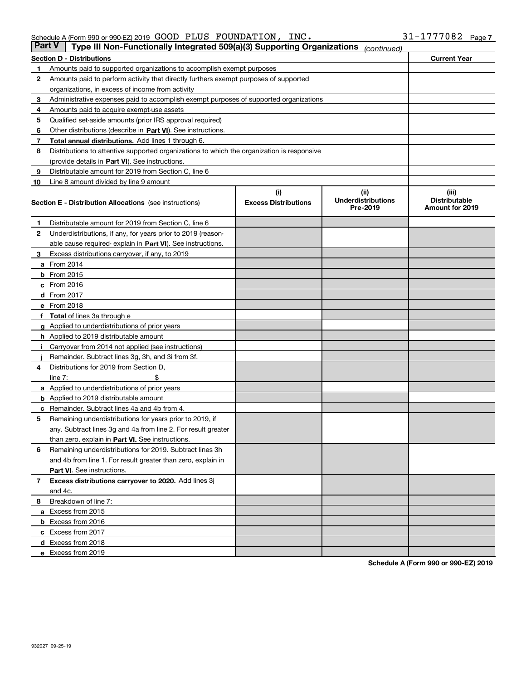#### Schedule A (Form 990 or 990-EZ) 2019 Page GOOD PLUS FOUNDATION, INC. 31-1777082

| <b>Part V</b> | Type III Non-Functionally Integrated 509(a)(3) Supporting Organizations                    |                             | (continued)                           |                                         |  |  |  |  |  |
|---------------|--------------------------------------------------------------------------------------------|-----------------------------|---------------------------------------|-----------------------------------------|--|--|--|--|--|
|               | <b>Section D - Distributions</b>                                                           |                             |                                       | <b>Current Year</b>                     |  |  |  |  |  |
| 1             | Amounts paid to supported organizations to accomplish exempt purposes                      |                             |                                       |                                         |  |  |  |  |  |
| 2             | Amounts paid to perform activity that directly furthers exempt purposes of supported       |                             |                                       |                                         |  |  |  |  |  |
|               | organizations, in excess of income from activity                                           |                             |                                       |                                         |  |  |  |  |  |
| 3             | Administrative expenses paid to accomplish exempt purposes of supported organizations      |                             |                                       |                                         |  |  |  |  |  |
| 4             | Amounts paid to acquire exempt-use assets                                                  |                             |                                       |                                         |  |  |  |  |  |
| 5             | Qualified set-aside amounts (prior IRS approval required)                                  |                             |                                       |                                         |  |  |  |  |  |
| 6             | Other distributions (describe in Part VI). See instructions.                               |                             |                                       |                                         |  |  |  |  |  |
| 7             | <b>Total annual distributions.</b> Add lines 1 through 6.                                  |                             |                                       |                                         |  |  |  |  |  |
| 8             | Distributions to attentive supported organizations to which the organization is responsive |                             |                                       |                                         |  |  |  |  |  |
|               | (provide details in Part VI). See instructions.                                            |                             |                                       |                                         |  |  |  |  |  |
| 9             | Distributable amount for 2019 from Section C, line 6                                       |                             |                                       |                                         |  |  |  |  |  |
| 10            | Line 8 amount divided by line 9 amount                                                     |                             |                                       |                                         |  |  |  |  |  |
|               |                                                                                            | (i)                         | (iii)                                 | (iii)                                   |  |  |  |  |  |
|               | <b>Section E - Distribution Allocations</b> (see instructions)                             | <b>Excess Distributions</b> | <b>Underdistributions</b><br>Pre-2019 | <b>Distributable</b><br>Amount for 2019 |  |  |  |  |  |
| 1             | Distributable amount for 2019 from Section C, line 6                                       |                             |                                       |                                         |  |  |  |  |  |
| 2             | Underdistributions, if any, for years prior to 2019 (reason-                               |                             |                                       |                                         |  |  |  |  |  |
|               | able cause required- explain in Part VI). See instructions.                                |                             |                                       |                                         |  |  |  |  |  |
| З             | Excess distributions carryover, if any, to 2019                                            |                             |                                       |                                         |  |  |  |  |  |
|               | <b>a</b> From 2014                                                                         |                             |                                       |                                         |  |  |  |  |  |
|               | <b>b</b> From 2015                                                                         |                             |                                       |                                         |  |  |  |  |  |
|               | $c$ From 2016                                                                              |                             |                                       |                                         |  |  |  |  |  |
|               | d From 2017                                                                                |                             |                                       |                                         |  |  |  |  |  |
|               | e From 2018                                                                                |                             |                                       |                                         |  |  |  |  |  |
|               | Total of lines 3a through e                                                                |                             |                                       |                                         |  |  |  |  |  |
| g             | Applied to underdistributions of prior years                                               |                             |                                       |                                         |  |  |  |  |  |
|               | <b>h</b> Applied to 2019 distributable amount                                              |                             |                                       |                                         |  |  |  |  |  |
|               | Carryover from 2014 not applied (see instructions)                                         |                             |                                       |                                         |  |  |  |  |  |
|               | Remainder. Subtract lines 3g, 3h, and 3i from 3f.                                          |                             |                                       |                                         |  |  |  |  |  |
| 4             | Distributions for 2019 from Section D,                                                     |                             |                                       |                                         |  |  |  |  |  |
|               | line $7:$                                                                                  |                             |                                       |                                         |  |  |  |  |  |
|               | <b>a</b> Applied to underdistributions of prior years                                      |                             |                                       |                                         |  |  |  |  |  |
|               | <b>b</b> Applied to 2019 distributable amount                                              |                             |                                       |                                         |  |  |  |  |  |
|               | c Remainder. Subtract lines 4a and 4b from 4.                                              |                             |                                       |                                         |  |  |  |  |  |
| 5             | Remaining underdistributions for years prior to 2019, if                                   |                             |                                       |                                         |  |  |  |  |  |
|               | any. Subtract lines 3g and 4a from line 2. For result greater                              |                             |                                       |                                         |  |  |  |  |  |
|               | than zero, explain in Part VI. See instructions.                                           |                             |                                       |                                         |  |  |  |  |  |
| 6             | Remaining underdistributions for 2019. Subtract lines 3h                                   |                             |                                       |                                         |  |  |  |  |  |
|               | and 4b from line 1. For result greater than zero, explain in                               |                             |                                       |                                         |  |  |  |  |  |
|               | Part VI. See instructions.                                                                 |                             |                                       |                                         |  |  |  |  |  |
| 7             | Excess distributions carryover to 2020. Add lines 3j                                       |                             |                                       |                                         |  |  |  |  |  |
|               | and 4c.                                                                                    |                             |                                       |                                         |  |  |  |  |  |
| 8             | Breakdown of line 7:                                                                       |                             |                                       |                                         |  |  |  |  |  |
|               | a Excess from 2015                                                                         |                             |                                       |                                         |  |  |  |  |  |
|               | <b>b</b> Excess from 2016                                                                  |                             |                                       |                                         |  |  |  |  |  |
|               | c Excess from 2017                                                                         |                             |                                       |                                         |  |  |  |  |  |
|               | d Excess from 2018                                                                         |                             |                                       |                                         |  |  |  |  |  |
|               | e Excess from 2019                                                                         |                             |                                       |                                         |  |  |  |  |  |
|               |                                                                                            |                             |                                       |                                         |  |  |  |  |  |

**Schedule A (Form 990 or 990-EZ) 2019**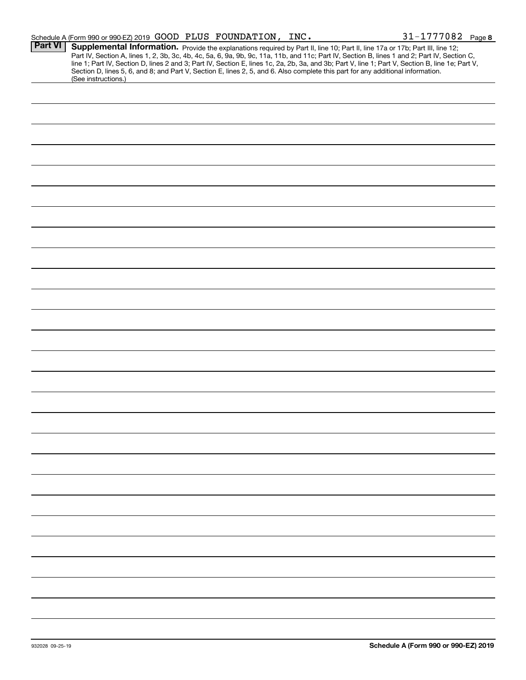|                | Schedule A (Form 990 or 990-EZ) 2019 GOOD PLUS FOUNDATION, INC.                                                                                                                                                                                                                         |  | $31 - 1777082$ Page 8                                                                                                                                                                                                                                                                            |
|----------------|-----------------------------------------------------------------------------------------------------------------------------------------------------------------------------------------------------------------------------------------------------------------------------------------|--|--------------------------------------------------------------------------------------------------------------------------------------------------------------------------------------------------------------------------------------------------------------------------------------------------|
| <b>Part VI</b> | Supplemental Information. Provide the explanations required by Part II, line 10; Part II, line 17a or 17b; Part III, line 12;<br>Section D, lines 5, 6, and 8; and Part V, Section E, lines 2, 5, and 6. Also complete this part for any additional information.<br>(See instructions.) |  | Part IV, Section A, lines 1, 2, 3b, 3c, 4b, 4c, 5a, 6, 9a, 9b, 9c, 11a, 11b, and 11c; Part IV, Section B, lines 1 and 2; Part IV, Section C,<br>line 1; Part IV, Section D, lines 2 and 3; Part IV, Section E, lines 1c, 2a, 2b, 3a, and 3b; Part V, line 1; Part V, Section B, line 1e; Part V, |
|                |                                                                                                                                                                                                                                                                                         |  |                                                                                                                                                                                                                                                                                                  |
|                |                                                                                                                                                                                                                                                                                         |  |                                                                                                                                                                                                                                                                                                  |
|                |                                                                                                                                                                                                                                                                                         |  |                                                                                                                                                                                                                                                                                                  |
|                |                                                                                                                                                                                                                                                                                         |  |                                                                                                                                                                                                                                                                                                  |
|                |                                                                                                                                                                                                                                                                                         |  |                                                                                                                                                                                                                                                                                                  |
|                |                                                                                                                                                                                                                                                                                         |  |                                                                                                                                                                                                                                                                                                  |
|                |                                                                                                                                                                                                                                                                                         |  |                                                                                                                                                                                                                                                                                                  |
|                |                                                                                                                                                                                                                                                                                         |  |                                                                                                                                                                                                                                                                                                  |
|                |                                                                                                                                                                                                                                                                                         |  |                                                                                                                                                                                                                                                                                                  |
|                |                                                                                                                                                                                                                                                                                         |  |                                                                                                                                                                                                                                                                                                  |
|                |                                                                                                                                                                                                                                                                                         |  |                                                                                                                                                                                                                                                                                                  |
|                |                                                                                                                                                                                                                                                                                         |  |                                                                                                                                                                                                                                                                                                  |
|                |                                                                                                                                                                                                                                                                                         |  |                                                                                                                                                                                                                                                                                                  |
|                |                                                                                                                                                                                                                                                                                         |  |                                                                                                                                                                                                                                                                                                  |
|                |                                                                                                                                                                                                                                                                                         |  |                                                                                                                                                                                                                                                                                                  |
|                |                                                                                                                                                                                                                                                                                         |  |                                                                                                                                                                                                                                                                                                  |
|                |                                                                                                                                                                                                                                                                                         |  |                                                                                                                                                                                                                                                                                                  |
|                |                                                                                                                                                                                                                                                                                         |  |                                                                                                                                                                                                                                                                                                  |
|                |                                                                                                                                                                                                                                                                                         |  |                                                                                                                                                                                                                                                                                                  |
|                |                                                                                                                                                                                                                                                                                         |  |                                                                                                                                                                                                                                                                                                  |
|                |                                                                                                                                                                                                                                                                                         |  |                                                                                                                                                                                                                                                                                                  |
|                |                                                                                                                                                                                                                                                                                         |  |                                                                                                                                                                                                                                                                                                  |
|                |                                                                                                                                                                                                                                                                                         |  |                                                                                                                                                                                                                                                                                                  |
|                |                                                                                                                                                                                                                                                                                         |  |                                                                                                                                                                                                                                                                                                  |
|                |                                                                                                                                                                                                                                                                                         |  |                                                                                                                                                                                                                                                                                                  |
|                |                                                                                                                                                                                                                                                                                         |  |                                                                                                                                                                                                                                                                                                  |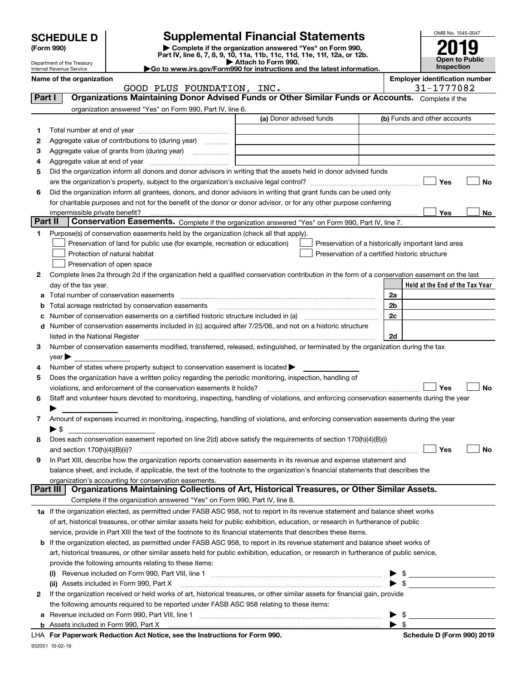|            | <b>SCHEDULE D</b>                                      |                                                                                                                                                                               | <b>Supplemental Financial Statements</b>                                                                                             |                                                    |                          | OMB No. 1545-0047                     |                |
|------------|--------------------------------------------------------|-------------------------------------------------------------------------------------------------------------------------------------------------------------------------------|--------------------------------------------------------------------------------------------------------------------------------------|----------------------------------------------------|--------------------------|---------------------------------------|----------------|
| (Form 990) |                                                        |                                                                                                                                                                               |                                                                                                                                      |                                                    |                          |                                       |                |
|            |                                                        |                                                                                                                                                                               | Complete if the organization answered "Yes" on Form 990,<br>Part IV, line 6, 7, 8, 9, 10, 11a, 11b, 11c, 11d, 11e, 11f, 12a, or 12b. |                                                    |                          |                                       | Open to Public |
|            | Department of the Treasury<br>Internal Revenue Service | Go to www.irs.gov/Form990 for instructions and the latest information.                                                                                                        | Attach to Form 990.                                                                                                                  |                                                    |                          | <b>Inspection</b>                     |                |
|            | Name of the organization                               |                                                                                                                                                                               |                                                                                                                                      |                                                    |                          | <b>Employer identification number</b> |                |
|            |                                                        | GOOD PLUS FOUNDATION, INC.                                                                                                                                                    |                                                                                                                                      |                                                    |                          | 31-1777082                            |                |
|            | Part I                                                 | Organizations Maintaining Donor Advised Funds or Other Similar Funds or Accounts. Complete if the                                                                             |                                                                                                                                      |                                                    |                          |                                       |                |
|            |                                                        | organization answered "Yes" on Form 990, Part IV, line 6.                                                                                                                     | (a) Donor advised funds                                                                                                              |                                                    |                          | (b) Funds and other accounts          |                |
|            |                                                        |                                                                                                                                                                               |                                                                                                                                      |                                                    |                          |                                       |                |
| 1.         |                                                        |                                                                                                                                                                               |                                                                                                                                      |                                                    |                          |                                       |                |
| 2          |                                                        | Aggregate value of contributions to (during year)                                                                                                                             |                                                                                                                                      |                                                    |                          |                                       |                |
| 3<br>4     |                                                        |                                                                                                                                                                               |                                                                                                                                      |                                                    |                          |                                       |                |
| 5          |                                                        | Did the organization inform all donors and donor advisors in writing that the assets held in donor advised funds                                                              |                                                                                                                                      |                                                    |                          |                                       |                |
|            |                                                        |                                                                                                                                                                               |                                                                                                                                      |                                                    |                          | Yes                                   | No             |
| 6          |                                                        | Did the organization inform all grantees, donors, and donor advisors in writing that grant funds can be used only                                                             |                                                                                                                                      |                                                    |                          |                                       |                |
|            |                                                        | for charitable purposes and not for the benefit of the donor or donor advisor, or for any other purpose conferring                                                            |                                                                                                                                      |                                                    |                          |                                       |                |
|            | impermissible private benefit?                         |                                                                                                                                                                               |                                                                                                                                      |                                                    |                          | Yes                                   | No             |
|            | Part II                                                | Conservation Easements. Complete if the organization answered "Yes" on Form 990, Part IV, line 7.                                                                             |                                                                                                                                      |                                                    |                          |                                       |                |
| 1.         |                                                        | Purpose(s) of conservation easements held by the organization (check all that apply).                                                                                         |                                                                                                                                      |                                                    |                          |                                       |                |
|            |                                                        | Preservation of land for public use (for example, recreation or education)                                                                                                    |                                                                                                                                      | Preservation of a historically important land area |                          |                                       |                |
|            |                                                        | Protection of natural habitat                                                                                                                                                 |                                                                                                                                      | Preservation of a certified historic structure     |                          |                                       |                |
|            |                                                        | Preservation of open space                                                                                                                                                    |                                                                                                                                      |                                                    |                          |                                       |                |
| 2          |                                                        | Complete lines 2a through 2d if the organization held a qualified conservation contribution in the form of a conservation easement on the last                                |                                                                                                                                      |                                                    |                          |                                       |                |
|            | day of the tax year.                                   |                                                                                                                                                                               |                                                                                                                                      |                                                    |                          | Held at the End of the Tax Year       |                |
| a          |                                                        |                                                                                                                                                                               | 2a                                                                                                                                   |                                                    |                          |                                       |                |
| b          |                                                        | Total acreage restricted by conservation easements                                                                                                                            |                                                                                                                                      |                                                    | 2b                       |                                       |                |
| c          |                                                        |                                                                                                                                                                               |                                                                                                                                      |                                                    | 2c                       |                                       |                |
| d          |                                                        | Number of conservation easements included in (c) acquired after 7/25/06, and not on a historic structure                                                                      |                                                                                                                                      |                                                    |                          |                                       |                |
|            |                                                        |                                                                                                                                                                               |                                                                                                                                      |                                                    | 2d                       |                                       |                |
| з          |                                                        | Number of conservation easements modified, transferred, released, extinguished, or terminated by the organization during the tax                                              |                                                                                                                                      |                                                    |                          |                                       |                |
|            | $\vee$ ear $\blacktriangleright$                       |                                                                                                                                                                               |                                                                                                                                      |                                                    |                          |                                       |                |
| 4          |                                                        | Number of states where property subject to conservation easement is located >                                                                                                 |                                                                                                                                      |                                                    |                          |                                       |                |
| 5          |                                                        | Does the organization have a written policy regarding the periodic monitoring, inspection, handling of<br>violations, and enforcement of the conservation easements it holds? |                                                                                                                                      |                                                    |                          | Yes                                   | No             |
| 6          |                                                        | Staff and volunteer hours devoted to monitoring, inspecting, handling of violations, and enforcing conservation easements during the year                                     |                                                                                                                                      |                                                    |                          |                                       |                |
|            |                                                        |                                                                                                                                                                               |                                                                                                                                      |                                                    |                          |                                       |                |
| 7          |                                                        | Amount of expenses incurred in monitoring, inspecting, handling of violations, and enforcing conservation easements during the year                                           |                                                                                                                                      |                                                    |                          |                                       |                |
|            | $\blacktriangleright$ \$                               |                                                                                                                                                                               |                                                                                                                                      |                                                    |                          |                                       |                |
| 8          |                                                        | Does each conservation easement reported on line 2(d) above satisfy the requirements of section 170(h)(4)(B)(i)                                                               |                                                                                                                                      |                                                    |                          |                                       |                |
|            | and section $170(h)(4)(B)(ii)?$                        |                                                                                                                                                                               |                                                                                                                                      |                                                    |                          | Yes                                   | No             |
| 9          |                                                        | In Part XIII, describe how the organization reports conservation easements in its revenue and expense statement and                                                           |                                                                                                                                      |                                                    |                          |                                       |                |
|            |                                                        | balance sheet, and include, if applicable, the text of the footnote to the organization's financial statements that describes the                                             |                                                                                                                                      |                                                    |                          |                                       |                |
|            |                                                        | organization's accounting for conservation easements.                                                                                                                         |                                                                                                                                      |                                                    |                          |                                       |                |
|            | Part III                                               | Organizations Maintaining Collections of Art, Historical Treasures, or Other Similar Assets.                                                                                  |                                                                                                                                      |                                                    |                          |                                       |                |
|            |                                                        | Complete if the organization answered "Yes" on Form 990, Part IV, line 8.                                                                                                     |                                                                                                                                      |                                                    |                          |                                       |                |
|            |                                                        | 1a If the organization elected, as permitted under FASB ASC 958, not to report in its revenue statement and balance sheet works                                               |                                                                                                                                      |                                                    |                          |                                       |                |
|            |                                                        | of art, historical treasures, or other similar assets held for public exhibition, education, or research in furtherance of public                                             |                                                                                                                                      |                                                    |                          |                                       |                |
|            |                                                        | service, provide in Part XIII the text of the footnote to its financial statements that describes these items.                                                                |                                                                                                                                      |                                                    |                          |                                       |                |
| b          |                                                        | If the organization elected, as permitted under FASB ASC 958, to report in its revenue statement and balance sheet works of                                                   |                                                                                                                                      |                                                    |                          |                                       |                |
|            |                                                        | art, historical treasures, or other similar assets held for public exhibition, education, or research in furtherance of public service,                                       |                                                                                                                                      |                                                    |                          |                                       |                |
|            |                                                        | provide the following amounts relating to these items:                                                                                                                        |                                                                                                                                      |                                                    |                          |                                       |                |
|            | \$                                                     |                                                                                                                                                                               |                                                                                                                                      |                                                    |                          |                                       |                |
|            |                                                        | (ii) Assets included in Form 990, Part X<br>If the organization received or held works of art, historical treasures, or other similar assets for financial gain, provide      |                                                                                                                                      |                                                    | $\blacktriangleright$ \$ |                                       |                |
| 2          |                                                        | the following amounts required to be reported under FASB ASC 958 relating to these items:                                                                                     |                                                                                                                                      |                                                    |                          |                                       |                |
|            |                                                        |                                                                                                                                                                               |                                                                                                                                      |                                                    |                          |                                       |                |

**For Paperwork Reduction Act Notice, see the Instructions for Form 990. Schedule D (Form 990) 2019** LHA

**a**Revenue included on Form 990, Part VIII, line 1 ~~~~~~~~~~~~~~~~~~~~~~~~~~~~~~**b**Assets included in Form 990, Part X

 $\blacktriangleright$  \$  $\blacktriangleright$  \$

932051 10-02-19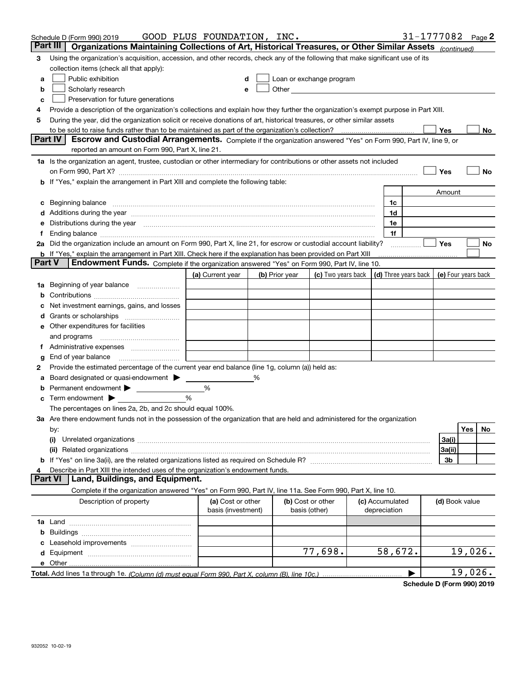|                 | Schedule D (Form 990) 2019                                                                                                                                                                                                     | GOOD PLUS FOUNDATION, INC.              |   |                |                                                                                                                                                                                                                                |  |                                 | 31-1777082 $_{Page}$ 2                     |                |         |    |
|-----------------|--------------------------------------------------------------------------------------------------------------------------------------------------------------------------------------------------------------------------------|-----------------------------------------|---|----------------|--------------------------------------------------------------------------------------------------------------------------------------------------------------------------------------------------------------------------------|--|---------------------------------|--------------------------------------------|----------------|---------|----|
| <b>Part III</b> | Organizations Maintaining Collections of Art, Historical Treasures, or Other Similar Assets (continued)                                                                                                                        |                                         |   |                |                                                                                                                                                                                                                                |  |                                 |                                            |                |         |    |
| З               | Using the organization's acquisition, accession, and other records, check any of the following that make significant use of its                                                                                                |                                         |   |                |                                                                                                                                                                                                                                |  |                                 |                                            |                |         |    |
|                 | collection items (check all that apply):                                                                                                                                                                                       |                                         |   |                |                                                                                                                                                                                                                                |  |                                 |                                            |                |         |    |
| a               | Public exhibition                                                                                                                                                                                                              |                                         |   |                | Loan or exchange program                                                                                                                                                                                                       |  |                                 |                                            |                |         |    |
| b               | Scholarly research                                                                                                                                                                                                             | е                                       |   |                | Other the contract of the contract of the contract of the contract of the contract of the contract of the contract of the contract of the contract of the contract of the contract of the contract of the contract of the cont |  |                                 |                                            |                |         |    |
| c               | Preservation for future generations                                                                                                                                                                                            |                                         |   |                |                                                                                                                                                                                                                                |  |                                 |                                            |                |         |    |
|                 | Provide a description of the organization's collections and explain how they further the organization's exempt purpose in Part XIII.                                                                                           |                                         |   |                |                                                                                                                                                                                                                                |  |                                 |                                            |                |         |    |
| 5               | During the year, did the organization solicit or receive donations of art, historical treasures, or other similar assets                                                                                                       |                                         |   |                |                                                                                                                                                                                                                                |  |                                 |                                            |                |         |    |
|                 | to be sold to raise funds rather than to be maintained as part of the organization's collection?                                                                                                                               |                                         |   |                |                                                                                                                                                                                                                                |  |                                 |                                            | Yes            |         | No |
|                 | Part IV<br>Escrow and Custodial Arrangements. Complete if the organization answered "Yes" on Form 990, Part IV, line 9, or                                                                                                     |                                         |   |                |                                                                                                                                                                                                                                |  |                                 |                                            |                |         |    |
|                 | reported an amount on Form 990, Part X, line 21.                                                                                                                                                                               |                                         |   |                |                                                                                                                                                                                                                                |  |                                 |                                            |                |         |    |
|                 | 1a Is the organization an agent, trustee, custodian or other intermediary for contributions or other assets not included                                                                                                       |                                         |   |                |                                                                                                                                                                                                                                |  |                                 |                                            |                |         |    |
|                 | on Form 990, Part X? [11] matter and the contract of the contract of the contract of the contract of the contract of the contract of the contract of the contract of the contract of the contract of the contract of the contr |                                         |   |                |                                                                                                                                                                                                                                |  |                                 |                                            | Yes            |         | No |
|                 | b If "Yes," explain the arrangement in Part XIII and complete the following table:                                                                                                                                             |                                         |   |                |                                                                                                                                                                                                                                |  |                                 |                                            |                |         |    |
|                 |                                                                                                                                                                                                                                |                                         |   |                |                                                                                                                                                                                                                                |  |                                 |                                            | Amount         |         |    |
| c               |                                                                                                                                                                                                                                |                                         |   |                |                                                                                                                                                                                                                                |  | 1c                              |                                            |                |         |    |
|                 | Additions during the year manufactured and an account of the year manufactured and account of the year manufactured and account of the year manufactured and account of the year manufactured and account of the year manufact |                                         |   |                |                                                                                                                                                                                                                                |  | 1d                              |                                            |                |         |    |
|                 | Distributions during the year manufactured and continuum and contained and the year manufactured and contained                                                                                                                 |                                         |   |                |                                                                                                                                                                                                                                |  | 1e                              |                                            |                |         |    |
|                 |                                                                                                                                                                                                                                |                                         |   |                |                                                                                                                                                                                                                                |  | 1f                              |                                            |                |         |    |
|                 | 2a Did the organization include an amount on Form 990, Part X, line 21, for escrow or custodial account liability?                                                                                                             |                                         |   |                |                                                                                                                                                                                                                                |  |                                 |                                            | Yes            |         | No |
| <b>Part V</b>   | b If "Yes," explain the arrangement in Part XIII. Check here if the explanation has been provided on Part XIII<br>Endowment Funds. Complete if the organization answered "Yes" on Form 990, Part IV, line 10.                  |                                         |   |                |                                                                                                                                                                                                                                |  |                                 |                                            |                |         |    |
|                 |                                                                                                                                                                                                                                |                                         |   |                |                                                                                                                                                                                                                                |  |                                 |                                            |                |         |    |
|                 |                                                                                                                                                                                                                                | (a) Current year                        |   | (b) Prior year | (c) Two years back                                                                                                                                                                                                             |  |                                 | (d) Three years back   (e) Four years back |                |         |    |
| 1a              | Beginning of year balance                                                                                                                                                                                                      |                                         |   |                |                                                                                                                                                                                                                                |  |                                 |                                            |                |         |    |
|                 |                                                                                                                                                                                                                                |                                         |   |                |                                                                                                                                                                                                                                |  |                                 |                                            |                |         |    |
|                 | Net investment earnings, gains, and losses                                                                                                                                                                                     |                                         |   |                |                                                                                                                                                                                                                                |  |                                 |                                            |                |         |    |
|                 |                                                                                                                                                                                                                                |                                         |   |                |                                                                                                                                                                                                                                |  |                                 |                                            |                |         |    |
|                 | e Other expenditures for facilities                                                                                                                                                                                            |                                         |   |                |                                                                                                                                                                                                                                |  |                                 |                                            |                |         |    |
|                 | and programs                                                                                                                                                                                                                   |                                         |   |                |                                                                                                                                                                                                                                |  |                                 |                                            |                |         |    |
|                 | End of year balance                                                                                                                                                                                                            |                                         |   |                |                                                                                                                                                                                                                                |  |                                 |                                            |                |         |    |
| 2               | Provide the estimated percentage of the current year end balance (line 1g, column (a)) held as:                                                                                                                                |                                         |   |                |                                                                                                                                                                                                                                |  |                                 |                                            |                |         |    |
|                 | Board designated or quasi-endowment                                                                                                                                                                                            |                                         | % |                |                                                                                                                                                                                                                                |  |                                 |                                            |                |         |    |
|                 | Permanent endowment                                                                                                                                                                                                            | %                                       |   |                |                                                                                                                                                                                                                                |  |                                 |                                            |                |         |    |
|                 | Term endowment $\blacktriangleright$                                                                                                                                                                                           | %                                       |   |                |                                                                                                                                                                                                                                |  |                                 |                                            |                |         |    |
|                 | The percentages on lines 2a, 2b, and 2c should equal 100%.                                                                                                                                                                     |                                         |   |                |                                                                                                                                                                                                                                |  |                                 |                                            |                |         |    |
|                 | 3a Are there endowment funds not in the possession of the organization that are held and administered for the organization                                                                                                     |                                         |   |                |                                                                                                                                                                                                                                |  |                                 |                                            |                |         |    |
|                 | by:                                                                                                                                                                                                                            |                                         |   |                |                                                                                                                                                                                                                                |  |                                 |                                            |                | Yes     | No |
|                 | (i)                                                                                                                                                                                                                            |                                         |   |                |                                                                                                                                                                                                                                |  |                                 |                                            | 3a(i)          |         |    |
|                 |                                                                                                                                                                                                                                |                                         |   |                |                                                                                                                                                                                                                                |  |                                 |                                            | 3a(ii)         |         |    |
|                 |                                                                                                                                                                                                                                |                                         |   |                |                                                                                                                                                                                                                                |  |                                 |                                            | 3b             |         |    |
|                 | Describe in Part XIII the intended uses of the organization's endowment funds.                                                                                                                                                 |                                         |   |                |                                                                                                                                                                                                                                |  |                                 |                                            |                |         |    |
|                 | Land, Buildings, and Equipment.<br><b>Part VI</b>                                                                                                                                                                              |                                         |   |                |                                                                                                                                                                                                                                |  |                                 |                                            |                |         |    |
|                 | Complete if the organization answered "Yes" on Form 990, Part IV, line 11a. See Form 990, Part X, line 10.                                                                                                                     |                                         |   |                |                                                                                                                                                                                                                                |  |                                 |                                            |                |         |    |
|                 | Description of property                                                                                                                                                                                                        | (a) Cost or other<br>basis (investment) |   |                | (b) Cost or other<br>basis (other)                                                                                                                                                                                             |  | (c) Accumulated<br>depreciation |                                            | (d) Book value |         |    |
|                 |                                                                                                                                                                                                                                |                                         |   |                |                                                                                                                                                                                                                                |  |                                 |                                            |                |         |    |
| b               |                                                                                                                                                                                                                                |                                         |   |                |                                                                                                                                                                                                                                |  |                                 |                                            |                |         |    |
|                 |                                                                                                                                                                                                                                |                                         |   |                |                                                                                                                                                                                                                                |  |                                 |                                            |                |         |    |
|                 |                                                                                                                                                                                                                                |                                         |   |                | 77,698.                                                                                                                                                                                                                        |  | 58,672.                         |                                            |                | 19,026. |    |
|                 |                                                                                                                                                                                                                                |                                         |   |                |                                                                                                                                                                                                                                |  |                                 |                                            |                |         |    |
|                 |                                                                                                                                                                                                                                |                                         |   |                |                                                                                                                                                                                                                                |  |                                 |                                            |                | 19,026. |    |
|                 |                                                                                                                                                                                                                                |                                         |   |                |                                                                                                                                                                                                                                |  |                                 |                                            |                |         |    |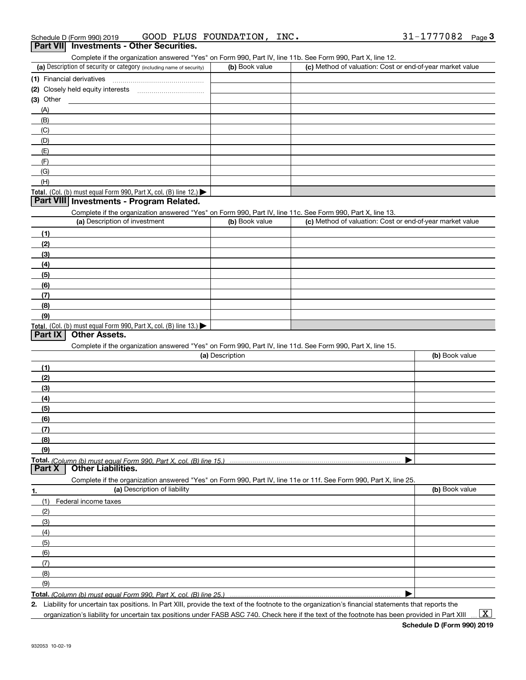| Schedule D (Form 990) 2019 |  | GOOD PLUS FOUNDATION, | INC. | $31 - 1777082$ Page |  |
|----------------------------|--|-----------------------|------|---------------------|--|
|                            |  |                       |      |                     |  |

#### Complete if the organization answered "Yes" on Form 990, Part IV, line 11b. See Form 990, Part X, line 12. **Part VII Investments - Other Securities.**

| OUTINIE IS TO BE TUTTLED ON A THE TALK THE TALK THE TEACH IS ON THE LOST OF THE REAL TEACH IS NOT A THE TALK THE TALK THAT THE TALK THAT THE TALK THAT TALK THE TALK THAT TALK THAT TALK THAT TALK THAT TALK THAT TALK THAT TA |                |                                                           |
|--------------------------------------------------------------------------------------------------------------------------------------------------------------------------------------------------------------------------------|----------------|-----------------------------------------------------------|
| (a) Description of security or category (including name of security)                                                                                                                                                           | (b) Book value | (c) Method of valuation: Cost or end-of-year market value |
| (1) Financial derivatives                                                                                                                                                                                                      |                |                                                           |
| (2) Closely held equity interests                                                                                                                                                                                              |                |                                                           |
| (3) Other                                                                                                                                                                                                                      |                |                                                           |
| (A)                                                                                                                                                                                                                            |                |                                                           |
| (B)                                                                                                                                                                                                                            |                |                                                           |
| (C)                                                                                                                                                                                                                            |                |                                                           |
| (D)                                                                                                                                                                                                                            |                |                                                           |
| (E)                                                                                                                                                                                                                            |                |                                                           |
| (F)                                                                                                                                                                                                                            |                |                                                           |
| (G)                                                                                                                                                                                                                            |                |                                                           |
| (H)                                                                                                                                                                                                                            |                |                                                           |
| Total. (Col. (b) must equal Form 990, Part X, col. (B) line $12$ .)                                                                                                                                                            |                |                                                           |

#### **Part VIII Investments - Program Related.**

Complete if the organization answered "Yes" on Form 990, Part IV, line 11c. See Form 990, Part X, line 13.

| (a) Description of investment                                    | (b) Book value | (c) Method of valuation: Cost or end-of-year market value |
|------------------------------------------------------------------|----------------|-----------------------------------------------------------|
| (1)                                                              |                |                                                           |
| (2)                                                              |                |                                                           |
| $\frac{1}{2}$                                                    |                |                                                           |
| (4)                                                              |                |                                                           |
| (5)                                                              |                |                                                           |
| (6)                                                              |                |                                                           |
| $\sqrt{(7)}$                                                     |                |                                                           |
| (8)                                                              |                |                                                           |
| (9)                                                              |                |                                                           |
| Total. (Col. (b) must equal Form 990, Part X, col. (B) line 13.) |                |                                                           |

#### **Part IX Other Assets.**

Complete if the organization answered "Yes" on Form 990, Part IV, line 11d. See Form 990, Part X, line 15.

| (a) Description                                                                                                          | (b) Book value |
|--------------------------------------------------------------------------------------------------------------------------|----------------|
| (1)                                                                                                                      |                |
| (2)                                                                                                                      |                |
| (3)                                                                                                                      |                |
| (4)                                                                                                                      |                |
| (5)                                                                                                                      |                |
| (6)                                                                                                                      |                |
| (7)                                                                                                                      |                |
| (8)                                                                                                                      |                |
| (9)                                                                                                                      |                |
|                                                                                                                          |                |
| Total. (Column (b) must equal Form 990, Part X, col. (B) line 15.) ……………………………………………………<br>  Part X   Other Liabilities. |                |
| Complete if the organization answered "Yes" on Form 990, Part IV, line 11e or 11f. See Form 990, Part X, line 25.        |                |
| (a) Description of liability<br>1.                                                                                       | (b) Book value |
| Federal income taxes<br>(1)                                                                                              |                |
| (2)                                                                                                                      |                |
| (3)                                                                                                                      |                |

| (5                                                                       |  |
|--------------------------------------------------------------------------|--|
| (6)                                                                      |  |
|                                                                          |  |
| (8)                                                                      |  |
| (9)                                                                      |  |
| <b>Total,</b> (Column (b) must equal Form 990, Part X, col. (B) line 25. |  |

**Total.**  *(Column (b) must equal Form 990, Part X, col. (B) line 25.)* 

**2.** Liability for uncertain tax positions. In Part XIII, provide the text of the footnote to the organization's financial statements that reports the

 $\vert$  X  $\vert$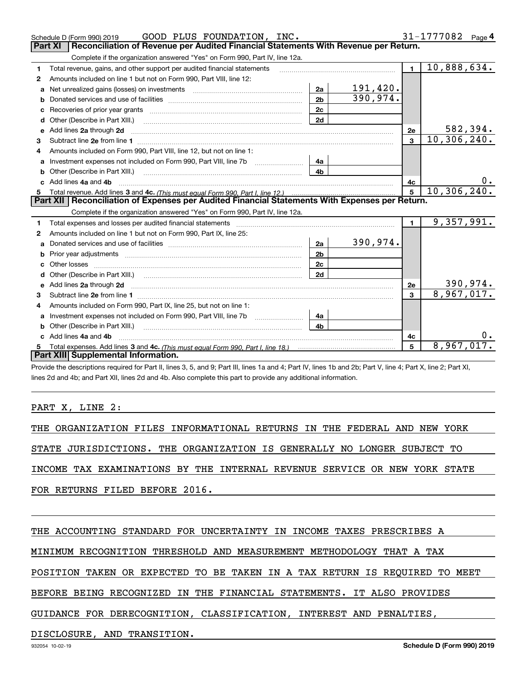|    | GOOD PLUS FOUNDATION, INC.<br>Schedule D (Form 990) 2019                                                                                                                                                                       |                |           |                | 31-1777082<br>Page $4$        |
|----|--------------------------------------------------------------------------------------------------------------------------------------------------------------------------------------------------------------------------------|----------------|-----------|----------------|-------------------------------|
|    | Part XI<br>Reconciliation of Revenue per Audited Financial Statements With Revenue per Return.                                                                                                                                 |                |           |                |                               |
|    | Complete if the organization answered "Yes" on Form 990, Part IV, line 12a.                                                                                                                                                    |                |           |                |                               |
| 1  | Total revenue, gains, and other support per audited financial statements                                                                                                                                                       |                |           | $\blacksquare$ | 10,888,634.                   |
| 2  | Amounts included on line 1 but not on Form 990, Part VIII, line 12:                                                                                                                                                            |                |           |                |                               |
| a  | Net unrealized gains (losses) on investments [11] matter contracts and the unrealized gains (losses) on investments                                                                                                            | 2a             | 191,420.  |                |                               |
| b  |                                                                                                                                                                                                                                | 2 <sub>b</sub> | 390, 974. |                |                               |
| с  |                                                                                                                                                                                                                                | 2c             |           |                |                               |
| d  |                                                                                                                                                                                                                                | 2d             |           |                |                               |
| е  | Add lines 2a through 2d                                                                                                                                                                                                        |                |           | 2e             | 582,394.                      |
| 3  |                                                                                                                                                                                                                                |                |           | 3              | 10, 306, 240.                 |
| 4  | Amounts included on Form 990, Part VIII, line 12, but not on line 1:                                                                                                                                                           |                |           |                |                               |
| a  | Investment expenses not included on Form 990, Part VIII, line 7b [111] [11] Investment expenses not included on Form 990, Part VIII, line 7b                                                                                   | 4a             |           |                |                               |
|    |                                                                                                                                                                                                                                | 4b             |           |                |                               |
| c. | Add lines 4a and 4b                                                                                                                                                                                                            |                |           | 4с             | 0.                            |
|    |                                                                                                                                                                                                                                |                |           | $5^{\circ}$    | 10, 306, 240.                 |
|    |                                                                                                                                                                                                                                |                |           |                |                               |
|    | Part XII   Reconciliation of Expenses per Audited Financial Statements With Expenses per Return.                                                                                                                               |                |           |                |                               |
|    | Complete if the organization answered "Yes" on Form 990, Part IV, line 12a.                                                                                                                                                    |                |           |                |                               |
| 1  | Total expenses and losses per audited financial statements [111] [12] contraction controller and contract the statements [13] [13] [13] contract expenses and losses per audited financial statements [13] [13] [13] [13] [13] |                |           | $\blacksquare$ | 9,357,991.                    |
| 2  | Amounts included on line 1 but not on Form 990, Part IX, line 25:                                                                                                                                                              |                |           |                |                               |
| a  |                                                                                                                                                                                                                                | 2a             | 390,974.  |                |                               |
| b  |                                                                                                                                                                                                                                | 2 <sub>b</sub> |           |                |                               |
| с  | Other losses                                                                                                                                                                                                                   | 2c             |           |                |                               |
| d  | Other (Describe in Part XIII.) (2000) (2000) (2000) (2000) (2000) (2000) (2000) (2000) (2000) (2000) (2000) (2000) (2000) (2000) (2000) (2000) (2000) (2000) (2000) (2000) (2000) (2000) (2000) (2000) (2000) (2000) (2000) (2 | 2d             |           |                |                               |
| е  | Add lines 2a through 2d <b>must be a constructed as the constant of the constant of the constant of the construction</b>                                                                                                       |                |           | 2e             |                               |
| з  |                                                                                                                                                                                                                                |                |           | 3              | $\frac{390,974.}{8,967,017.}$ |
| 4  | Amounts included on Form 990, Part IX, line 25, but not on line 1:                                                                                                                                                             |                |           |                |                               |
| a  |                                                                                                                                                                                                                                | 4a             |           |                |                               |
|    | Other (Describe in Part XIII.)                                                                                                                                                                                                 | 4b             |           |                |                               |
| c  | Add lines 4a and 4b                                                                                                                                                                                                            |                |           | 4c             |                               |
|    | Part XIII Supplemental Information.                                                                                                                                                                                            |                |           | 5              | 8,967,017.                    |

Provide the descriptions required for Part II, lines 3, 5, and 9; Part III, lines 1a and 4; Part IV, lines 1b and 2b; Part V, line 4; Part X, line 2; Part XI, lines 2d and 4b; and Part XII, lines 2d and 4b. Also complete this part to provide any additional information.

### PART X, LINE 2:

THE ORGANIZATION FILES INFORMATIONAL RETURNS IN THE FEDERAL AND NEW YORK

STATE JURISDICTIONS. THE ORGANIZATION IS GENERALLY NO LONGER SUBJECT TO

INCOME TAX EXAMINATIONS BY THE INTERNAL REVENUE SERVICE OR NEW YORK STATE

FOR RETURNS FILED BEFORE 2016.

THE ACCOUNTING STANDARD FOR UNCERTAINTY IN INCOME TAXES PRESCRIBES A

MINIMUM RECOGNITION THRESHOLD AND MEASUREMENT METHODOLOGY THAT A TAX

POSITION TAKEN OR EXPECTED TO BE TAKEN IN A TAX RETURN IS REQUIRED TO MEET

BEFORE BEING RECOGNIZED IN THE FINANCIAL STATEMENTS. IT ALSO PROVIDES

GUIDANCE FOR DERECOGNITION, CLASSIFICATION, INTEREST AND PENALTIES,

DISCLOSURE, AND TRANSITION.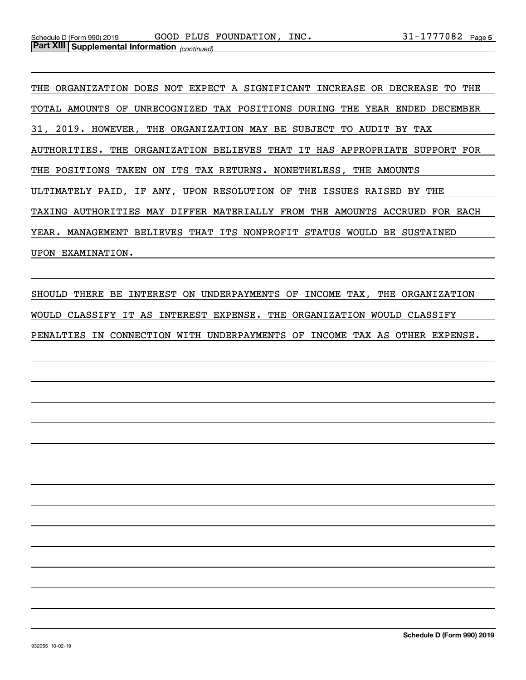THE ORGANIZATION DOES NOT EXPECT A SIGNIFICANT INCREASE OR DECREASE TO THE TOTAL AMOUNTS OF UNRECOGNIZED TAX POSITIONS DURING THE YEAR ENDED DECEMBER 31, 2019. HOWEVER, THE ORGANIZATION MAY BE SUBJECT TO AUDIT BY TAX AUTHORITIES. THE ORGANIZATION BELIEVES THAT IT HAS APPROPRIATE SUPPORT FOR THE POSITIONS TAKEN ON ITS TAX RETURNS. NONETHELESS, THE AMOUNTS ULTIMATELY PAID, IF ANY, UPON RESOLUTION OF THE ISSUES RAISED BY THE TAXING AUTHORITIES MAY DIFFER MATERIALLY FROM THE AMOUNTS ACCRUED FOR EACH YEAR. MANAGEMENT BELIEVES THAT ITS NONPROFIT STATUS WOULD BE SUSTAINED UPON EXAMINATION.

SHOULD THERE BE INTEREST ON UNDERPAYMENTS OF INCOME TAX, THE ORGANIZATION WOULD CLASSIFY IT AS INTEREST EXPENSE. THE ORGANIZATION WOULD CLASSIFY PENALTIES IN CONNECTION WITH UNDERPAYMENTS OF INCOME TAX AS OTHER EXPENSE.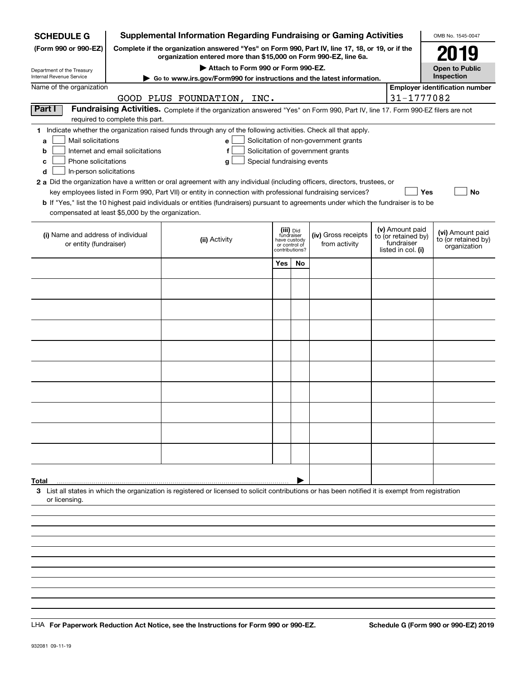| <b>SCHEDULE G</b>                                            |                                                                                                                                                                     | <b>Supplemental Information Regarding Fundraising or Gaming Activities</b>                                                                         |                                     |                                 |           |                                       |  |                                   | OMB No. 1545-0047                     |
|--------------------------------------------------------------|---------------------------------------------------------------------------------------------------------------------------------------------------------------------|----------------------------------------------------------------------------------------------------------------------------------------------------|-------------------------------------|---------------------------------|-----------|---------------------------------------|--|-----------------------------------|---------------------------------------|
| (Form 990 or 990-EZ)                                         | Complete if the organization answered "Yes" on Form 990, Part IV, line 17, 18, or 19, or if the<br>organization entered more than \$15,000 on Form 990-EZ, line 6a. |                                                                                                                                                    | 2019                                |                                 |           |                                       |  |                                   |                                       |
| Department of the Treasury                                   |                                                                                                                                                                     |                                                                                                                                                    | <b>Open to Public</b><br>Inspection |                                 |           |                                       |  |                                   |                                       |
| Internal Revenue Service<br>Name of the organization         |                                                                                                                                                                     | Go to www.irs.gov/Form990 for instructions and the latest information.                                                                             |                                     |                                 |           |                                       |  |                                   | <b>Employer identification number</b> |
|                                                              |                                                                                                                                                                     | GOOD PLUS FOUNDATION, INC.                                                                                                                         |                                     |                                 |           |                                       |  | 31-1777082                        |                                       |
| Part I                                                       |                                                                                                                                                                     | Fundraising Activities. Complete if the organization answered "Yes" on Form 990, Part IV, line 17. Form 990-EZ filers are not                      |                                     |                                 |           |                                       |  |                                   |                                       |
|                                                              | required to complete this part.                                                                                                                                     |                                                                                                                                                    |                                     |                                 |           |                                       |  |                                   |                                       |
|                                                              |                                                                                                                                                                     | 1 Indicate whether the organization raised funds through any of the following activities. Check all that apply.                                    |                                     |                                 |           |                                       |  |                                   |                                       |
| Mail solicitations<br>a                                      |                                                                                                                                                                     | е                                                                                                                                                  |                                     |                                 |           | Solicitation of non-government grants |  |                                   |                                       |
| b                                                            | Internet and email solicitations                                                                                                                                    | f                                                                                                                                                  |                                     |                                 |           | Solicitation of government grants     |  |                                   |                                       |
| Phone solicitations<br>c                                     |                                                                                                                                                                     | g                                                                                                                                                  | Special fundraising events          |                                 |           |                                       |  |                                   |                                       |
| In-person solicitations<br>d                                 |                                                                                                                                                                     |                                                                                                                                                    |                                     |                                 |           |                                       |  |                                   |                                       |
|                                                              |                                                                                                                                                                     | 2 a Did the organization have a written or oral agreement with any individual (including officers, directors, trustees, or                         |                                     |                                 |           |                                       |  |                                   |                                       |
|                                                              |                                                                                                                                                                     | key employees listed in Form 990, Part VII) or entity in connection with professional fundraising services?                                        |                                     |                                 |           |                                       |  | Yes                               | No                                    |
|                                                              |                                                                                                                                                                     | <b>b</b> If "Yes," list the 10 highest paid individuals or entities (fundraisers) pursuant to agreements under which the fundraiser is to be       |                                     |                                 |           |                                       |  |                                   |                                       |
| compensated at least \$5,000 by the organization.            |                                                                                                                                                                     |                                                                                                                                                    |                                     |                                 |           |                                       |  |                                   |                                       |
|                                                              |                                                                                                                                                                     |                                                                                                                                                    |                                     | (iii) Did<br>fundraiser         |           |                                       |  | (v) Amount paid                   | (vi) Amount paid                      |
| (i) Name and address of individual<br>or entity (fundraiser) |                                                                                                                                                                     | (ii) Activity                                                                                                                                      |                                     | have custody                    |           | (iv) Gross receipts<br>from activity  |  | to (or retained by)<br>fundraiser | to (or retained by)                   |
|                                                              |                                                                                                                                                                     |                                                                                                                                                    |                                     | or control of<br>contributions? |           |                                       |  | listed in col. (i)                | organization                          |
|                                                              |                                                                                                                                                                     |                                                                                                                                                    |                                     | Yes                             | <b>No</b> |                                       |  |                                   |                                       |
|                                                              |                                                                                                                                                                     |                                                                                                                                                    |                                     |                                 |           |                                       |  |                                   |                                       |
|                                                              |                                                                                                                                                                     |                                                                                                                                                    |                                     |                                 |           |                                       |  |                                   |                                       |
|                                                              |                                                                                                                                                                     |                                                                                                                                                    |                                     |                                 |           |                                       |  |                                   |                                       |
|                                                              |                                                                                                                                                                     |                                                                                                                                                    |                                     |                                 |           |                                       |  |                                   |                                       |
|                                                              |                                                                                                                                                                     |                                                                                                                                                    |                                     |                                 |           |                                       |  |                                   |                                       |
|                                                              |                                                                                                                                                                     |                                                                                                                                                    |                                     |                                 |           |                                       |  |                                   |                                       |
|                                                              |                                                                                                                                                                     |                                                                                                                                                    |                                     |                                 |           |                                       |  |                                   |                                       |
|                                                              |                                                                                                                                                                     |                                                                                                                                                    |                                     |                                 |           |                                       |  |                                   |                                       |
|                                                              |                                                                                                                                                                     |                                                                                                                                                    |                                     |                                 |           |                                       |  |                                   |                                       |
|                                                              |                                                                                                                                                                     |                                                                                                                                                    |                                     |                                 |           |                                       |  |                                   |                                       |
|                                                              |                                                                                                                                                                     |                                                                                                                                                    |                                     |                                 |           |                                       |  |                                   |                                       |
|                                                              |                                                                                                                                                                     |                                                                                                                                                    |                                     |                                 |           |                                       |  |                                   |                                       |
|                                                              |                                                                                                                                                                     |                                                                                                                                                    |                                     |                                 |           |                                       |  |                                   |                                       |
|                                                              |                                                                                                                                                                     |                                                                                                                                                    |                                     |                                 |           |                                       |  |                                   |                                       |
|                                                              |                                                                                                                                                                     |                                                                                                                                                    |                                     |                                 |           |                                       |  |                                   |                                       |
|                                                              |                                                                                                                                                                     |                                                                                                                                                    |                                     |                                 |           |                                       |  |                                   |                                       |
|                                                              |                                                                                                                                                                     |                                                                                                                                                    |                                     |                                 |           |                                       |  |                                   |                                       |
|                                                              |                                                                                                                                                                     |                                                                                                                                                    |                                     |                                 |           |                                       |  |                                   |                                       |
|                                                              |                                                                                                                                                                     |                                                                                                                                                    |                                     |                                 |           |                                       |  |                                   |                                       |
| Total                                                        |                                                                                                                                                                     |                                                                                                                                                    |                                     |                                 |           |                                       |  |                                   |                                       |
| or licensing.                                                |                                                                                                                                                                     | 3 List all states in which the organization is registered or licensed to solicit contributions or has been notified it is exempt from registration |                                     |                                 |           |                                       |  |                                   |                                       |
|                                                              |                                                                                                                                                                     |                                                                                                                                                    |                                     |                                 |           |                                       |  |                                   |                                       |
|                                                              |                                                                                                                                                                     |                                                                                                                                                    |                                     |                                 |           |                                       |  |                                   |                                       |
|                                                              |                                                                                                                                                                     |                                                                                                                                                    |                                     |                                 |           |                                       |  |                                   |                                       |
|                                                              |                                                                                                                                                                     |                                                                                                                                                    |                                     |                                 |           |                                       |  |                                   |                                       |
|                                                              |                                                                                                                                                                     |                                                                                                                                                    |                                     |                                 |           |                                       |  |                                   |                                       |

LHA For Paperwork Reduction Act Notice, see the Instructions for Form 990 or 990-EZ. Schedule G (Form 990 or 990-EZ) 2019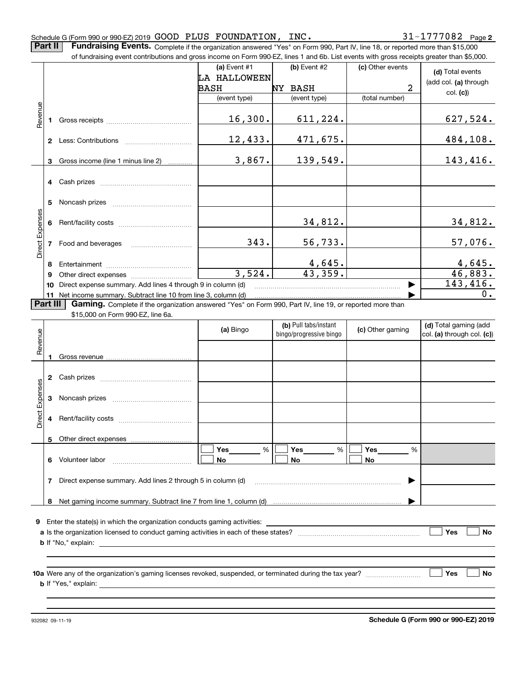**Part II** | Fundraising Events. Complete if the organization answered "Yes" on Form 990, Part IV, line 18, or reported more than \$15,000 of fundraising event contributions and gross income on Form 990-EZ, lines 1 and 6b. List events with gross receipts greater than \$5,000.

|                 |          | of fundraising event contributions and gross income on Form 990-EZ, lines 1 and 6b. List events with gross receipts greater than \$5,000.                                                                                                |                |                          |                  |                            |
|-----------------|----------|------------------------------------------------------------------------------------------------------------------------------------------------------------------------------------------------------------------------------------------|----------------|--------------------------|------------------|----------------------------|
|                 |          |                                                                                                                                                                                                                                          | (a) Event $#1$ | $(b)$ Event #2           | (c) Other events | (d) Total events           |
|                 |          |                                                                                                                                                                                                                                          | LA HALLOWEEN   |                          |                  | (add col. (a) through      |
|                 |          |                                                                                                                                                                                                                                          | BASH           | NY BASH                  | $\overline{a}$   | col. (c)                   |
|                 |          |                                                                                                                                                                                                                                          | (event type)   | (event type)             | (total number)   |                            |
| Revenue         |          |                                                                                                                                                                                                                                          |                |                          |                  |                            |
|                 | 1.       |                                                                                                                                                                                                                                          | 16,300.        | 611,224.                 |                  | <u>627,524.</u>            |
|                 |          |                                                                                                                                                                                                                                          |                |                          |                  |                            |
|                 |          |                                                                                                                                                                                                                                          | 12,433.        | 471,675.                 |                  | 484,108.                   |
|                 |          | 3 Gross income (line 1 minus line 2)                                                                                                                                                                                                     | 3,867.         | 139,549.                 |                  | 143,416.                   |
|                 |          |                                                                                                                                                                                                                                          |                |                          |                  |                            |
|                 |          |                                                                                                                                                                                                                                          |                |                          |                  |                            |
|                 |          |                                                                                                                                                                                                                                          |                |                          |                  |                            |
|                 | 5        |                                                                                                                                                                                                                                          |                |                          |                  |                            |
|                 |          |                                                                                                                                                                                                                                          |                |                          |                  |                            |
|                 |          |                                                                                                                                                                                                                                          |                | 34,812.                  |                  | <u>34,812.</u>             |
| Direct Expenses |          |                                                                                                                                                                                                                                          |                |                          |                  |                            |
|                 |          | 7 Food and beverages                                                                                                                                                                                                                     | 343.           | 56,733.                  |                  | 57,076.                    |
|                 |          |                                                                                                                                                                                                                                          |                |                          |                  |                            |
|                 |          |                                                                                                                                                                                                                                          | 3,524.         | <u>4,645.</u><br>43,359. |                  | $\frac{4,645}{46,883}$ .   |
|                 | 9        |                                                                                                                                                                                                                                          |                |                          |                  | 143, 416.                  |
|                 |          | 10 Direct expense summary. Add lines 4 through 9 in column (d)<br>11 Net income summary. Subtract line 10 from line 3, column (d)                                                                                                        |                |                          |                  | 0.                         |
|                 | Part III | Gaming. Complete if the organization answered "Yes" on Form 990, Part IV, line 19, or reported more than                                                                                                                                 |                |                          |                  |                            |
|                 |          | \$15,000 on Form 990-EZ, line 6a.                                                                                                                                                                                                        |                |                          |                  |                            |
|                 |          |                                                                                                                                                                                                                                          |                | (b) Pull tabs/instant    |                  | (d) Total gaming (add      |
|                 |          |                                                                                                                                                                                                                                          | (a) Bingo      | bingo/progressive bingo  | (c) Other gaming | col. (a) through col. (c)) |
| Revenue         |          |                                                                                                                                                                                                                                          |                |                          |                  |                            |
|                 | 1        |                                                                                                                                                                                                                                          |                |                          |                  |                            |
|                 |          |                                                                                                                                                                                                                                          |                |                          |                  |                            |
|                 |          |                                                                                                                                                                                                                                          |                |                          |                  |                            |
| Direct Expenses |          |                                                                                                                                                                                                                                          |                |                          |                  |                            |
|                 |          |                                                                                                                                                                                                                                          |                |                          |                  |                            |
|                 |          |                                                                                                                                                                                                                                          |                |                          |                  |                            |
|                 |          |                                                                                                                                                                                                                                          |                |                          |                  |                            |
|                 |          | 5 Other direct expenses                                                                                                                                                                                                                  |                |                          |                  |                            |
|                 |          |                                                                                                                                                                                                                                          | %<br>Yes       | Yes<br>%                 | Yes<br>%         |                            |
|                 | 6        | Volunteer labor                                                                                                                                                                                                                          | No             | No                       | No               |                            |
|                 |          |                                                                                                                                                                                                                                          |                |                          |                  |                            |
|                 | 7        | Direct expense summary. Add lines 2 through 5 in column (d)                                                                                                                                                                              |                |                          |                  |                            |
|                 |          |                                                                                                                                                                                                                                          |                |                          |                  |                            |
|                 |          |                                                                                                                                                                                                                                          |                |                          |                  |                            |
|                 |          |                                                                                                                                                                                                                                          |                |                          |                  |                            |
|                 |          | 9 Enter the state(s) in which the organization conducts gaming activities:                                                                                                                                                               |                |                          |                  |                            |
|                 |          |                                                                                                                                                                                                                                          |                |                          |                  | Yes<br><b>No</b>           |
|                 |          | <b>b</b> If "No," explain:                                                                                                                                                                                                               |                |                          |                  |                            |
|                 |          |                                                                                                                                                                                                                                          |                |                          |                  |                            |
|                 |          |                                                                                                                                                                                                                                          |                |                          |                  | Yes                        |
|                 |          | <b>b</b> If "Yes," explain: <b>b</b> if the set of the set of the set of the set of the set of the set of the set of the set of the set of the set of the set of the set of the set of the set of the set of the set of the set of the s |                |                          |                  | No                         |
|                 |          |                                                                                                                                                                                                                                          |                |                          |                  |                            |
|                 |          |                                                                                                                                                                                                                                          |                |                          |                  |                            |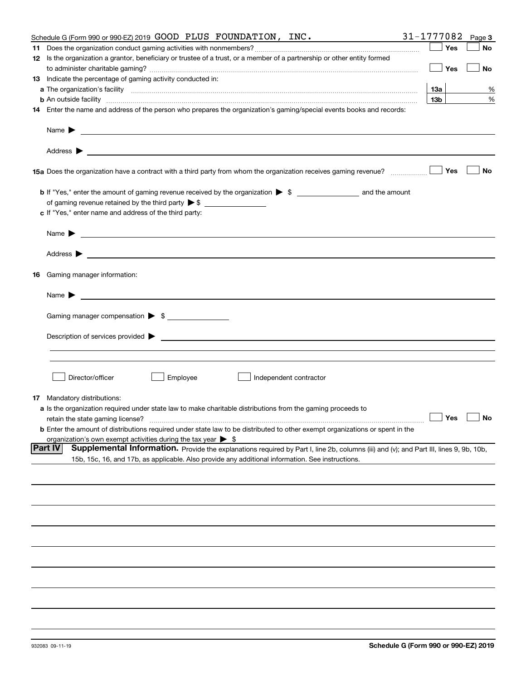|    | Schedule G (Form 990 or 990-EZ) 2019 GOOD PLUS FOUNDATION, $INC.$                                                                                                                                                                                            | 31-1777082      | Page 3    |
|----|--------------------------------------------------------------------------------------------------------------------------------------------------------------------------------------------------------------------------------------------------------------|-----------------|-----------|
| 11 |                                                                                                                                                                                                                                                              | Yes             | No        |
|    | 12 Is the organization a grantor, beneficiary or trustee of a trust, or a member of a partnership or other entity formed                                                                                                                                     |                 |           |
|    |                                                                                                                                                                                                                                                              | Yes             | No        |
|    | 13 Indicate the percentage of gaming activity conducted in:                                                                                                                                                                                                  |                 |           |
|    |                                                                                                                                                                                                                                                              | 13а             | %         |
|    |                                                                                                                                                                                                                                                              | 13 <sub>b</sub> | %         |
|    | 14 Enter the name and address of the person who prepares the organization's gaming/special events books and records:                                                                                                                                         |                 |           |
|    | Name $\blacktriangleright$ $\lrcorner$                                                                                                                                                                                                                       |                 |           |
|    |                                                                                                                                                                                                                                                              |                 |           |
|    |                                                                                                                                                                                                                                                              | Yes             | No        |
|    |                                                                                                                                                                                                                                                              |                 |           |
|    |                                                                                                                                                                                                                                                              |                 |           |
|    | c If "Yes," enter name and address of the third party:                                                                                                                                                                                                       |                 |           |
|    | <u> 1989 - Johann Barbara, marka a shekara ta 1989 - An tsaran a shekara tsa 1989 - An tsara tsara tsa 1989</u><br>Name $\blacktriangleright$                                                                                                                |                 |           |
|    |                                                                                                                                                                                                                                                              |                 |           |
|    | 16 Gaming manager information:                                                                                                                                                                                                                               |                 |           |
|    | Name $\blacktriangleright$                                                                                                                                                                                                                                   |                 |           |
|    | Gaming manager compensation > \$                                                                                                                                                                                                                             |                 |           |
|    |                                                                                                                                                                                                                                                              |                 |           |
|    |                                                                                                                                                                                                                                                              |                 |           |
|    |                                                                                                                                                                                                                                                              |                 |           |
|    |                                                                                                                                                                                                                                                              |                 |           |
|    | Director/officer<br>Employee<br>Independent contractor                                                                                                                                                                                                       |                 |           |
| 17 | Mandatory distributions:                                                                                                                                                                                                                                     |                 |           |
|    | a Is the organization required under state law to make charitable distributions from the gaming proceeds to                                                                                                                                                  |                 |           |
|    | retain the state gaming license?                                                                                                                                                                                                                             | $\Box$ Yes      | $\Box$ No |
|    | <b>b</b> Enter the amount of distributions required under state law to be distributed to other exempt organizations or spent in the                                                                                                                          |                 |           |
|    | organization's own exempt activities during the tax year $\triangleright$ \$                                                                                                                                                                                 |                 |           |
|    | <b>Part IV</b><br>Supplemental Information. Provide the explanations required by Part I, line 2b, columns (iii) and (v); and Part III, lines 9, 9b, 10b,<br>15b, 15c, 16, and 17b, as applicable. Also provide any additional information. See instructions. |                 |           |
|    |                                                                                                                                                                                                                                                              |                 |           |
|    |                                                                                                                                                                                                                                                              |                 |           |
|    |                                                                                                                                                                                                                                                              |                 |           |
|    |                                                                                                                                                                                                                                                              |                 |           |
|    |                                                                                                                                                                                                                                                              |                 |           |
|    |                                                                                                                                                                                                                                                              |                 |           |
|    |                                                                                                                                                                                                                                                              |                 |           |
|    |                                                                                                                                                                                                                                                              |                 |           |
|    |                                                                                                                                                                                                                                                              |                 |           |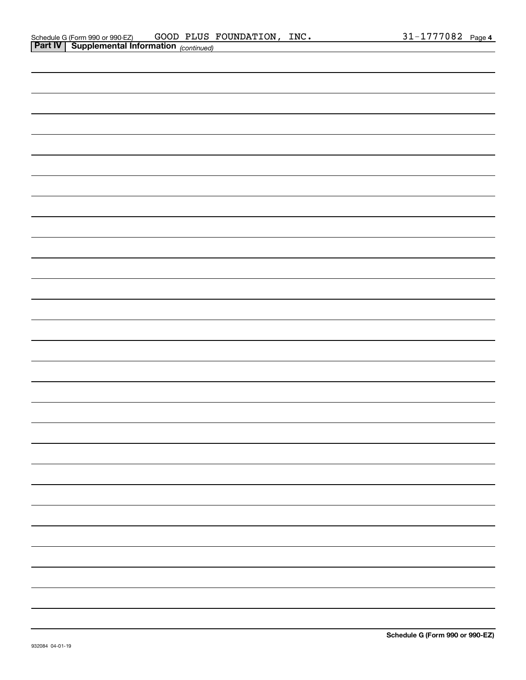| <b>Part IV</b> Supplemental Information $_{(continued)}$                                                              |  |  |
|-----------------------------------------------------------------------------------------------------------------------|--|--|
|                                                                                                                       |  |  |
|                                                                                                                       |  |  |
|                                                                                                                       |  |  |
|                                                                                                                       |  |  |
|                                                                                                                       |  |  |
|                                                                                                                       |  |  |
|                                                                                                                       |  |  |
|                                                                                                                       |  |  |
|                                                                                                                       |  |  |
|                                                                                                                       |  |  |
|                                                                                                                       |  |  |
|                                                                                                                       |  |  |
|                                                                                                                       |  |  |
|                                                                                                                       |  |  |
|                                                                                                                       |  |  |
|                                                                                                                       |  |  |
|                                                                                                                       |  |  |
|                                                                                                                       |  |  |
|                                                                                                                       |  |  |
|                                                                                                                       |  |  |
|                                                                                                                       |  |  |
|                                                                                                                       |  |  |
|                                                                                                                       |  |  |
|                                                                                                                       |  |  |
|                                                                                                                       |  |  |
|                                                                                                                       |  |  |
|                                                                                                                       |  |  |
| <u> 1989 - Johann Stoff, deutscher Stoffen und der Stoffen und der Stoffen und der Stoffen und der Stoffen und de</u> |  |  |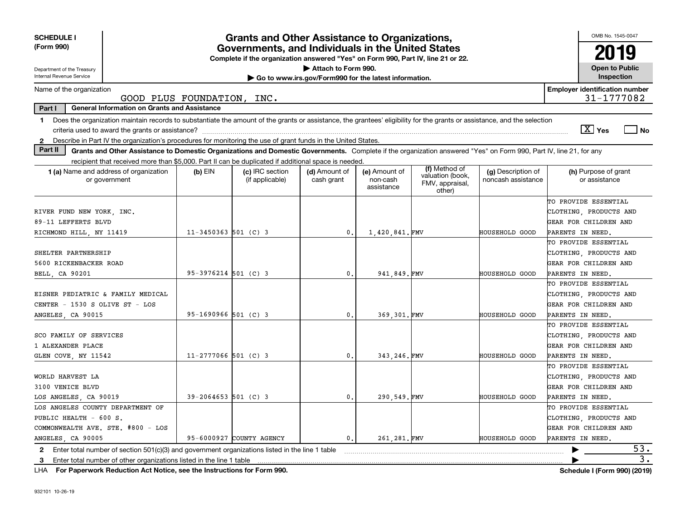| <b>SCHEDULE I</b><br>(Form 990)                                                                                                                                               |                            | <b>Grants and Other Assistance to Organizations,</b>                                                                                  |                                                       |                                         |                                                                |                                          | OMB No. 1545-0047                                   |
|-------------------------------------------------------------------------------------------------------------------------------------------------------------------------------|----------------------------|---------------------------------------------------------------------------------------------------------------------------------------|-------------------------------------------------------|-----------------------------------------|----------------------------------------------------------------|------------------------------------------|-----------------------------------------------------|
|                                                                                                                                                                               |                            | Governments, and Individuals in the United States<br>Complete if the organization answered "Yes" on Form 990, Part IV, line 21 or 22. |                                                       |                                         |                                                                |                                          | 2019                                                |
| Department of the Treasury                                                                                                                                                    |                            |                                                                                                                                       | Attach to Form 990.                                   |                                         |                                                                |                                          | <b>Open to Public</b>                               |
| Internal Revenue Service                                                                                                                                                      |                            |                                                                                                                                       | Go to www.irs.gov/Form990 for the latest information. |                                         |                                                                |                                          | Inspection                                          |
| Name of the organization                                                                                                                                                      | GOOD PLUS FOUNDATION, INC. |                                                                                                                                       |                                                       |                                         |                                                                |                                          | <b>Employer identification number</b><br>31-1777082 |
| Part I<br><b>General Information on Grants and Assistance</b>                                                                                                                 |                            |                                                                                                                                       |                                                       |                                         |                                                                |                                          |                                                     |
| 1 Does the organization maintain records to substantiate the amount of the grants or assistance, the grantees' eligibility for the grants or assistance, and the selection    |                            |                                                                                                                                       |                                                       |                                         |                                                                |                                          |                                                     |
|                                                                                                                                                                               |                            |                                                                                                                                       |                                                       |                                         |                                                                |                                          | $\boxed{\text{X}}$ Yes<br>  No                      |
| Describe in Part IV the organization's procedures for monitoring the use of grant funds in the United States.<br>$\mathbf{2}$                                                 |                            |                                                                                                                                       |                                                       |                                         |                                                                |                                          |                                                     |
| Part II<br>Grants and Other Assistance to Domestic Organizations and Domestic Governments. Complete if the organization answered "Yes" on Form 990, Part IV, line 21, for any |                            |                                                                                                                                       |                                                       |                                         |                                                                |                                          |                                                     |
| recipient that received more than \$5,000. Part II can be duplicated if additional space is needed.                                                                           |                            |                                                                                                                                       |                                                       |                                         |                                                                |                                          |                                                     |
| <b>1 (a)</b> Name and address of organization<br>or government                                                                                                                | $(b)$ EIN                  | (c) IRC section<br>(if applicable)                                                                                                    | (d) Amount of<br>cash grant                           | (e) Amount of<br>non-cash<br>assistance | (f) Method of<br>valuation (book,<br>FMV, appraisal,<br>other) | (g) Description of<br>noncash assistance | (h) Purpose of grant<br>or assistance               |
|                                                                                                                                                                               |                            |                                                                                                                                       |                                                       |                                         |                                                                |                                          | TO PROVIDE ESSENTIAL                                |
| RIVER FUND NEW YORK, INC.                                                                                                                                                     |                            |                                                                                                                                       |                                                       |                                         |                                                                |                                          | CLOTHING, PRODUCTS AND                              |
| 89-11 LEFFERTS BLVD                                                                                                                                                           |                            |                                                                                                                                       |                                                       |                                         |                                                                |                                          | GEAR FOR CHILDREN AND                               |
| RICHMOND HILL, NY 11419                                                                                                                                                       | $11 - 3450363$ 501 (C) 3   |                                                                                                                                       | $\mathbf{0}$                                          | 1,420,841.FMV                           |                                                                | HOUSEHOLD GOOD                           | PARENTS IN NEED.                                    |
|                                                                                                                                                                               |                            |                                                                                                                                       |                                                       |                                         |                                                                |                                          | TO PROVIDE ESSENTIAL                                |
| SHELTER PARTNERSHIP                                                                                                                                                           |                            |                                                                                                                                       |                                                       |                                         |                                                                |                                          | CLOTHING, PRODUCTS AND                              |
| 5600 RICKENBACKER ROAD                                                                                                                                                        |                            |                                                                                                                                       |                                                       |                                         |                                                                |                                          | GEAR FOR CHILDREN AND                               |
| BELL, CA 90201                                                                                                                                                                | $95-3976214$ 501 (C) 3     |                                                                                                                                       | $\mathbf{0}$                                          | 941,849.FMV                             |                                                                | HOUSEHOLD GOOD                           | PARENTS IN NEED.                                    |
|                                                                                                                                                                               |                            |                                                                                                                                       |                                                       |                                         |                                                                |                                          | TO PROVIDE ESSENTIAL                                |
| EISNER PEDIATRIC & FAMILY MEDICAL                                                                                                                                             |                            |                                                                                                                                       |                                                       |                                         |                                                                |                                          | CLOTHING, PRODUCTS AND                              |
| CENTER - 1530 S OLIVE ST - LOS                                                                                                                                                |                            |                                                                                                                                       |                                                       |                                         |                                                                |                                          | GEAR FOR CHILDREN AND                               |
| ANGELES, CA 90015                                                                                                                                                             | $95 - 1690966$ 501 (C) 3   |                                                                                                                                       | $\mathbf{0}$                                          | 369,301.FMV                             |                                                                | HOUSEHOLD GOOD                           | PARENTS IN NEED.                                    |
|                                                                                                                                                                               |                            |                                                                                                                                       |                                                       |                                         |                                                                |                                          | TO PROVIDE ESSENTIAL                                |
| SCO FAMILY OF SERVICES                                                                                                                                                        |                            |                                                                                                                                       |                                                       |                                         |                                                                |                                          | CLOTHING PRODUCTS AND                               |
| 1 ALEXANDER PLACE                                                                                                                                                             |                            |                                                                                                                                       |                                                       |                                         |                                                                |                                          | GEAR FOR CHILDREN AND                               |
| GLEN COVE, NY 11542                                                                                                                                                           | $11 - 2777066$ 501 (C) 3   |                                                                                                                                       | $\mathbf{0}$                                          | 343.246. FMV                            |                                                                | HOUSEHOLD GOOD                           | PARENTS IN NEED.                                    |
|                                                                                                                                                                               |                            |                                                                                                                                       |                                                       |                                         |                                                                |                                          | TO PROVIDE ESSENTIAL                                |
| WORLD HARVEST LA                                                                                                                                                              |                            |                                                                                                                                       |                                                       |                                         |                                                                |                                          | CLOTHING PRODUCTS AND                               |
| 3100 VENICE BLVD                                                                                                                                                              |                            |                                                                                                                                       |                                                       |                                         |                                                                |                                          | GEAR FOR CHILDREN AND                               |
| LOS ANGELES, CA 90019                                                                                                                                                         | $39 - 2064653$ 501 (C) 3   |                                                                                                                                       | $\mathbf{0}$ .                                        | 290.549.FMV                             |                                                                | HOUSEHOLD GOOD                           | PARENTS IN NEED.                                    |
| LOS ANGELES COUNTY DEPARTMENT OF                                                                                                                                              |                            |                                                                                                                                       |                                                       |                                         |                                                                |                                          | TO PROVIDE ESSENTIAL                                |
| PUBLIC HEALTH - 600 S.                                                                                                                                                        |                            |                                                                                                                                       |                                                       |                                         |                                                                |                                          | CLOTHING PRODUCTS AND                               |
| COMMONWEALTH AVE. STE. #800 - LOS                                                                                                                                             |                            |                                                                                                                                       |                                                       |                                         |                                                                |                                          | GEAR FOR CHILDREN AND                               |
| ANGELES CA 90005                                                                                                                                                              |                            | 95-6000927 COUNTY AGENCY                                                                                                              | $\mathbf{0}$                                          | 261.281.FMV                             |                                                                | HOUSEHOLD GOOD                           | PARENTS IN NEED.                                    |
| 2 Enter total number of section $501(c)(3)$ and government organizations listed in the line 1 table                                                                           |                            |                                                                                                                                       |                                                       |                                         |                                                                |                                          | 53.                                                 |
| Enter total number of other organizations listed in the line 1 table<br>3                                                                                                     |                            |                                                                                                                                       |                                                       |                                         |                                                                |                                          | $\overline{3}$ .                                    |

**For Paperwork Reduction Act Notice, see the Instructions for Form 990. Schedule I (Form 990) (2019)** LHA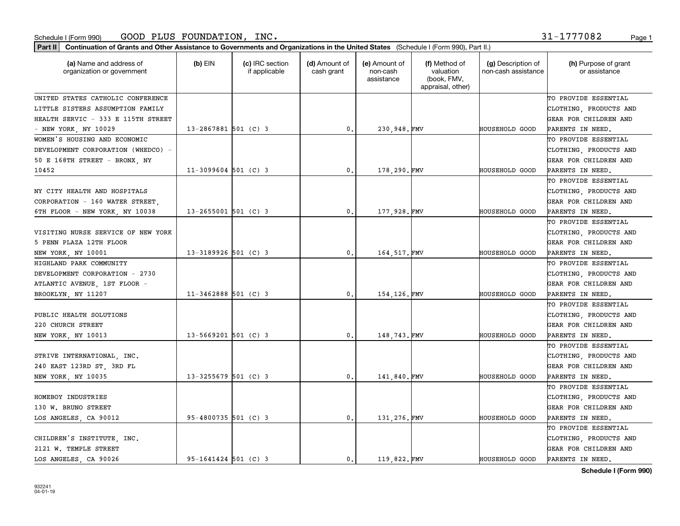| Part II   Continuation of Grants and Other Assistance to Governments and Organizations in the United States (Schedule I (Form 990), Part II.) |                          |                                  |                             |                                         |                                                                |                                           |                                       |
|-----------------------------------------------------------------------------------------------------------------------------------------------|--------------------------|----------------------------------|-----------------------------|-----------------------------------------|----------------------------------------------------------------|-------------------------------------------|---------------------------------------|
| (a) Name and address of<br>organization or government                                                                                         | $(b)$ EIN                | (c) IRC section<br>if applicable | (d) Amount of<br>cash grant | (e) Amount of<br>non-cash<br>assistance | (f) Method of<br>valuation<br>(book, FMV,<br>appraisal, other) | (g) Description of<br>non-cash assistance | (h) Purpose of grant<br>or assistance |
| UNITED STATES CATHOLIC CONFERENCE                                                                                                             |                          |                                  |                             |                                         |                                                                |                                           | TO PROVIDE ESSENTIAL                  |
| LITTLE SISTERS ASSUMPTION FAMILY                                                                                                              |                          |                                  |                             |                                         |                                                                |                                           | CLOTHING, PRODUCTS AND                |
| HEALTH SERVIC - 333 E 115TH STREET                                                                                                            |                          |                                  |                             |                                         |                                                                |                                           | GEAR FOR CHILDREN AND                 |
| - NEW YORK, NY 10029                                                                                                                          | $13 - 2867881$ 501 (C) 3 |                                  | $\mathbf{0}$ .              | 230,948.FMV                             |                                                                | HOUSEHOLD GOOD                            | PARENTS IN NEED.                      |
| WOMEN'S HOUSING AND ECONOMIC                                                                                                                  |                          |                                  |                             |                                         |                                                                |                                           | TO PROVIDE ESSENTIAL                  |
| DEVELOPMENT CORPORATION (WHEDCO) -                                                                                                            |                          |                                  |                             |                                         |                                                                |                                           | CLOTHING, PRODUCTS AND                |
| 50 E 168TH STREET - BRONX, NY                                                                                                                 |                          |                                  |                             |                                         |                                                                |                                           | GEAR FOR CHILDREN AND                 |
| 10452                                                                                                                                         | $11-3099604$ 501 (C) 3   |                                  | $\mathbf{0}$ .              | 178,290.FMV                             |                                                                | HOUSEHOLD GOOD                            | PARENTS IN NEED.                      |
|                                                                                                                                               |                          |                                  |                             |                                         |                                                                |                                           | TO PROVIDE ESSENTIAL                  |
| NY CITY HEALTH AND HOSPITALS                                                                                                                  |                          |                                  |                             |                                         |                                                                |                                           | CLOTHING, PRODUCTS AND                |
| CORPORATION - 160 WATER STREET,                                                                                                               |                          |                                  |                             |                                         |                                                                |                                           | GEAR FOR CHILDREN AND                 |
| 6TH FLOOR - NEW YORK, NY 10038                                                                                                                | $13 - 2655001$ 501 (C) 3 |                                  | 0.                          | 177,928.FMV                             |                                                                | HOUSEHOLD GOOD                            | PARENTS IN NEED.                      |
|                                                                                                                                               |                          |                                  |                             |                                         |                                                                |                                           | TO PROVIDE ESSENTIAL                  |
| VISITING NURSE SERVICE OF NEW YORK                                                                                                            |                          |                                  |                             |                                         |                                                                |                                           | CLOTHING, PRODUCTS AND                |
| 5 PENN PLAZA 12TH FLOOR                                                                                                                       |                          |                                  |                             |                                         |                                                                |                                           | GEAR FOR CHILDREN AND                 |
| NEW YORK, NY 10001                                                                                                                            | 13-3189926 501 (C) 3     |                                  | $\mathbf{0}$ .              | 164, 517. FMV                           |                                                                | HOUSEHOLD GOOD                            | PARENTS IN NEED.                      |
| HIGHLAND PARK COMMUNITY                                                                                                                       |                          |                                  |                             |                                         |                                                                |                                           | TO PROVIDE ESSENTIAL                  |
| DEVELOPMENT CORPORATION - 2730                                                                                                                |                          |                                  |                             |                                         |                                                                |                                           | CLOTHING, PRODUCTS AND                |
| ATLANTIC AVENUE, 1ST FLOOR -                                                                                                                  |                          |                                  |                             |                                         |                                                                |                                           | GEAR FOR CHILDREN AND                 |
| BROOKLYN, NY 11207                                                                                                                            | $11 - 3462888$ 501 (C) 3 |                                  | $\mathbf{0}$ .              | 154, 126. FMV                           |                                                                | HOUSEHOLD GOOD                            | PARENTS IN NEED.                      |
|                                                                                                                                               |                          |                                  |                             |                                         |                                                                |                                           | TO PROVIDE ESSENTIAL                  |
| PUBLIC HEALTH SOLUTIONS                                                                                                                       |                          |                                  |                             |                                         |                                                                |                                           | CLOTHING, PRODUCTS AND                |
| 220 CHURCH STREET                                                                                                                             |                          |                                  |                             |                                         |                                                                |                                           | GEAR FOR CHILDREN AND                 |
| NEW YORK, NY 10013                                                                                                                            | $13 - 5669201$ 501 (C) 3 |                                  | $\mathbf{0}$ .              | 148,743.FMV                             |                                                                | HOUSEHOLD GOOD                            | PARENTS IN NEED.                      |
|                                                                                                                                               |                          |                                  |                             |                                         |                                                                |                                           | TO PROVIDE ESSENTIAL                  |
| STRIVE INTERNATIONAL, INC.                                                                                                                    |                          |                                  |                             |                                         |                                                                |                                           | CLOTHING, PRODUCTS AND                |
| 240 EAST 123RD ST, 3RD FL                                                                                                                     |                          |                                  |                             |                                         |                                                                |                                           | GEAR FOR CHILDREN AND                 |
| NEW YORK, NY 10035                                                                                                                            | $13 - 3255679$ 501 (C) 3 |                                  | $\mathfrak o$ .             | 141,840.FMV                             |                                                                | HOUSEHOLD GOOD                            | PARENTS IN NEED.                      |
|                                                                                                                                               |                          |                                  |                             |                                         |                                                                |                                           | TO PROVIDE ESSENTIAL                  |
| HOMEBOY INDUSTRIES                                                                                                                            |                          |                                  |                             |                                         |                                                                |                                           | CLOTHING, PRODUCTS AND                |
| 130 W. BRUNO STREET                                                                                                                           |                          |                                  |                             |                                         |                                                                |                                           | GEAR FOR CHILDREN AND                 |
| LOS ANGELES, CA 90012                                                                                                                         | 95-4800735 501 (C) 3     |                                  | $\mathbf{0}$ .              | 131,276. FMV                            |                                                                | HOUSEHOLD GOOD                            | PARENTS IN NEED.                      |
|                                                                                                                                               |                          |                                  |                             |                                         |                                                                |                                           | TO PROVIDE ESSENTIAL                  |
| CHILDREN'S INSTITUTE, INC.                                                                                                                    |                          |                                  |                             |                                         |                                                                |                                           | CLOTHING, PRODUCTS AND                |
| 2121 W. TEMPLE STREET                                                                                                                         |                          |                                  |                             |                                         |                                                                |                                           | GEAR FOR CHILDREN AND                 |
| LOS ANGELES, CA 90026                                                                                                                         | $95 - 1641424$ 501 (C) 3 |                                  | $\mathbf{0}$ .              | 119.822.FMV                             |                                                                | <b>HOUSEHOLD GOOD</b>                     | PARENTS IN NEED.                      |
|                                                                                                                                               |                          |                                  |                             |                                         |                                                                |                                           |                                       |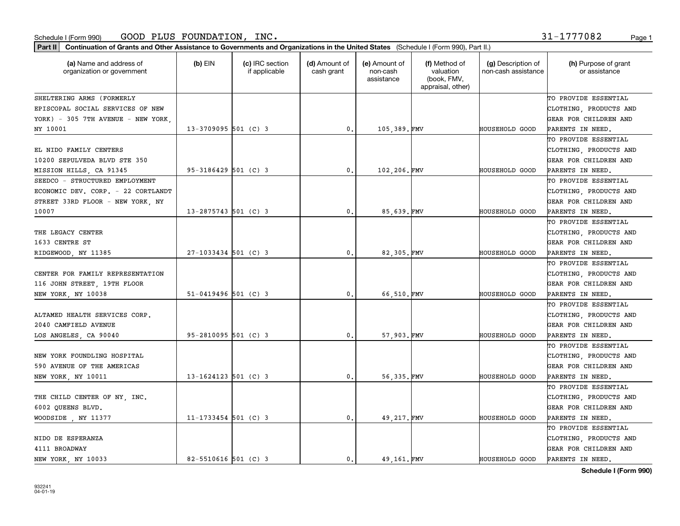#### Schedule I (Form 990) Page 1 GOOD PLUS FOUNDATION, INC. 31-1777082

| Part II   Continuation of Grants and Other Assistance to Governments and Organizations in the United States (Schedule I (Form 990), Part II.) |                          |                                  |                             |                                         |                                                                |                                           |                                       |
|-----------------------------------------------------------------------------------------------------------------------------------------------|--------------------------|----------------------------------|-----------------------------|-----------------------------------------|----------------------------------------------------------------|-------------------------------------------|---------------------------------------|
| (a) Name and address of<br>organization or government                                                                                         | $(b)$ EIN                | (c) IRC section<br>if applicable | (d) Amount of<br>cash grant | (e) Amount of<br>non-cash<br>assistance | (f) Method of<br>valuation<br>(book, FMV,<br>appraisal, other) | (g) Description of<br>non-cash assistance | (h) Purpose of grant<br>or assistance |
| SHELTERING ARMS (FORMERLY                                                                                                                     |                          |                                  |                             |                                         |                                                                |                                           | TO PROVIDE ESSENTIAL                  |
| EPISCOPAL SOCIAL SERVICES OF NEW                                                                                                              |                          |                                  |                             |                                         |                                                                |                                           | CLOTHING, PRODUCTS AND                |
| YORK) - 305 7TH AVENUE - NEW YORK,                                                                                                            |                          |                                  |                             |                                         |                                                                |                                           | GEAR FOR CHILDREN AND                 |
| NY 10001                                                                                                                                      | $13 - 3709095$ 501 (C) 3 |                                  | $\mathbf{0}$ .              | 105,389.FMV                             |                                                                | <b>HOUSEHOLD GOOD</b>                     | PARENTS IN NEED.                      |
|                                                                                                                                               |                          |                                  |                             |                                         |                                                                |                                           | TO PROVIDE ESSENTIAL                  |
| EL NIDO FAMILY CENTERS                                                                                                                        |                          |                                  |                             |                                         |                                                                |                                           | CLOTHING, PRODUCTS AND                |
| 10200 SEPULVEDA BLVD STE 350                                                                                                                  |                          |                                  |                             |                                         |                                                                |                                           | GEAR FOR CHILDREN AND                 |
| MISSION HILLS, CA 91345                                                                                                                       | 95-3186429 501 (C) 3     |                                  | $\mathbf{0}$ .              | 102,206.FMV                             |                                                                | <b>HOUSEHOLD GOOD</b>                     | PARENTS IN NEED.                      |
| SEEDCO - STRUCTURED EMPLOYMENT                                                                                                                |                          |                                  |                             |                                         |                                                                |                                           | TO PROVIDE ESSENTIAL                  |
| ECONOMIC DEV. CORP. - 22 CORTLANDT                                                                                                            |                          |                                  |                             |                                         |                                                                |                                           | CLOTHING, PRODUCTS AND                |
| STREET 33RD FLOOR - NEW YORK, NY                                                                                                              |                          |                                  |                             |                                         |                                                                |                                           | GEAR FOR CHILDREN AND                 |
| 10007                                                                                                                                         | $13 - 2875743$ 501 (C) 3 |                                  | 0.                          | 85,639.FMV                              |                                                                | <b>HOUSEHOLD GOOD</b>                     | PARENTS IN NEED.                      |
|                                                                                                                                               |                          |                                  |                             |                                         |                                                                |                                           | TO PROVIDE ESSENTIAL                  |
| THE LEGACY CENTER                                                                                                                             |                          |                                  |                             |                                         |                                                                |                                           | CLOTHING, PRODUCTS AND                |
| 1633 CENTRE ST                                                                                                                                |                          |                                  |                             |                                         |                                                                |                                           | GEAR FOR CHILDREN AND                 |
| RIDGEWOOD, NY 11385                                                                                                                           | 27-1033434 501 (C) 3     |                                  | 0.                          | 82,305.FMV                              |                                                                | <b>HOUSEHOLD GOOD</b>                     | PARENTS IN NEED.                      |
|                                                                                                                                               |                          |                                  |                             |                                         |                                                                |                                           | TO PROVIDE ESSENTIAL                  |
| CENTER FOR FAMILY REPRESENTATION                                                                                                              |                          |                                  |                             |                                         |                                                                |                                           | CLOTHING, PRODUCTS AND                |
| 116 JOHN STREET, 19TH FLOOR                                                                                                                   |                          |                                  |                             |                                         |                                                                |                                           | GEAR FOR CHILDREN AND                 |
| NEW YORK, NY 10038                                                                                                                            | $51 - 0419496$ 501 (C) 3 |                                  | 0.                          | 66,510.FMV                              |                                                                | <b>HOUSEHOLD GOOD</b>                     | PARENTS IN NEED.                      |
|                                                                                                                                               |                          |                                  |                             |                                         |                                                                |                                           | TO PROVIDE ESSENTIAL                  |
| ALTAMED HEALTH SERVICES CORP.                                                                                                                 |                          |                                  |                             |                                         |                                                                |                                           | CLOTHING, PRODUCTS AND                |
| 2040 CAMFIELD AVENUE                                                                                                                          |                          |                                  |                             |                                         |                                                                |                                           | GEAR FOR CHILDREN AND                 |
| LOS ANGELES, CA 90040                                                                                                                         | $95 - 2810095$ 501 (C) 3 |                                  | $\mathfrak{o}$ .            | 57,903.FMV                              |                                                                | <b>HOUSEHOLD GOOD</b>                     | PARENTS IN NEED.                      |
|                                                                                                                                               |                          |                                  |                             |                                         |                                                                |                                           | TO PROVIDE ESSENTIAL                  |
| NEW YORK FOUNDLING HOSPITAL                                                                                                                   |                          |                                  |                             |                                         |                                                                |                                           | CLOTHING, PRODUCTS AND                |
| 590 AVENUE OF THE AMERICAS                                                                                                                    |                          |                                  |                             |                                         |                                                                |                                           | GEAR FOR CHILDREN AND                 |
| NEW YORK, NY 10011                                                                                                                            | $13 - 1624123$ 501 (C) 3 |                                  | $\mathfrak{o}$ .            | 56,335.FMV                              |                                                                | <b>HOUSEHOLD GOOD</b>                     | PARENTS IN NEED.                      |
|                                                                                                                                               |                          |                                  |                             |                                         |                                                                |                                           | TO PROVIDE ESSENTIAL                  |
| THE CHILD CENTER OF NY, INC.                                                                                                                  |                          |                                  |                             |                                         |                                                                |                                           | CLOTHING, PRODUCTS AND                |
| 6002 QUEENS BLVD.                                                                                                                             |                          |                                  |                             |                                         |                                                                |                                           | GEAR FOR CHILDREN AND                 |
| WOODSIDE, NY 11377                                                                                                                            | $11 - 1733454$ 501 (C) 3 |                                  | 0.                          | 49, 217. FMV                            |                                                                | <b>HOUSEHOLD GOOD</b>                     | PARENTS IN NEED.                      |
|                                                                                                                                               |                          |                                  |                             |                                         |                                                                |                                           | TO PROVIDE ESSENTIAL                  |
| NIDO DE ESPERANZA                                                                                                                             |                          |                                  |                             |                                         |                                                                |                                           | CLOTHING, PRODUCTS AND                |
| 4111 BROADWAY                                                                                                                                 |                          |                                  |                             |                                         |                                                                |                                           | GEAR FOR CHILDREN AND                 |
| NEW YORK, NY 10033                                                                                                                            | $82 - 5510616$ 501 (C) 3 |                                  | $\mathbf{0}$ .              | 49 161. FMV                             |                                                                | <b>HOUSEHOLD GOOD</b>                     | PARENTS IN NEED.                      |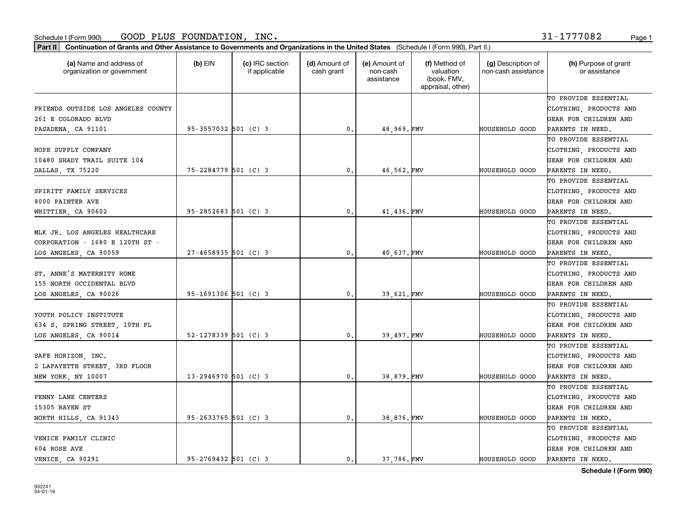**Part II Continuation of Grants and Other Assistance to Governments and Organizations in the United States**  (Schedule I (Form 990), Part II.)

932241 04-01-19

| (a) Name and address of<br>organization or government | $(b)$ EIN                | (c) IRC section<br>if applicable | (d) Amount of<br>cash grant | (e) Amount of<br>non-cash<br>assistance | (f) Method of<br>valuation<br>(book, FMV,<br>appraisal, other) | (g) Description of<br>non-cash assistance | (h) Purpose of grant<br>or assistance |
|-------------------------------------------------------|--------------------------|----------------------------------|-----------------------------|-----------------------------------------|----------------------------------------------------------------|-------------------------------------------|---------------------------------------|
|                                                       |                          |                                  |                             |                                         |                                                                |                                           | TO PROVIDE ESSENTIAL                  |
| FRIENDS OUTSIDE LOS ANGELES COUNTY                    |                          |                                  |                             |                                         |                                                                |                                           | CLOTHING, PRODUCTS AND                |
| 261 E COLORADO BLVD                                   |                          |                                  |                             |                                         |                                                                |                                           | GEAR FOR CHILDREN AND                 |
| PASADENA, CA 91101                                    | $95-3557032$ 501 (C) 3   |                                  | 0.                          | 48,969.FMV                              |                                                                | <b>HOUSEHOLD GOOD</b>                     | PARENTS IN NEED.                      |
|                                                       |                          |                                  |                             |                                         |                                                                |                                           | TO PROVIDE ESSENTIAL                  |
| HOPE SUPPLY COMPANY                                   |                          |                                  |                             |                                         |                                                                |                                           | CLOTHING, PRODUCTS AND                |
| 10480 SHADY TRAIL SUITE 104                           |                          |                                  |                             |                                         |                                                                |                                           | GEAR FOR CHILDREN AND                 |
| DALLAS, TX 75220                                      | 75-2284779 501 (C) 3     |                                  | 0.                          | 46,562.FMV                              |                                                                | HOUSEHOLD GOOD                            | PARENTS IN NEED.                      |
|                                                       |                          |                                  |                             |                                         |                                                                |                                           | TO PROVIDE ESSENTIAL                  |
| SPIRITT FAMILY SERVICES                               |                          |                                  |                             |                                         |                                                                |                                           | CLOTHING, PRODUCTS AND                |
| 8000 PAINTER AVE                                      |                          |                                  |                             |                                         |                                                                |                                           | GEAR FOR CHILDREN AND                 |
| WHITTIER, CA 90602                                    | $95 - 2852683$ 501 (C) 3 |                                  | 0.                          | 41,436.FMV                              |                                                                | HOUSEHOLD GOOD                            | PARENTS IN NEED.                      |
|                                                       |                          |                                  |                             |                                         |                                                                |                                           | TO PROVIDE ESSENTIAL                  |
| MLK JR. LOS ANGELES HEALTHCARE                        |                          |                                  |                             |                                         |                                                                |                                           | CLOTHING, PRODUCTS AND                |
| CORPORATION - 1680 E 120TH ST -                       |                          |                                  |                             |                                         |                                                                |                                           | GEAR FOR CHILDREN AND                 |
| LOS ANGELES, CA 90059                                 | $27 - 4658935$ 501 (C) 3 |                                  | $\mathbf 0$ .               | 40,637.FMV                              |                                                                | HOUSEHOLD GOOD                            | PARENTS IN NEED.                      |
|                                                       |                          |                                  |                             |                                         |                                                                |                                           | TO PROVIDE ESSENTIAL                  |
| ST. ANNE'S MATERNITY HOME                             |                          |                                  |                             |                                         |                                                                |                                           | CLOTHING, PRODUCTS AND                |
| 155 NORTH OCCIDENTAL BLVD                             |                          |                                  |                             |                                         |                                                                |                                           | GEAR FOR CHILDREN AND                 |
| LOS ANGELES, CA 90026                                 | 95-1691306 501 (C) 3     |                                  | 0.                          | 39,621.FMV                              |                                                                | <b>HOUSEHOLD GOOD</b>                     | PARENTS IN NEED.                      |
|                                                       |                          |                                  |                             |                                         |                                                                |                                           | TO PROVIDE ESSENTIAL                  |
| YOUTH POLICY INSTITUTE                                |                          |                                  |                             |                                         |                                                                |                                           | CLOTHING, PRODUCTS AND                |
| 634 S. SPRING STREET, 10TH FL                         |                          |                                  |                             |                                         |                                                                |                                           | GEAR FOR CHILDREN AND                 |
| LOS ANGELES, CA 90014                                 | $52 - 1278339$ 501 (C) 3 |                                  | 0.                          | 39,497. FMV                             |                                                                | HOUSEHOLD GOOD                            | PARENTS IN NEED.                      |
|                                                       |                          |                                  |                             |                                         |                                                                |                                           | TO PROVIDE ESSENTIAL                  |
| SAFE HORIZON, INC.                                    |                          |                                  |                             |                                         |                                                                |                                           | CLOTHING, PRODUCTS AND                |
| 2 LAFAYETTE STREET, 3RD FLOOR                         |                          |                                  |                             |                                         |                                                                |                                           | GEAR FOR CHILDREN AND                 |
| NEW YORK, NY 10007                                    | $13 - 2946970$ 501 (C) 3 |                                  | 0.                          | 38,879.FMV                              |                                                                | HOUSEHOLD GOOD                            | PARENTS IN NEED.                      |
|                                                       |                          |                                  |                             |                                         |                                                                |                                           | TO PROVIDE ESSENTIAL                  |
| PENNY LANE CENTERS                                    |                          |                                  |                             |                                         |                                                                |                                           | CLOTHING, PRODUCTS AND                |
| 15305 RAYEN ST                                        |                          |                                  |                             |                                         |                                                                |                                           | GEAR FOR CHILDREN AND                 |
| NORTH HILLS, CA 91343                                 | $95 - 2633765$ 501 (C) 3 |                                  | 0.                          | 38,876.FMV                              |                                                                | HOUSEHOLD GOOD                            | PARENTS IN NEED.                      |
|                                                       |                          |                                  |                             |                                         |                                                                |                                           | TO PROVIDE ESSENTIAL                  |
| VENICE FAMILY CLINIC                                  |                          |                                  |                             |                                         |                                                                |                                           | CLOTHING, PRODUCTS AND                |
| 604 ROSE AVE                                          |                          |                                  |                             |                                         |                                                                |                                           | GEAR FOR CHILDREN AND                 |
| VENICE, CA 90291                                      | $95 - 2769432$ 501 (C) 3 |                                  | 0.                          | 37,786.FMV                              |                                                                | HOUSEHOLD GOOD                            | PARENTS IN NEED.                      |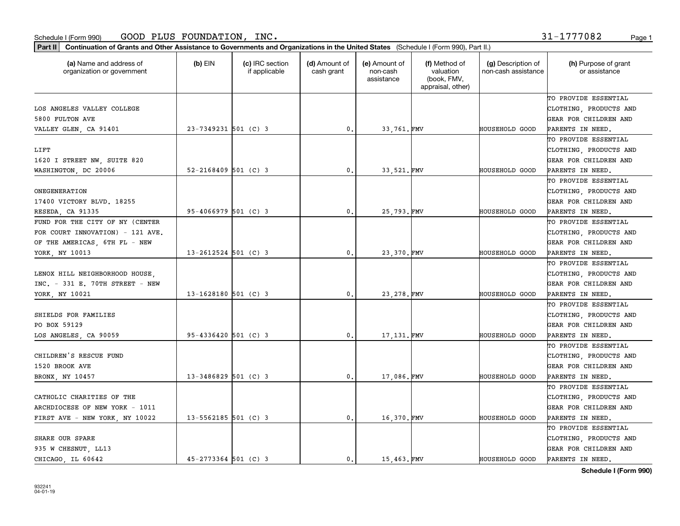**Part II Continuation of Grants and Other Assistance to Governments and Organizations in the United States**  (Schedule I (Form 990), Part II.)

| (a) Name and address of<br>organization or government | (b) EIN                  | (c) IRC section<br>if applicable | (d) Amount of<br>cash grant | (e) Amount of<br>non-cash<br>assistance | (f) Method of<br>valuation<br>(book, FMV,<br>appraisal, other) | (g) Description of<br>non-cash assistance | (h) Purpose of grant<br>or assistance |
|-------------------------------------------------------|--------------------------|----------------------------------|-----------------------------|-----------------------------------------|----------------------------------------------------------------|-------------------------------------------|---------------------------------------|
|                                                       |                          |                                  |                             |                                         |                                                                |                                           | TO PROVIDE ESSENTIAL                  |
| LOS ANGELES VALLEY COLLEGE                            |                          |                                  |                             |                                         |                                                                |                                           | CLOTHING, PRODUCTS AND                |
| 5800 FULTON AVE                                       |                          |                                  |                             |                                         |                                                                |                                           | GEAR FOR CHILDREN AND                 |
| VALLEY GLEN, CA 91401                                 | $23 - 7349231$ 501 (C) 3 |                                  | 0.                          | 33,761.FMV                              |                                                                | <b>HOUSEHOLD GOOD</b>                     | PARENTS IN NEED.                      |
|                                                       |                          |                                  |                             |                                         |                                                                |                                           | TO PROVIDE ESSENTIAL                  |
| LIFT                                                  |                          |                                  |                             |                                         |                                                                |                                           | CLOTHING, PRODUCTS AND                |
| 1620 I STREET NW, SUITE 820                           |                          |                                  |                             |                                         |                                                                |                                           | GEAR FOR CHILDREN AND                 |
| WASHINGTON, DC 20006                                  | $52 - 2168409$ 501 (C) 3 |                                  | 0.                          | 33,521.FMV                              |                                                                | <b>HOUSEHOLD GOOD</b>                     | PARENTS IN NEED.                      |
|                                                       |                          |                                  |                             |                                         |                                                                |                                           | TO PROVIDE ESSENTIAL                  |
| ONEGENERATION                                         |                          |                                  |                             |                                         |                                                                |                                           | CLOTHING, PRODUCTS AND                |
| 17400 VICTORY BLVD. 18255                             |                          |                                  |                             |                                         |                                                                |                                           | GEAR FOR CHILDREN AND                 |
| RESEDA, CA 91335                                      | $95 - 4066979$ 501 (C) 3 |                                  | 0.                          | 25,793.FMV                              |                                                                | <b>HOUSEHOLD GOOD</b>                     | PARENTS IN NEED.                      |
| FUND FOR THE CITY OF NY (CENTER                       |                          |                                  |                             |                                         |                                                                |                                           | TO PROVIDE ESSENTIAL                  |
| FOR COURT INNOVATION) - 121 AVE.                      |                          |                                  |                             |                                         |                                                                |                                           | CLOTHING, PRODUCTS AND                |
| OF THE AMERICAS, 6TH FL - NEW                         |                          |                                  |                             |                                         |                                                                |                                           | GEAR FOR CHILDREN AND                 |
| YORK, NY 10013                                        | $13 - 2612524$ 501 (C) 3 |                                  | $\mathbf{0}$ .              | 23,370.FMV                              |                                                                | <b>HOUSEHOLD GOOD</b>                     | PARENTS IN NEED.                      |
|                                                       |                          |                                  |                             |                                         |                                                                |                                           | TO PROVIDE ESSENTIAL                  |
| LENOX HILL NEIGHBORHOOD HOUSE,                        |                          |                                  |                             |                                         |                                                                |                                           | CLOTHING, PRODUCTS AND                |
| INC. - 331 E. 70TH STREET - NEW                       |                          |                                  |                             |                                         |                                                                |                                           | GEAR FOR CHILDREN AND                 |
| YORK, NY 10021                                        | $13 - 1628180$ 501 (C) 3 |                                  | $\mathfrak{o}$ .            | 23, 278. FMV                            |                                                                | <b>HOUSEHOLD GOOD</b>                     | PARENTS IN NEED.                      |
|                                                       |                          |                                  |                             |                                         |                                                                |                                           | TO PROVIDE ESSENTIAL                  |
| SHIELDS FOR FAMILIES                                  |                          |                                  |                             |                                         |                                                                |                                           | CLOTHING, PRODUCTS AND                |
| PO BOX 59129                                          |                          |                                  |                             |                                         |                                                                |                                           | GEAR FOR CHILDREN AND                 |
| LOS ANGELES, CA 90059                                 | $95 - 4336420$ 501 (C) 3 |                                  | 0.                          | 17,131.FMV                              |                                                                | HOUSEHOLD GOOD                            | PARENTS IN NEED.                      |
|                                                       |                          |                                  |                             |                                         |                                                                |                                           | TO PROVIDE ESSENTIAL                  |
| CHILDREN'S RESCUE FUND                                |                          |                                  |                             |                                         |                                                                |                                           | CLOTHING, PRODUCTS AND                |
| 1520 BROOK AVE                                        |                          |                                  |                             |                                         |                                                                |                                           | GEAR FOR CHILDREN AND                 |
| BRONX, NY 10457                                       | $13 - 3486829$ 501 (C) 3 |                                  | $\mathfrak{o}$ .            | 17,086.FMV                              |                                                                | HOUSEHOLD GOOD                            | PARENTS IN NEED.                      |
|                                                       |                          |                                  |                             |                                         |                                                                |                                           | TO PROVIDE ESSENTIAL                  |
| CATHOLIC CHARITIES OF THE                             |                          |                                  |                             |                                         |                                                                |                                           | CLOTHING, PRODUCTS AND                |
| ARCHDIOCESE OF NEW YORK - 1011                        |                          |                                  |                             |                                         |                                                                |                                           | GEAR FOR CHILDREN AND                 |
| FIRST AVE - NEW YORK, NY 10022                        | $13 - 5562185$ 501 (C) 3 |                                  | 0.                          | 16,370.FMV                              |                                                                | <b>HOUSEHOLD GOOD</b>                     | PARENTS IN NEED.                      |
|                                                       |                          |                                  |                             |                                         |                                                                |                                           | TO PROVIDE ESSENTIAL                  |
| SHARE OUR SPARE                                       |                          |                                  |                             |                                         |                                                                |                                           | CLOTHING, PRODUCTS AND                |
| 935 W CHESNUT, LL13                                   |                          |                                  |                             |                                         |                                                                |                                           | GEAR FOR CHILDREN AND                 |
| CHICAGO LL 60642                                      | $45 - 2773364$ 501 (C) 3 |                                  | $\mathbf{0}$ .              | 15,463. FMV                             |                                                                | <b>HOUSEHOLD GOOD</b>                     | PARENTS IN NEED.                      |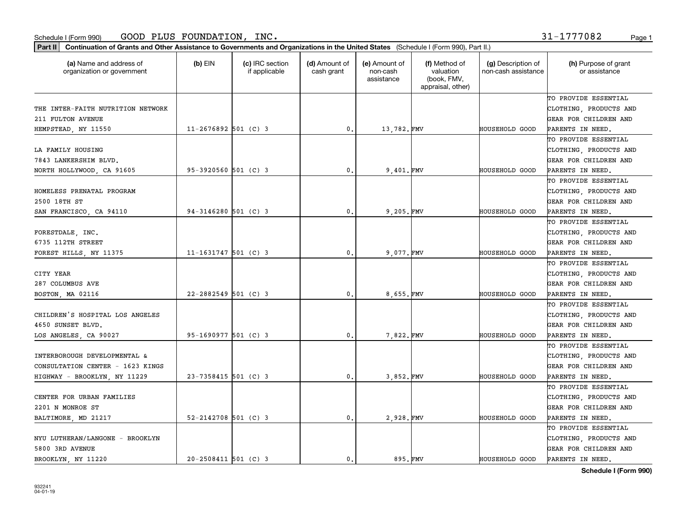**Part II Continuation of Grants and Other Assistance to Governments and Organizations in the United States**  (Schedule I (Form 990), Part II.)

| (a) Name and address of<br>organization or government | $(b)$ EIN                | (c) IRC section<br>if applicable | (d) Amount of<br>cash grant | (e) Amount of<br>non-cash<br>assistance | (f) Method of<br>valuation<br>(book, FMV,<br>appraisal, other) | (g) Description of<br>non-cash assistance | (h) Purpose of grant<br>or assistance |
|-------------------------------------------------------|--------------------------|----------------------------------|-----------------------------|-----------------------------------------|----------------------------------------------------------------|-------------------------------------------|---------------------------------------|
|                                                       |                          |                                  |                             |                                         |                                                                |                                           | TO PROVIDE ESSENTIAL                  |
| THE INTER-FAITH NUTRITION NETWORK                     |                          |                                  |                             |                                         |                                                                |                                           | CLOTHING, PRODUCTS AND                |
| 211 FULTON AVENUE                                     |                          |                                  |                             |                                         |                                                                |                                           | GEAR FOR CHILDREN AND                 |
| HEMPSTEAD, NY 11550                                   | $11 - 2676892$ 501 (C) 3 |                                  | $\mathbf{0}$ .              | 13,782.FMV                              |                                                                | <b>HOUSEHOLD GOOD</b>                     | PARENTS IN NEED.                      |
|                                                       |                          |                                  |                             |                                         |                                                                |                                           | TO PROVIDE ESSENTIAL                  |
| LA FAMILY HOUSING                                     |                          |                                  |                             |                                         |                                                                |                                           | CLOTHING, PRODUCTS AND                |
| 7843 LANKERSHIM BLVD.                                 |                          |                                  |                             |                                         |                                                                |                                           | GEAR FOR CHILDREN AND                 |
| NORTH HOLLYWOOD, CA 91605                             | $95 - 3920560$ 501 (C) 3 |                                  | $\mathbf{0}$ .              | 9,401.FMV                               |                                                                | <b>HOUSEHOLD GOOD</b>                     | PARENTS IN NEED.                      |
|                                                       |                          |                                  |                             |                                         |                                                                |                                           | TO PROVIDE ESSENTIAL                  |
| HOMELESS PRENATAL PROGRAM                             |                          |                                  |                             |                                         |                                                                |                                           | CLOTHING, PRODUCTS AND                |
| 2500 18TH ST                                          |                          |                                  |                             |                                         |                                                                |                                           | GEAR FOR CHILDREN AND                 |
| SAN FRANCISCO, CA 94110                               | $94-3146280$ 501 (C) 3   |                                  | 0.                          | 9,205.FMV                               |                                                                | <b>HOUSEHOLD GOOD</b>                     | PARENTS IN NEED.                      |
|                                                       |                          |                                  |                             |                                         |                                                                |                                           | TO PROVIDE ESSENTIAL                  |
| FORESTDALE, INC.                                      |                          |                                  |                             |                                         |                                                                |                                           | CLOTHING, PRODUCTS AND                |
| 6735 112TH STREET                                     |                          |                                  |                             |                                         |                                                                |                                           | GEAR FOR CHILDREN AND                 |
| FOREST HILLS, NY 11375                                | $11 - 1631747$ 501 (C) 3 |                                  | 0.                          | 9,077.FMV                               |                                                                | HOUSEHOLD GOOD                            | PARENTS IN NEED.                      |
|                                                       |                          |                                  |                             |                                         |                                                                |                                           | TO PROVIDE ESSENTIAL                  |
| CITY YEAR                                             |                          |                                  |                             |                                         |                                                                |                                           | CLOTHING, PRODUCTS AND                |
| 287 COLUMBUS AVE                                      |                          |                                  |                             |                                         |                                                                |                                           | GEAR FOR CHILDREN AND                 |
| BOSTON, MA 02116                                      | 22-2882549 501 (C) 3     |                                  | $\mathbf{0}$ .              | 8.655.FMV                               |                                                                | <b>HOUSEHOLD GOOD</b>                     | PARENTS IN NEED.                      |
|                                                       |                          |                                  |                             |                                         |                                                                |                                           | TO PROVIDE ESSENTIAL                  |
| CHILDREN'S HOSPITAL LOS ANGELES                       |                          |                                  |                             |                                         |                                                                |                                           | CLOTHING, PRODUCTS AND                |
| 4650 SUNSET BLVD.                                     |                          |                                  |                             |                                         |                                                                |                                           | GEAR FOR CHILDREN AND                 |
| LOS ANGELES, CA 90027                                 | 95-1690977 501 (C) 3     |                                  | 0.                          | 7,822.FMV                               |                                                                | HOUSEHOLD GOOD                            | PARENTS IN NEED.                      |
|                                                       |                          |                                  |                             |                                         |                                                                |                                           | TO PROVIDE ESSENTIAL                  |
| INTERBOROUGH DEVELOPMENTAL &                          |                          |                                  |                             |                                         |                                                                |                                           | CLOTHING, PRODUCTS AND                |
| CONSULTATION CENTER - 1623 KINGS                      |                          |                                  |                             |                                         |                                                                |                                           | GEAR FOR CHILDREN AND                 |
| HIGHWAY - BROOKLYN, NY 11229                          | 23-7358415 501 (C) 3     |                                  | 0.                          | 3,852.FMV                               |                                                                | HOUSEHOLD GOOD                            | PARENTS IN NEED.                      |
|                                                       |                          |                                  |                             |                                         |                                                                |                                           | TO PROVIDE ESSENTIAL                  |
| CENTER FOR URBAN FAMILIES                             |                          |                                  |                             |                                         |                                                                |                                           | CLOTHING, PRODUCTS AND                |
| 2201 N MONROE ST                                      |                          |                                  |                             |                                         |                                                                |                                           | GEAR FOR CHILDREN AND                 |
| BALTIMORE, MD 21217                                   | $52 - 2142708$ 501 (C) 3 |                                  | 0.                          | 2,928.FMV                               |                                                                | HOUSEHOLD GOOD                            | PARENTS IN NEED.                      |
|                                                       |                          |                                  |                             |                                         |                                                                |                                           | TO PROVIDE ESSENTIAL                  |
| NYU LUTHERAN/LANGONE - BROOKLYN                       |                          |                                  |                             |                                         |                                                                |                                           | CLOTHING, PRODUCTS AND                |
| 5800 3RD AVENUE                                       |                          |                                  |                             |                                         |                                                                |                                           | GEAR FOR CHILDREN AND                 |
| BROOKLYN, NY 11220                                    | $20 - 2508411$ 501 (C) 3 |                                  | $\mathbf{0}$ .              | 895.FMV                                 |                                                                | <b>HOUSEHOLD GOOD</b>                     | PARENTS IN NEED.                      |

**Schedule I (Form 990)**

932241 04-01-19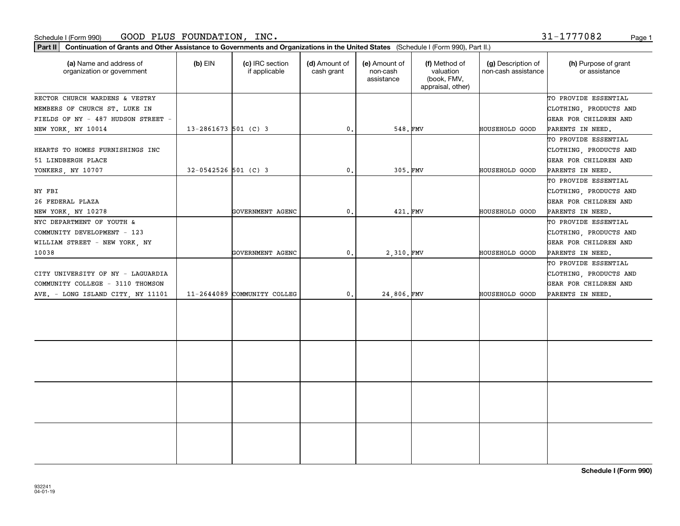#### Schedule I (Form 990) Page 1 GOOD PLUS FOUNDATION, INC.

932241 04-01-19

| Part II   Continuation of Grants and Other Assistance to Governments and Organizations in the United States (Schedule I (Form 990), Part II.) |                          |                                  |                             |                                         |                                                                |                                           |                                                |
|-----------------------------------------------------------------------------------------------------------------------------------------------|--------------------------|----------------------------------|-----------------------------|-----------------------------------------|----------------------------------------------------------------|-------------------------------------------|------------------------------------------------|
| (a) Name and address of<br>organization or government                                                                                         | $(b)$ EIN                | (c) IRC section<br>if applicable | (d) Amount of<br>cash grant | (e) Amount of<br>non-cash<br>assistance | (f) Method of<br>valuation<br>(book, FMV,<br>appraisal, other) | (g) Description of<br>non-cash assistance | (h) Purpose of grant<br>or assistance          |
| RECTOR CHURCH WARDENS & VESTRY<br>MEMBERS OF CHURCH ST. LUKE IN                                                                               |                          |                                  |                             |                                         |                                                                |                                           | TO PROVIDE ESSENTIAL<br>CLOTHING, PRODUCTS AND |
| FIELDS OF NY - 487 HUDSON STREET -                                                                                                            |                          |                                  |                             |                                         |                                                                |                                           | GEAR FOR CHILDREN AND                          |
| NEW YORK, NY 10014                                                                                                                            | $13 - 2861673$ 501 (C) 3 |                                  | 0.                          | 548.FMV                                 |                                                                | HOUSEHOLD GOOD                            | PARENTS IN NEED.                               |
|                                                                                                                                               |                          |                                  |                             |                                         |                                                                |                                           | TO PROVIDE ESSENTIAL                           |
| HEARTS TO HOMES FURNISHINGS INC                                                                                                               |                          |                                  |                             |                                         |                                                                |                                           | CLOTHING, PRODUCTS AND                         |
| 51 LINDBERGH PLACE                                                                                                                            |                          |                                  |                             |                                         |                                                                |                                           | GEAR FOR CHILDREN AND                          |
| YONKERS, NY 10707                                                                                                                             | $32-0542526$ 501 (C) 3   |                                  | 0.                          | 305.FMV                                 |                                                                | HOUSEHOLD GOOD                            | PARENTS IN NEED.                               |
|                                                                                                                                               |                          |                                  |                             |                                         |                                                                |                                           | TO PROVIDE ESSENTIAL                           |
| NY FBI                                                                                                                                        |                          |                                  |                             |                                         |                                                                |                                           | CLOTHING, PRODUCTS AND                         |
| 26 FEDERAL PLAZA                                                                                                                              |                          |                                  |                             |                                         |                                                                |                                           | GEAR FOR CHILDREN AND                          |
| NEW YORK, NY 10278                                                                                                                            |                          | GOVERNMENT AGENC                 | 0.                          | 421. FMV                                |                                                                | HOUSEHOLD GOOD                            | PARENTS IN NEED.                               |
| NYC DEPARTMENT OF YOUTH &                                                                                                                     |                          |                                  |                             |                                         |                                                                |                                           | TO PROVIDE ESSENTIAL                           |
| COMMUNITY DEVELOPMENT - 123                                                                                                                   |                          |                                  |                             |                                         |                                                                |                                           | CLOTHING, PRODUCTS AND                         |
| WILLIAM STREET - NEW YORK, NY                                                                                                                 |                          |                                  |                             |                                         |                                                                |                                           | GEAR FOR CHILDREN AND                          |
| 10038                                                                                                                                         |                          | GOVERNMENT AGENC                 | 0.                          | 2,310.FMV                               |                                                                | HOUSEHOLD GOOD                            | PARENTS IN NEED.                               |
|                                                                                                                                               |                          |                                  |                             |                                         |                                                                |                                           | TO PROVIDE ESSENTIAL                           |
| CITY UNIVERSITY OF NY - LAGUARDIA                                                                                                             |                          |                                  |                             |                                         |                                                                |                                           | CLOTHING, PRODUCTS AND                         |
| COMMUNITY COLLEGE - 3110 THOMSON                                                                                                              |                          |                                  |                             |                                         |                                                                |                                           | GEAR FOR CHILDREN AND                          |
| AVE. - LONG ISLAND CITY, NY 11101                                                                                                             |                          | 11-2644089 COMMUNITY COLLEG      | $\mathbf{0}$ .              | 24,806.FMV                              |                                                                | HOUSEHOLD GOOD                            | PARENTS IN NEED.                               |
|                                                                                                                                               |                          |                                  |                             |                                         |                                                                |                                           |                                                |
|                                                                                                                                               |                          |                                  |                             |                                         |                                                                |                                           |                                                |
|                                                                                                                                               |                          |                                  |                             |                                         |                                                                |                                           |                                                |
|                                                                                                                                               |                          |                                  |                             |                                         |                                                                |                                           |                                                |
|                                                                                                                                               |                          |                                  |                             |                                         |                                                                |                                           |                                                |
|                                                                                                                                               |                          |                                  |                             |                                         |                                                                |                                           |                                                |
|                                                                                                                                               |                          |                                  |                             |                                         |                                                                |                                           |                                                |
|                                                                                                                                               |                          |                                  |                             |                                         |                                                                |                                           |                                                |

31-1777082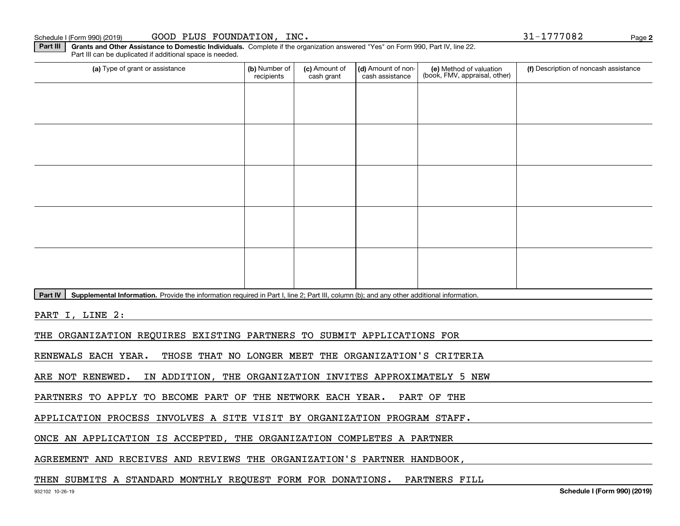Part IV | Supplemental Information. Provide the information required in Part I, line 2; Part III, column (b); and any other additional information.

**Part III | Grants and Other Assistance to Domestic Individuals. Complete if the organization answered "Yes" on Form 990, Part IV, line 22.** 

recipients

(a) Type of grant or assistance **Audity Commet Audio Commet Commet Commet Commet Commet Commet Commet Commet Comme** 

(c) Amount of cash grant

(d) Amount of noncash assistance

PART I, LINE 2:

THE ORGANIZATION REQUIRES EXISTING PARTNERS TO SUBMIT APPLICATIONS FOR

RENEWALS EACH YEAR. THOSE THAT NO LONGER MEET THE ORGANIZATION'S CRITERIA

ARE NOT RENEWED. IN ADDITION, THE ORGANIZATION INVITES APPROXIMATELY 5 NEW

PARTNERS TO APPLY TO BECOME PART OF THE NETWORK EACH YEAR. PART OF THE

APPLICATION PROCESS INVOLVES A SITE VISIT BY ORGANIZATION PROGRAM STAFF.

ONCE AN APPLICATION IS ACCEPTED, THE ORGANIZATION COMPLETES A PARTNER

AGREEMENT AND RECEIVES AND REVIEWS THE ORGANIZATION'S PARTNER HANDBOOK,

### THEN SUBMITS A STANDARD MONTHLY REQUEST FORM FOR DONATIONS. PARTNERS FILL

Part III can be duplicated if additional space is needed.

**(f)** Description of noncash assistance

(e) Method of valuation (book, FMV, appraisal, other) **2**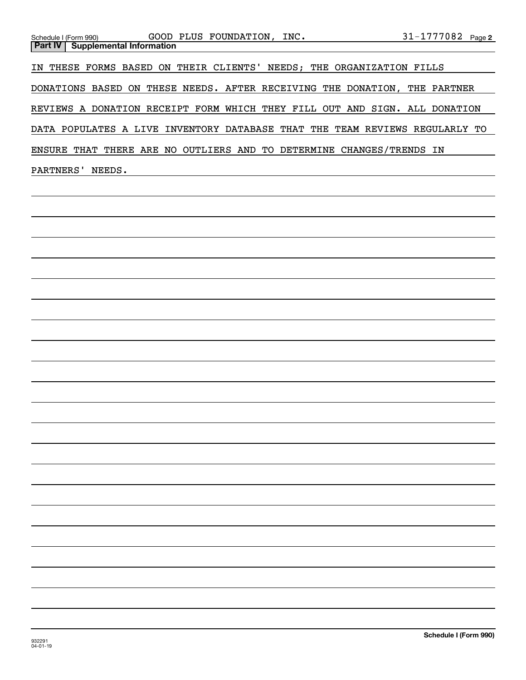| GOOD PLUS FOUNDATION, INC.<br>Schedule I (Form 990)                         | $31 - 1777082$ Page 2 |  |
|-----------------------------------------------------------------------------|-----------------------|--|
| <b>Part IV   Supplemental Information</b>                                   |                       |  |
|                                                                             |                       |  |
| IN THESE FORMS BASED ON THEIR CLIENTS' NEEDS; THE ORGANIZATION FILLS        |                       |  |
|                                                                             |                       |  |
| DONATIONS BASED ON THESE NEEDS. AFTER RECEIVING THE DONATION, THE PARTNER   |                       |  |
|                                                                             |                       |  |
| REVIEWS A DONATION RECEIPT FORM WHICH THEY FILL OUT AND SIGN. ALL DONATION  |                       |  |
|                                                                             |                       |  |
| DATA POPULATES A LIVE INVENTORY DATABASE THAT THE TEAM REVIEWS REGULARLY TO |                       |  |
|                                                                             |                       |  |
| ENSURE THAT THERE ARE NO OUTLIERS AND TO DETERMINE CHANGES/TRENDS IN        |                       |  |
|                                                                             |                       |  |
| PARTNERS'<br>NEEDS.                                                         |                       |  |
|                                                                             |                       |  |
|                                                                             |                       |  |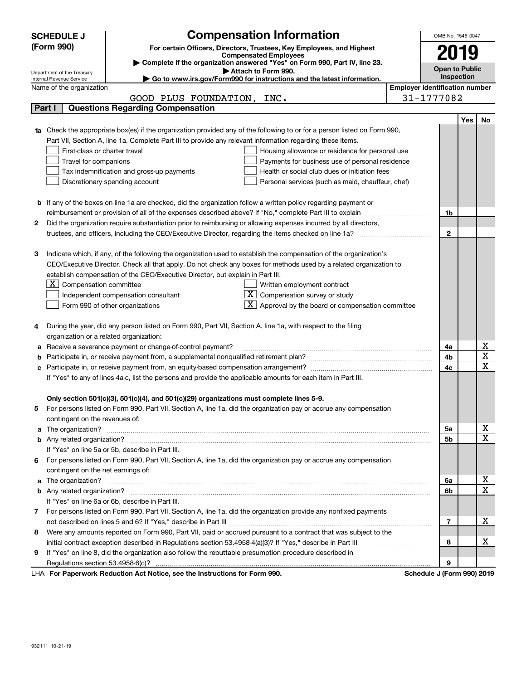|        | <b>Compensation Information</b><br><b>SCHEDULE J</b>                                                                                                    | OMB No. 1545-0047     |     |             |  |  |
|--------|---------------------------------------------------------------------------------------------------------------------------------------------------------|-----------------------|-----|-------------|--|--|
|        | (Form 990)<br>For certain Officers, Directors, Trustees, Key Employees, and Highest                                                                     |                       |     |             |  |  |
|        | <b>Compensated Employees</b>                                                                                                                            | 2019                  |     |             |  |  |
|        | Complete if the organization answered "Yes" on Form 990, Part IV, line 23.                                                                              | <b>Open to Public</b> |     |             |  |  |
|        | Attach to Form 990.<br>Department of the Treasury<br>Go to www.irs.gov/Form990 for instructions and the latest information.<br>Internal Revenue Service | Inspection            |     |             |  |  |
|        | <b>Employer identification number</b><br>Name of the organization                                                                                       |                       |     |             |  |  |
|        | GOOD PLUS FOUNDATION, INC.                                                                                                                              | 31-1777082            |     |             |  |  |
| Part I | <b>Questions Regarding Compensation</b>                                                                                                                 |                       |     |             |  |  |
|        |                                                                                                                                                         |                       | Yes | No          |  |  |
|        | Check the appropriate box(es) if the organization provided any of the following to or for a person listed on Form 990,                                  |                       |     |             |  |  |
|        | Part VII, Section A, line 1a. Complete Part III to provide any relevant information regarding these items.                                              |                       |     |             |  |  |
|        | First-class or charter travel<br>Housing allowance or residence for personal use                                                                        |                       |     |             |  |  |
|        | Travel for companions<br>Payments for business use of personal residence                                                                                |                       |     |             |  |  |
|        | Tax indemnification and gross-up payments<br>Health or social club dues or initiation fees                                                              |                       |     |             |  |  |
|        | Discretionary spending account<br>Personal services (such as maid, chauffeur, chef)                                                                     |                       |     |             |  |  |
|        |                                                                                                                                                         |                       |     |             |  |  |
| b      | If any of the boxes on line 1a are checked, did the organization follow a written policy regarding payment or                                           |                       |     |             |  |  |
|        | reimbursement or provision of all of the expenses described above? If "No," complete Part III to explain                                                | 1b                    |     |             |  |  |
| 2      | Did the organization require substantiation prior to reimbursing or allowing expenses incurred by all directors,                                        |                       |     |             |  |  |
|        |                                                                                                                                                         | $\mathbf{2}$          |     |             |  |  |
|        |                                                                                                                                                         |                       |     |             |  |  |
| з      | Indicate which, if any, of the following the organization used to establish the compensation of the organization's                                      |                       |     |             |  |  |
|        | CEO/Executive Director. Check all that apply. Do not check any boxes for methods used by a related organization to                                      |                       |     |             |  |  |
|        | establish compensation of the CEO/Executive Director, but explain in Part III.                                                                          |                       |     |             |  |  |
|        | $X$ Compensation committee<br>Written employment contract                                                                                               |                       |     |             |  |  |
|        | $X$ Compensation survey or study<br>Independent compensation consultant                                                                                 |                       |     |             |  |  |
|        | $\mathbf{X}$ Approval by the board or compensation committee<br>Form 990 of other organizations                                                         |                       |     |             |  |  |
|        |                                                                                                                                                         |                       |     |             |  |  |
| 4      | During the year, did any person listed on Form 990, Part VII, Section A, line 1a, with respect to the filing                                            |                       |     |             |  |  |
|        | organization or a related organization:                                                                                                                 |                       |     |             |  |  |
| а      | Receive a severance payment or change-of-control payment?                                                                                               | 4a                    |     | х           |  |  |
|        |                                                                                                                                                         | 4b                    |     | X           |  |  |
| с      | Participate in, or receive payment from, an equity-based compensation arrangement?                                                                      | 4c                    |     | X           |  |  |
|        | If "Yes" to any of lines 4a-c, list the persons and provide the applicable amounts for each item in Part III.                                           |                       |     |             |  |  |
|        |                                                                                                                                                         |                       |     |             |  |  |
|        | Only section 501(c)(3), 501(c)(4), and 501(c)(29) organizations must complete lines 5-9.                                                                |                       |     |             |  |  |
|        | For persons listed on Form 990, Part VII, Section A, line 1a, did the organization pay or accrue any compensation                                       |                       |     |             |  |  |
|        | contingent on the revenues of:                                                                                                                          |                       |     |             |  |  |
| a      |                                                                                                                                                         | 5a                    |     | x<br>X      |  |  |
|        |                                                                                                                                                         | 5b                    |     |             |  |  |
|        | If "Yes" on line 5a or 5b, describe in Part III.                                                                                                        |                       |     |             |  |  |
| 6      | For persons listed on Form 990, Part VII, Section A, line 1a, did the organization pay or accrue any compensation                                       |                       |     |             |  |  |
|        | contingent on the net earnings of:                                                                                                                      | 6a                    |     | x           |  |  |
|        | The organization? <b>With the organization? Constitution of the organization</b> of the organization?<br>a                                              |                       |     |             |  |  |
|        | If "Yes" on line 6a or 6b, describe in Part III.                                                                                                        | 6b                    |     | $\mathbf X$ |  |  |
|        | 7 For persons listed on Form 990, Part VII, Section A, line 1a, did the organization provide any nonfixed payments                                      |                       |     |             |  |  |
|        |                                                                                                                                                         | 7                     |     | х           |  |  |
| 8      | Were any amounts reported on Form 990, Part VII, paid or accrued pursuant to a contract that was subject to the                                         |                       |     |             |  |  |
|        | initial contract exception described in Regulations section 53.4958-4(a)(3)? If "Yes," describe in Part III                                             | 8                     |     | х           |  |  |
| 9      | If "Yes" on line 8, did the organization also follow the rebuttable presumption procedure described in                                                  |                       |     |             |  |  |
|        |                                                                                                                                                         | 9                     |     |             |  |  |
|        | duction Act Notice, and the Instructions for Form 000<br>Calcadola Line                                                                                 |                       |     |             |  |  |

LHA For Paperwork Reduction Act Notice, see the Instructions for Form 990. Schedule J (Form 990) 2019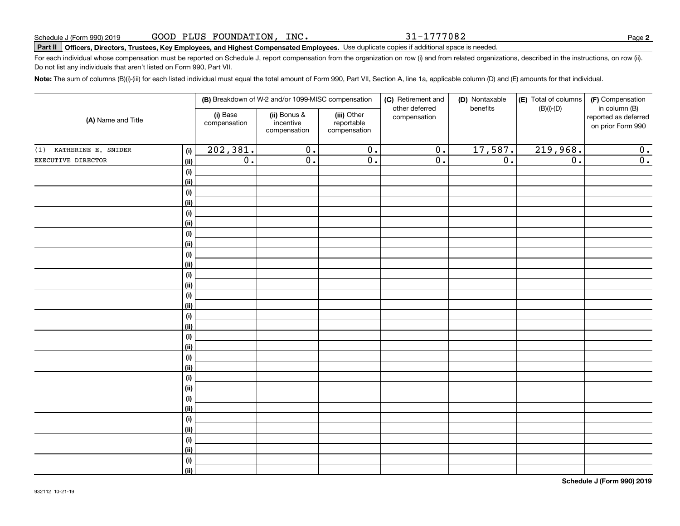31-1777082

**2**

# **Part II Officers, Directors, Trustees, Key Employees, and Highest Compensated Employees.**  Schedule J (Form 990) 2019 Page Use duplicate copies if additional space is needed.

For each individual whose compensation must be reported on Schedule J, report compensation from the organization on row (i) and from related organizations, described in the instructions, on row (ii). Do not list any individuals that aren't listed on Form 990, Part VII.

**Note:**  The sum of columns (B)(i)-(iii) for each listed individual must equal the total amount of Form 990, Part VII, Section A, line 1a, applicable column (D) and (E) amounts for that individual.

|                            |                                      | (B) Breakdown of W-2 and/or 1099-MISC compensation                                                 |                  | (C) Retirement and<br>other deferred | (D) Nontaxable<br>benefits | (E) Total of columns<br>$(B)(i)-(D)$ | (F) Compensation<br>in column (B) |                                           |  |
|----------------------------|--------------------------------------|----------------------------------------------------------------------------------------------------|------------------|--------------------------------------|----------------------------|--------------------------------------|-----------------------------------|-------------------------------------------|--|
| (A) Name and Title         |                                      | (i) Base<br>(ii) Bonus &<br>(iii) Other<br>compensation<br>incentive<br>reportable<br>compensation |                  | compensation                         | compensation               |                                      |                                   | reported as deferred<br>on prior Form 990 |  |
| KATHERINE E. SNIDER<br>(1) | (i)                                  | 202,381.                                                                                           | $\overline{0}$ . | $\overline{0}$ .                     | $\overline{0}$ .           | 17,587.                              | 219,968.                          | 0.                                        |  |
| EXECUTIVE DIRECTOR         | (ii)                                 | $\overline{0}$ .                                                                                   | $\overline{0}$ . | $\overline{0}$ .                     | $\overline{0}$ .           | $\overline{0}$ .                     | $\overline{0}$ .                  | $\overline{0}$ .                          |  |
|                            | (i)                                  |                                                                                                    |                  |                                      |                            |                                      |                                   |                                           |  |
|                            | (ii)                                 |                                                                                                    |                  |                                      |                            |                                      |                                   |                                           |  |
|                            | (i)                                  |                                                                                                    |                  |                                      |                            |                                      |                                   |                                           |  |
|                            | (ii)                                 |                                                                                                    |                  |                                      |                            |                                      |                                   |                                           |  |
|                            | (i)                                  |                                                                                                    |                  |                                      |                            |                                      |                                   |                                           |  |
|                            | (ii)                                 |                                                                                                    |                  |                                      |                            |                                      |                                   |                                           |  |
|                            | $(\sf{i})$                           |                                                                                                    |                  |                                      |                            |                                      |                                   |                                           |  |
|                            | (ii)                                 |                                                                                                    |                  |                                      |                            |                                      |                                   |                                           |  |
|                            | (i)                                  |                                                                                                    |                  |                                      |                            |                                      |                                   |                                           |  |
|                            | (ii)                                 |                                                                                                    |                  |                                      |                            |                                      |                                   |                                           |  |
|                            | (i)                                  |                                                                                                    |                  |                                      |                            |                                      |                                   |                                           |  |
|                            | (ii)                                 |                                                                                                    |                  |                                      |                            |                                      |                                   |                                           |  |
|                            | $\qquad \qquad \textbf{(i)}$         |                                                                                                    |                  |                                      |                            |                                      |                                   |                                           |  |
|                            | (ii)                                 |                                                                                                    |                  |                                      |                            |                                      |                                   |                                           |  |
|                            | $\qquad \qquad \textbf{(i)}$<br>(ii) |                                                                                                    |                  |                                      |                            |                                      |                                   |                                           |  |
|                            | $\qquad \qquad \textbf{(i)}$         |                                                                                                    |                  |                                      |                            |                                      |                                   |                                           |  |
|                            | (ii)                                 |                                                                                                    |                  |                                      |                            |                                      |                                   |                                           |  |
|                            | $(\sf{i})$                           |                                                                                                    |                  |                                      |                            |                                      |                                   |                                           |  |
|                            | (ii)                                 |                                                                                                    |                  |                                      |                            |                                      |                                   |                                           |  |
|                            | $(\sf{i})$                           |                                                                                                    |                  |                                      |                            |                                      |                                   |                                           |  |
|                            | (ii)                                 |                                                                                                    |                  |                                      |                            |                                      |                                   |                                           |  |
|                            | $(\sf{i})$                           |                                                                                                    |                  |                                      |                            |                                      |                                   |                                           |  |
|                            | (ii)                                 |                                                                                                    |                  |                                      |                            |                                      |                                   |                                           |  |
|                            | $(\sf{i})$                           |                                                                                                    |                  |                                      |                            |                                      |                                   |                                           |  |
|                            | (ii)                                 |                                                                                                    |                  |                                      |                            |                                      |                                   |                                           |  |
|                            | $\qquad \qquad \textbf{(i)}$         |                                                                                                    |                  |                                      |                            |                                      |                                   |                                           |  |
|                            | (ii)                                 |                                                                                                    |                  |                                      |                            |                                      |                                   |                                           |  |
|                            | $(\sf{i})$                           |                                                                                                    |                  |                                      |                            |                                      |                                   |                                           |  |
|                            | (ii)                                 |                                                                                                    |                  |                                      |                            |                                      |                                   |                                           |  |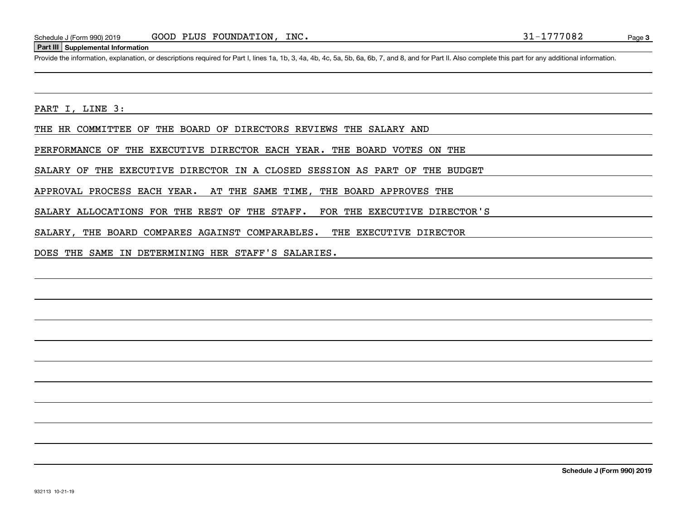#### **Part III Supplemental Information**

Schedule J (Form 990) 2019 GOOD PLUS FOUNDATION, INC.<br>Part III Supplemental Information<br>Provide the information, explanation, or descriptions required for Part I, lines 1a, 1b, 3, 4a, 4b, 4c, 5a, 5b, 6a, 6b, 7, and 8, and

PART I, LINE 3:

THE HR COMMITTEE OF THE BOARD OF DIRECTORS REVIEWS THE SALARY AND

PERFORMANCE OF THE EXECUTIVE DIRECTOR EACH YEAR. THE BOARD VOTES ON THE

SALARY OF THE EXECUTIVE DIRECTOR IN A CLOSED SESSION AS PART OF THE BUDGET

APPROVAL PROCESS EACH YEAR. AT THE SAME TIME, THE BOARD APPROVES THE

SALARY ALLOCATIONS FOR THE REST OF THE STAFF. FOR THE EXECUTIVE DIRECTOR'S

SALARY, THE BOARD COMPARES AGAINST COMPARABLES. THE EXECUTIVE DIRECTOR

DOES THE SAME IN DETERMINING HER STAFF'S SALARIES.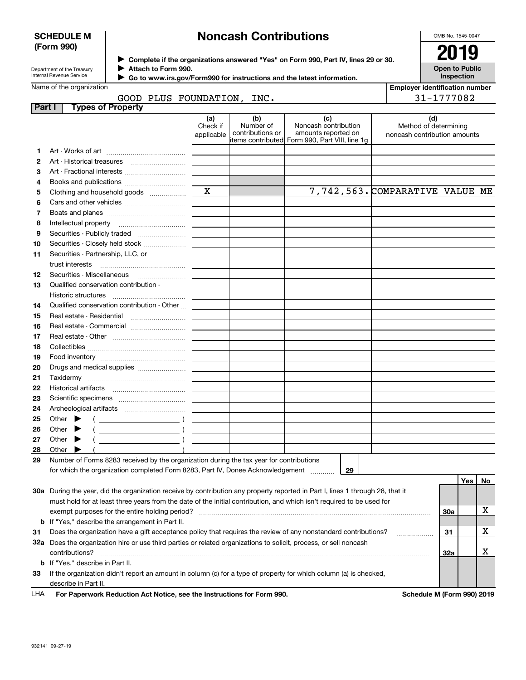#### **SCHEDULE M (Form 990)**

# **Noncash Contributions**

OMB No. 1545-0047

| Department of the Treasury |
|----------------------------|
| Internal Revenue Service   |

Name of the organization

**Part I Types of Property**

**2**

**Complete if the organizations answered "Yes" on Form 990, Part IV, lines 29 or 30.** <sup>J</sup>**2019 Attach to Form 990.** J

GOOD PLUS FOUNDATION,

**1** Art - Works of art ……………………………

Art - Historical treasures ~~~~~~~~~

**3** Art - Fractional interests ..............................

 **Go to www.irs.gov/Form990 for instructions and the latest information.** J

**(a)**

Check if applicable

|                      |                                                 | luis alisweieu tes Ull Fullii 990, Fail IV, Illies 29 01 30.                                          |  |                                                              |  |                                       |  |
|----------------------|-------------------------------------------------|-------------------------------------------------------------------------------------------------------|--|--------------------------------------------------------------|--|---------------------------------------|--|
|                      | 90 for instructions and the latest information. |                                                                                                       |  | <b>Open to Public</b><br><b>Inspection</b>                   |  |                                       |  |
|                      |                                                 |                                                                                                       |  |                                                              |  | <b>Employer identification number</b> |  |
|                      | , MOITA<br>INC.                                 |                                                                                                       |  |                                                              |  | 31-1777082                            |  |
|                      |                                                 |                                                                                                       |  |                                                              |  |                                       |  |
| ı)<br>ck if<br>cable | (b)<br>Number of<br>contributions or            | (c)<br>Noncash contribution<br>amounts reported on<br>litems contributed Form 990, Part VIII, line 1q |  | (d)<br>Method of determining<br>noncash contribution amounts |  |                                       |  |
|                      |                                                 |                                                                                                       |  |                                                              |  |                                       |  |
|                      |                                                 |                                                                                                       |  |                                                              |  |                                       |  |
|                      |                                                 |                                                                                                       |  |                                                              |  |                                       |  |
|                      |                                                 |                                                                                                       |  |                                                              |  |                                       |  |
|                      |                                                 | 7,742,563. COMPARATIVE VALUE ME                                                                       |  |                                                              |  |                                       |  |
|                      |                                                 |                                                                                                       |  |                                                              |  |                                       |  |
|                      |                                                 |                                                                                                       |  |                                                              |  |                                       |  |
|                      |                                                 |                                                                                                       |  |                                                              |  |                                       |  |

| 4  |                                                                                                                                                                                                                                                                                                                                                                                                                                              |   |  |    |                                 |            |           |
|----|----------------------------------------------------------------------------------------------------------------------------------------------------------------------------------------------------------------------------------------------------------------------------------------------------------------------------------------------------------------------------------------------------------------------------------------------|---|--|----|---------------------------------|------------|-----------|
| 5  | Clothing and household goods                                                                                                                                                                                                                                                                                                                                                                                                                 | X |  |    | 7,742,563. COMPARATIVE VALUE ME |            |           |
| 6  |                                                                                                                                                                                                                                                                                                                                                                                                                                              |   |  |    |                                 |            |           |
| 7  |                                                                                                                                                                                                                                                                                                                                                                                                                                              |   |  |    |                                 |            |           |
| 8  |                                                                                                                                                                                                                                                                                                                                                                                                                                              |   |  |    |                                 |            |           |
| 9  | Securities - Publicly traded                                                                                                                                                                                                                                                                                                                                                                                                                 |   |  |    |                                 |            |           |
| 10 | Securities - Closely held stock                                                                                                                                                                                                                                                                                                                                                                                                              |   |  |    |                                 |            |           |
| 11 | Securities - Partnership, LLC, or                                                                                                                                                                                                                                                                                                                                                                                                            |   |  |    |                                 |            |           |
|    |                                                                                                                                                                                                                                                                                                                                                                                                                                              |   |  |    |                                 |            |           |
| 12 |                                                                                                                                                                                                                                                                                                                                                                                                                                              |   |  |    |                                 |            |           |
| 13 | Qualified conservation contribution -                                                                                                                                                                                                                                                                                                                                                                                                        |   |  |    |                                 |            |           |
|    | <b>Historic structures</b>                                                                                                                                                                                                                                                                                                                                                                                                                   |   |  |    |                                 |            |           |
| 14 | Qualified conservation contribution - Other                                                                                                                                                                                                                                                                                                                                                                                                  |   |  |    |                                 |            |           |
| 15 | Real estate - Residential                                                                                                                                                                                                                                                                                                                                                                                                                    |   |  |    |                                 |            |           |
| 16 |                                                                                                                                                                                                                                                                                                                                                                                                                                              |   |  |    |                                 |            |           |
| 17 |                                                                                                                                                                                                                                                                                                                                                                                                                                              |   |  |    |                                 |            |           |
| 18 |                                                                                                                                                                                                                                                                                                                                                                                                                                              |   |  |    |                                 |            |           |
| 19 |                                                                                                                                                                                                                                                                                                                                                                                                                                              |   |  |    |                                 |            |           |
| 20 | Drugs and medical supplies                                                                                                                                                                                                                                                                                                                                                                                                                   |   |  |    |                                 |            |           |
| 21 |                                                                                                                                                                                                                                                                                                                                                                                                                                              |   |  |    |                                 |            |           |
| 22 |                                                                                                                                                                                                                                                                                                                                                                                                                                              |   |  |    |                                 |            |           |
| 23 |                                                                                                                                                                                                                                                                                                                                                                                                                                              |   |  |    |                                 |            |           |
| 24 |                                                                                                                                                                                                                                                                                                                                                                                                                                              |   |  |    |                                 |            |           |
| 25 | Other $\blacktriangleright$<br>$\left(\begin{array}{ccc}\n\frac{1}{2} & \frac{1}{2} & \frac{1}{2} & \frac{1}{2} & \frac{1}{2} & \frac{1}{2} & \frac{1}{2} & \frac{1}{2} & \frac{1}{2} & \frac{1}{2} & \frac{1}{2} & \frac{1}{2} & \frac{1}{2} & \frac{1}{2} & \frac{1}{2} & \frac{1}{2} & \frac{1}{2} & \frac{1}{2} & \frac{1}{2} & \frac{1}{2} & \frac{1}{2} & \frac{1}{2} & \frac{1}{2} & \frac{1}{2} & \frac{1}{2} & \frac{1}{2} & \frac$ |   |  |    |                                 |            |           |
| 26 | Other $\blacktriangleright$                                                                                                                                                                                                                                                                                                                                                                                                                  |   |  |    |                                 |            |           |
| 27 | Other $\blacktriangleright$<br>$\left(\begin{array}{ccc}\n\end{array}\right)$                                                                                                                                                                                                                                                                                                                                                                |   |  |    |                                 |            |           |
| 28 | Other<br>$\blacktriangleright$                                                                                                                                                                                                                                                                                                                                                                                                               |   |  |    |                                 |            |           |
| 29 | Number of Forms 8283 received by the organization during the tax year for contributions                                                                                                                                                                                                                                                                                                                                                      |   |  |    |                                 |            |           |
|    | for which the organization completed Form 8283, Part IV, Donee Acknowledgement                                                                                                                                                                                                                                                                                                                                                               |   |  | 29 |                                 |            |           |
|    |                                                                                                                                                                                                                                                                                                                                                                                                                                              |   |  |    |                                 | <b>Yes</b> | <b>No</b> |
|    | 30a During the year, did the organization receive by contribution any property reported in Part I, lines 1 through 28, that it                                                                                                                                                                                                                                                                                                               |   |  |    |                                 |            |           |

| I HA | <b>Ear Panerwork Reduction Act Notice, see the Instructions for Form 990</b>                                                          | Schedule M (Form 990) 2019 |            |  |
|------|---------------------------------------------------------------------------------------------------------------------------------------|----------------------------|------------|--|
|      | describe in Part II.                                                                                                                  |                            |            |  |
| 33   | If the organization didn't report an amount in column (c) for a type of property for which column (a) is checked,                     |                            |            |  |
|      | <b>b</b> If "Yes," describe in Part II.                                                                                               |                            |            |  |
|      | contributions?                                                                                                                        |                            | 32a        |  |
| 32a  | Does the organization hire or use third parties or related organizations to solicit, process, or sell noncash                         |                            |            |  |
| 31   | Does the organization have a gift acceptance policy that requires the review of any nonstandard contributions?                        |                            | 31         |  |
|      | <b>b</b> If "Yes," describe the arrangement in Part II.                                                                               |                            |            |  |
|      | exempt purposes for the entire holding period?                                                                                        |                            | <b>30a</b> |  |
|      | must hold for at least three years from the date of the initial contribution, and which isn't required to be used for                 |                            |            |  |
|      | <b>30a</b> During the year, did the organization receive by contribution any property reported in Part I, lines 1 through 28, that it |                            |            |  |

**For Paperwork Reduction Act Notice, see the Instructions for Form 990. Schedule M (Form 990) 2019** LHA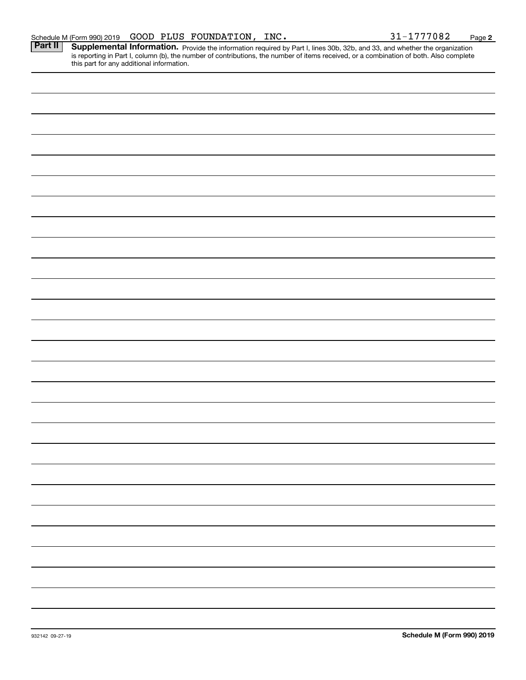Part II | Supplemental Information. Provide the information required by Part I, lines 30b, 32b, and 33, and whether the organization is reporting in Part I, column (b), the number of contributions, the number of items received, or a combination of both. Also complete this part for any additional information.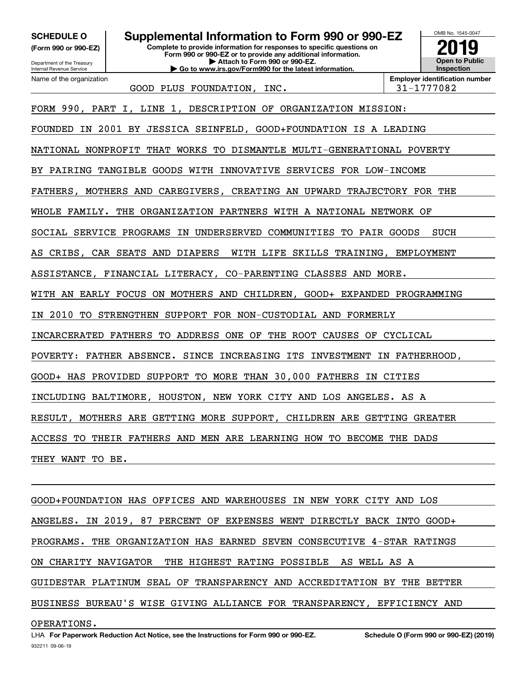**(Form 990 or 990-EZ)**

Name of the organization

**Complete to provide information for responses to specific questions on SCHEDULE O Supplemental Information to Form 990 or 990-EZ**

Department of the Treasury Internal Revenue Service

**Form 990 or 990-EZ or to provide any additional information. | Attach to Form 990 or 990-EZ. | Go to www.irs.gov/Form990 for the latest information.**



GOOD PLUS FOUNDATION, INC.  $\vert$  31-1777082

FORM 990, PART I, LINE 1, DESCRIPTION OF ORGANIZATION MISSION:

FOUNDED IN 2001 BY JESSICA SEINFELD, GOOD+FOUNDATION IS A LEADING

NATIONAL NONPROFIT THAT WORKS TO DISMANTLE MULTI-GENERATIONAL POVERTY

BY PAIRING TANGIBLE GOODS WITH INNOVATIVE SERVICES FOR LOW-INCOME

FATHERS, MOTHERS AND CAREGIVERS, CREATING AN UPWARD TRAJECTORY FOR THE

WHOLE FAMILY. THE ORGANIZATION PARTNERS WITH A NATIONAL NETWORK OF

SOCIAL SERVICE PROGRAMS IN UNDERSERVED COMMUNITIES TO PAIR GOODS SUCH

AS CRIBS, CAR SEATS AND DIAPERS WITH LIFE SKILLS TRAINING, EMPLOYMENT

ASSISTANCE, FINANCIAL LITERACY, CO-PARENTING CLASSES AND MORE.

WITH AN EARLY FOCUS ON MOTHERS AND CHILDREN, GOOD+ EXPANDED PROGRAMMING

IN 2010 TO STRENGTHEN SUPPORT FOR NON-CUSTODIAL AND FORMERLY

INCARCERATED FATHERS TO ADDRESS ONE OF THE ROOT CAUSES OF CYCLICAL

POVERTY: FATHER ABSENCE. SINCE INCREASING ITS INVESTMENT IN FATHERHOOD,

GOOD+ HAS PROVIDED SUPPORT TO MORE THAN 30,000 FATHERS IN CITIES

INCLUDING BALTIMORE, HOUSTON, NEW YORK CITY AND LOS ANGELES. AS A

RESULT, MOTHERS ARE GETTING MORE SUPPORT, CHILDREN ARE GETTING GREATER

ACCESS TO THEIR FATHERS AND MEN ARE LEARNING HOW TO BECOME THE DADS

THEY WANT TO BE.

GOOD+FOUNDATION HAS OFFICES AND WAREHOUSES IN NEW YORK CITY AND LOS ANGELES. IN 2019, 87 PERCENT OF EXPENSES WENT DIRECTLY BACK INTO GOOD+ PROGRAMS. THE ORGANIZATION HAS EARNED SEVEN CONSECUTIVE 4-STAR RATINGS ON CHARITY NAVIGATOR THE HIGHEST RATING POSSIBLE AS WELL AS A GUIDESTAR PLATINUM SEAL OF TRANSPARENCY AND ACCREDITATION BY THE BETTER BUSINESS BUREAU'S WISE GIVING ALLIANCE FOR TRANSPARENCY, EFFICIENCY AND

### OPERATIONS.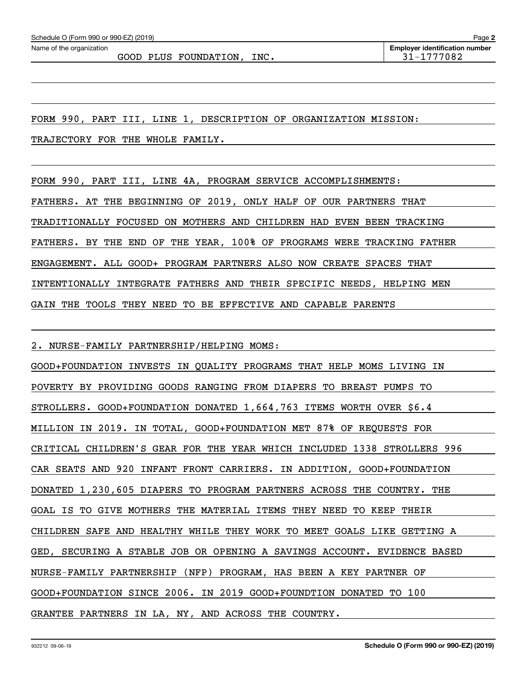FORM 990, PART III, LINE 1, DESCRIPTION OF ORGANIZATION MISSION:

TRAJECTORY FOR THE WHOLE FAMILY.

FORM 990, PART III, LINE 4A, PROGRAM SERVICE ACCOMPLISHMENTS:

FATHERS. AT THE BEGINNING OF 2019, ONLY HALF OF OUR PARTNERS THAT

TRADITIONALLY FOCUSED ON MOTHERS AND CHILDREN HAD EVEN BEEN TRACKING

FATHERS. BY THE END OF THE YEAR, 100% OF PROGRAMS WERE TRACKING FATHER

ENGAGEMENT. ALL GOOD+ PROGRAM PARTNERS ALSO NOW CREATE SPACES THAT

INTENTIONALLY INTEGRATE FATHERS AND THEIR SPECIFIC NEEDS, HELPING MEN

GAIN THE TOOLS THEY NEED TO BE EFFECTIVE AND CAPABLE PARENTS

2. NURSE-FAMILY PARTNERSHIP/HELPING MOMS:

GOOD+FOUNDATION INVESTS IN QUALITY PROGRAMS THAT HELP MOMS LIVING IN POVERTY BY PROVIDING GOODS RANGING FROM DIAPERS TO BREAST PUMPS TO STROLLERS. GOOD+FOUNDATION DONATED 1,664,763 ITEMS WORTH OVER \$6.4 MILLION IN 2019. IN TOTAL, GOOD+FOUNDATION MET 87% OF REQUESTS FOR CRITICAL CHILDREN'S GEAR FOR THE YEAR WHICH INCLUDED 1338 STROLLERS 996 CAR SEATS AND 920 INFANT FRONT CARRIERS. IN ADDITION, GOOD+FOUNDATION DONATED 1,230,605 DIAPERS TO PROGRAM PARTNERS ACROSS THE COUNTRY. THE GOAL IS TO GIVE MOTHERS THE MATERIAL ITEMS THEY NEED TO KEEP THEIR CHILDREN SAFE AND HEALTHY WHILE THEY WORK TO MEET GOALS LIKE GETTING A GED, SECURING A STABLE JOB OR OPENING A SAVINGS ACCOUNT. EVIDENCE BASED NURSE-FAMILY PARTNERSHIP (NFP) PROGRAM, HAS BEEN A KEY PARTNER OF GOOD+FOUNDATION SINCE 2006. IN 2019 GOOD+FOUNDTION DONATED TO 100 GRANTEE PARTNERS IN LA, NY, AND ACROSS THE COUNTRY.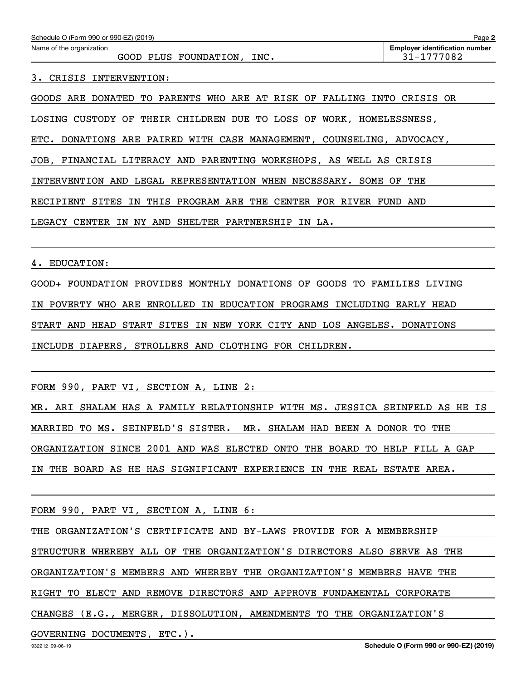| Schedule O (Form 990 or 990-EZ) (2019)                                    | Page 2                                              |
|---------------------------------------------------------------------------|-----------------------------------------------------|
| Name of the organization<br>GOOD PLUS FOUNDATION, INC.                    | <b>Employer identification number</b><br>31-1777082 |
| CRISIS INTERVENTION:                                                      |                                                     |
| GOODS ARE DONATED TO PARENTS WHO ARE AT RISK OF FALLING INTO CRISIS OR    |                                                     |
| CUSTODY OF THEIR CHILDREN DUE TO LOSS OF<br>WORK, HOMELESSNESS,<br>LOSING |                                                     |
| DONATIONS ARE PAIRED WITH CASE MANAGEMENT, COUNSELING, ADVOCACY,<br>ETC.  |                                                     |

JOB, FINANCIAL LITERACY AND PARENTING WORKSHOPS, AS WELL AS CRISIS

INTERVENTION AND LEGAL REPRESENTATION WHEN NECESSARY. SOME OF THE

RECIPIENT SITES IN THIS PROGRAM ARE THE CENTER FOR RIVER FUND AND

LEGACY CENTER IN NY AND SHELTER PARTNERSHIP IN LA.

4. EDUCATION:

GOOD+ FOUNDATION PROVIDES MONTHLY DONATIONS OF GOODS TO FAMILIES LIVING IN POVERTY WHO ARE ENROLLED IN EDUCATION PROGRAMS INCLUDING EARLY HEAD START AND HEAD START SITES IN NEW YORK CITY AND LOS ANGELES. DONATIONS INCLUDE DIAPERS, STROLLERS AND CLOTHING FOR CHILDREN.

FORM 990, PART VI, SECTION A, LINE 2:

MR. ARI SHALAM HAS A FAMILY RELATIONSHIP WITH MS. JESSICA SEINFELD AS HE IS MARRIED TO MS. SEINFELD'S SISTER. MR. SHALAM HAD BEEN A DONOR TO THE ORGANIZATION SINCE 2001 AND WAS ELECTED ONTO THE BOARD TO HELP FILL A GAP IN THE BOARD AS HE HAS SIGNIFICANT EXPERIENCE IN THE REAL ESTATE AREA.

FORM 990, PART VI, SECTION A, LINE 6:

THE ORGANIZATION'S CERTIFICATE AND BY-LAWS PROVIDE FOR A MEMBERSHIP

STRUCTURE WHEREBY ALL OF THE ORGANIZATION'S DIRECTORS ALSO SERVE AS THE

ORGANIZATION'S MEMBERS AND WHEREBY THE ORGANIZATION'S MEMBERS HAVE THE

RIGHT TO ELECT AND REMOVE DIRECTORS AND APPROVE FUNDAMENTAL CORPORATE

CHANGES (E.G., MERGER, DISSOLUTION, AMENDMENTS TO THE ORGANIZATION'S

GOVERNING DOCUMENTS, ETC.).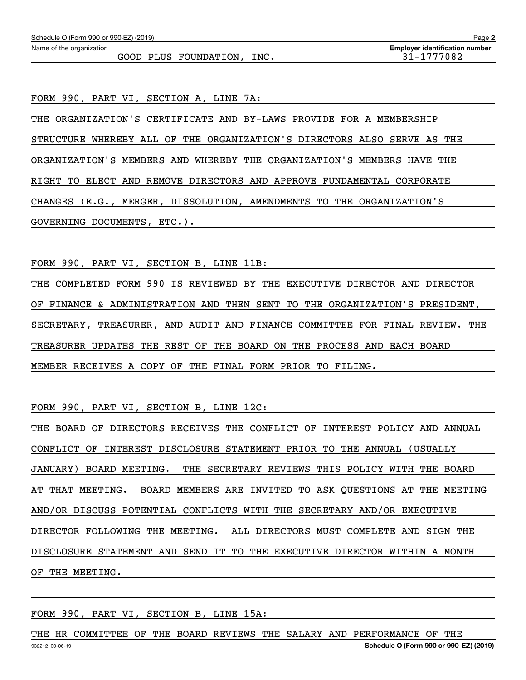GOOD PLUS FOUNDATION, INC.  $\vert$  31-1777082

FORM 990, PART VI, SECTION A, LINE 7A:

THE ORGANIZATION'S CERTIFICATE AND BY-LAWS PROVIDE FOR A MEMBERSHIP STRUCTURE WHEREBY ALL OF THE ORGANIZATION'S DIRECTORS ALSO SERVE AS THE ORGANIZATION'S MEMBERS AND WHEREBY THE ORGANIZATION'S MEMBERS HAVE THE RIGHT TO ELECT AND REMOVE DIRECTORS AND APPROVE FUNDAMENTAL CORPORATE CHANGES (E.G., MERGER, DISSOLUTION, AMENDMENTS TO THE ORGANIZATION'S GOVERNING DOCUMENTS, ETC.).

FORM 990, PART VI, SECTION B, LINE 11B:

THE COMPLETED FORM 990 IS REVIEWED BY THE EXECUTIVE DIRECTOR AND DIRECTOR OF FINANCE & ADMINISTRATION AND THEN SENT TO THE ORGANIZATION'S PRESIDENT, SECRETARY, TREASURER, AND AUDIT AND FINANCE COMMITTEE FOR FINAL REVIEW. THE TREASURER UPDATES THE REST OF THE BOARD ON THE PROCESS AND EACH BOARD MEMBER RECEIVES A COPY OF THE FINAL FORM PRIOR TO FILING.

FORM 990, PART VI, SECTION B, LINE 12C:

THE BOARD OF DIRECTORS RECEIVES THE CONFLICT OF INTEREST POLICY AND ANNUAL CONFLICT OF INTEREST DISCLOSURE STATEMENT PRIOR TO THE ANNUAL (USUALLY JANUARY) BOARD MEETING. THE SECRETARY REVIEWS THIS POLICY WITH THE BOARD AT THAT MEETING. BOARD MEMBERS ARE INVITED TO ASK QUESTIONS AT THE MEETING AND/OR DISCUSS POTENTIAL CONFLICTS WITH THE SECRETARY AND/OR EXECUTIVE DIRECTOR FOLLOWING THE MEETING. ALL DIRECTORS MUST COMPLETE AND SIGN THE DISCLOSURE STATEMENT AND SEND IT TO THE EXECUTIVE DIRECTOR WITHIN A MONTH OF THE MEETING.

FORM 990, PART VI, SECTION B, LINE 15A:

932212 09-06-19 **Schedule O (Form 990 or 990-EZ) (2019)** THE HR COMMITTEE OF THE BOARD REVIEWS THE SALARY AND PERFORMANCE OF THE